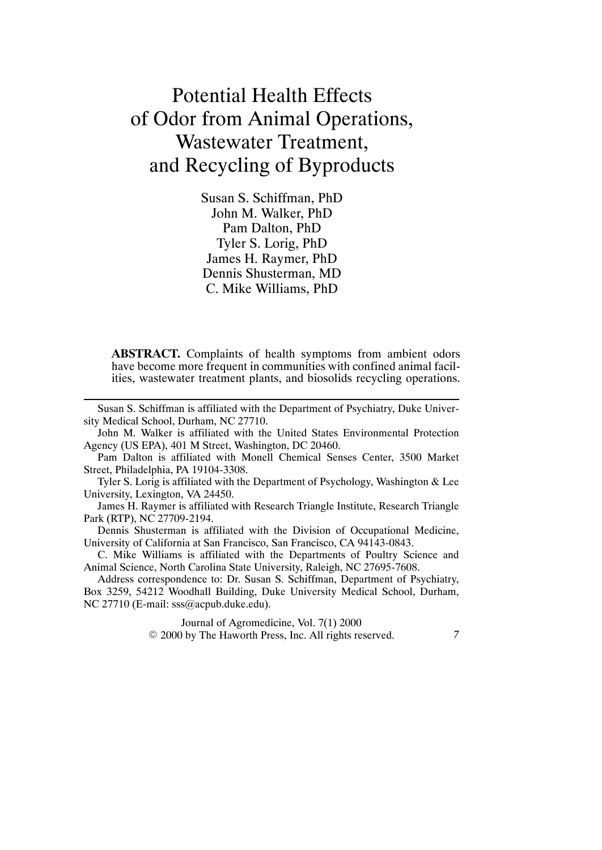Potential Health Effects of Odor from Animal Operations, Wastewater Treatment, and Recycling of Byproducts

> Susan S. Schiffman, PhD John M. Walker, PhD Pam Dalton, PhD Tyler S. Lorig, PhD James H. Raymer, PhD Dennis Shusterman, MD C. Mike Williams, PhD

**ABSTRACT.** Complaints of health symptoms from ambient odors have become more frequent in communities with confined animal facilities, wastewater treatment plants, and biosolids recycling operations.

Susan S. Schiffman is affiliated with the Department of Psychiatry, Duke University Medical School, Durham, NC 27710.

John M. Walker is affiliated with the United States Environmental Protection Agency (US EPA), 401 M Street, Washington, DC 20460.

Pam Dalton is affiliated with Monell Chemical Senses Center, 3500 Market Street, Philadelphia, PA 19104-3308.

Tyler S. Lorig is affiliated with the Department of Psychology, Washington & Lee University, Lexington, VA 24450.

James H. Raymer is affiliated with Research Triangle Institute, Research Triangle Park (RTP), NC 27709-2194.

Dennis Shusterman is affiliated with the Division of Occupational Medicine, University of California at San Francisco, San Francisco, CA 94143-0843.

C. Mike Williams is affiliated with the Departments of Poultry Science and Animal Science, North Carolina State University, Raleigh, NC 27695-7608.

Address correspondence to: Dr. Susan S. Schiffman, Department of Psychiatry, Box 3259, 54212 Woodhall Building, Duke University Medical School, Durham, NC 27710 (E-mail: sss@acpub.duke.edu).

Journal of Agromedicine, Vol. 7(1) 2000

E 2000 by The Haworth Press, Inc. All rights reserved. *7*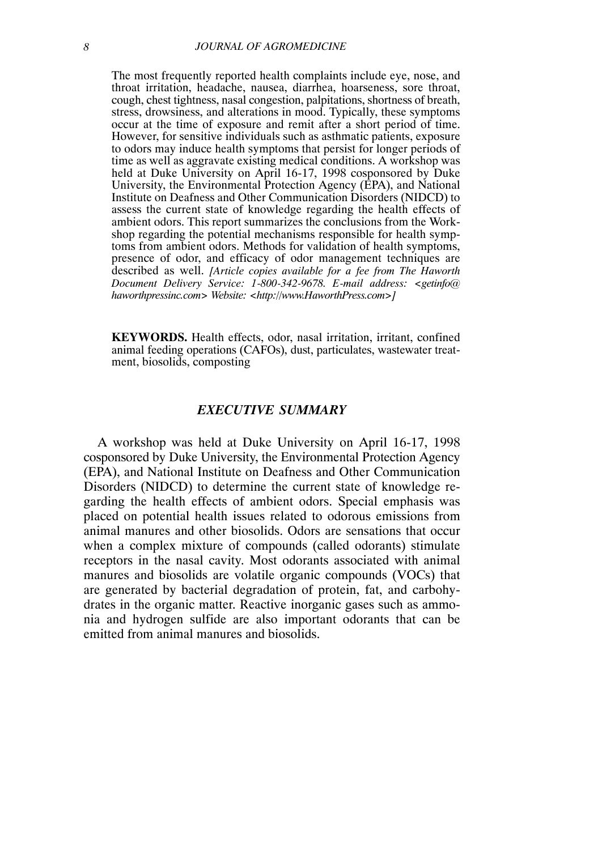The most frequently reported health complaints include eye, nose, and throat irritation, headache, nausea, diarrhea, hoarseness, sore throat, cough, chest tightness, nasal congestion, palpitations, shortness of breath, stress, drowsiness, and alterations in mood. Typically, these symptoms occur at the time of exposure and remit after a short period of time. However, for sensitive individuals such as asthmatic patients, exposure to odors may induce health symptoms that persist for longer periods of time as well as aggravate existing medical conditions. A workshop was held at Duke University on April 16-17, 1998 cosponsored by Duke University, the Environmental Protection Agency (EPA), and National Institute on Deafness and Other Communication Disorders (NIDCD) to assess the current state of knowledge regarding the health effects of ambient odors. This report summarizes the conclusions from the Workshop regarding the potential mechanisms responsible for health symptoms from ambient odors. Methods for validation of health symptoms, presence of odor, and efficacy of odor management techniques are described as well. *[Article copies available for a fee from The Haworth Document Delivery Service: 1-800-342-9678. E-mail address: <getinfo@ haworthpressinc.com> Website: <http://www.HaworthPress.com>]*

**KEYWORDS.** Health effects, odor, nasal irritation, irritant, confined animal feeding operations (CAFOs), dust, particulates, wastewater treatment, biosolids, composting

### *EXECUTIVE SUMMARY*

A workshop was held at Duke University on April 16-17, 1998 cosponsored by Duke University, the Environmental Protection Agency (EPA), and National Institute on Deafness and Other Communication Disorders (NIDCD) to determine the current state of knowledge regarding the health effects of ambient odors. Special emphasis was placed on potential health issues related to odorous emissions from animal manures and other biosolids. Odors are sensations that occur when a complex mixture of compounds (called odorants) stimulate receptors in the nasal cavity. Most odorants associated with animal manures and biosolids are volatile organic compounds (VOCs) that are generated by bacterial degradation of protein, fat, and carbohydrates in the organic matter. Reactive inorganic gases such as ammonia and hydrogen sulfide are also important odorants that can be emitted from animal manures and biosolids.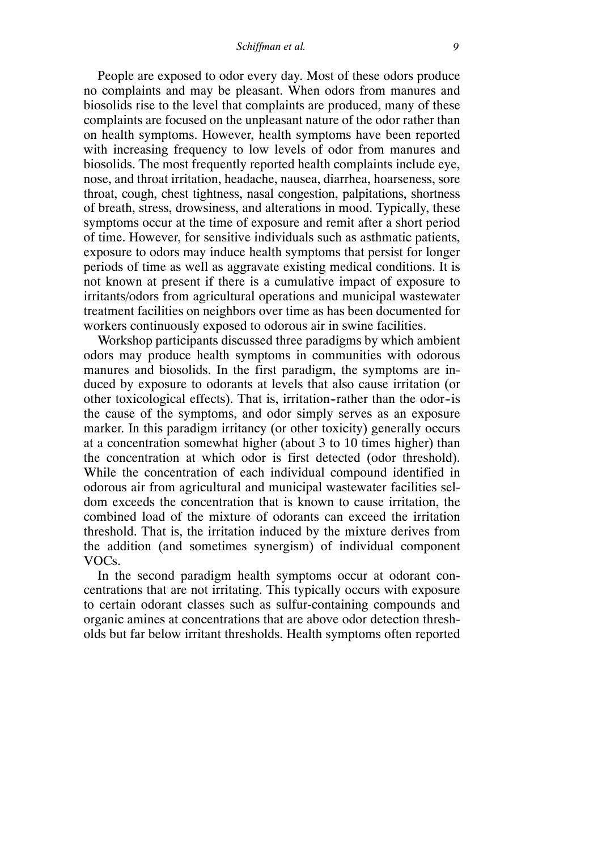People are exposed to odor every day. Most of these odors produce no complaints and may be pleasant. When odors from manures and biosolids rise to the level that complaints are produced, many of these complaints are focused on the unpleasant nature of the odor rather than on health symptoms. However, health symptoms have been reported with increasing frequency to low levels of odor from manures and biosolids. The most frequently reported health complaints include eye, nose, and throat irritation, headache, nausea, diarrhea, hoarseness, sore throat, cough, chest tightness, nasal congestion, palpitations, shortness of breath, stress, drowsiness, and alterations in mood. Typically, these symptoms occur at the time of exposure and remit after a short period of time. However, for sensitive individuals such as asthmatic patients, exposure to odors may induce health symptoms that persist for longer periods of time as well as aggravate existing medical conditions. It is not known at present if there is a cumulative impact of exposure to irritants/odors from agricultural operations and municipal wastewater treatment facilities on neighbors over time as has been documented for workers continuously exposed to odorous air in swine facilities.

Workshop participants discussed three paradigms by which ambient odors may produce health symptoms in communities with odorous manures and biosolids. In the first paradigm, the symptoms are induced by exposure to odorants at levels that also cause irritation (or other toxicological effects). That is, irritation--rather than the odor--is the cause of the symptoms, and odor simply serves as an exposure marker. In this paradigm irritancy (or other toxicity) generally occurs at a concentration somewhat higher (about 3 to 10 times higher) than the concentration at which odor is first detected (odor threshold). While the concentration of each individual compound identified in odorous air from agricultural and municipal wastewater facilities seldom exceeds the concentration that is known to cause irritation, the combined load of the mixture of odorants can exceed the irritation threshold. That is, the irritation induced by the mixture derives from the addition (and sometimes synergism) of individual component VOCs.

In the second paradigm health symptoms occur at odorant concentrations that are not irritating. This typically occurs with exposure to certain odorant classes such as sulfur-containing compounds and organic amines at concentrations that are above odor detection thresholds but far below irritant thresholds. Health symptoms often reported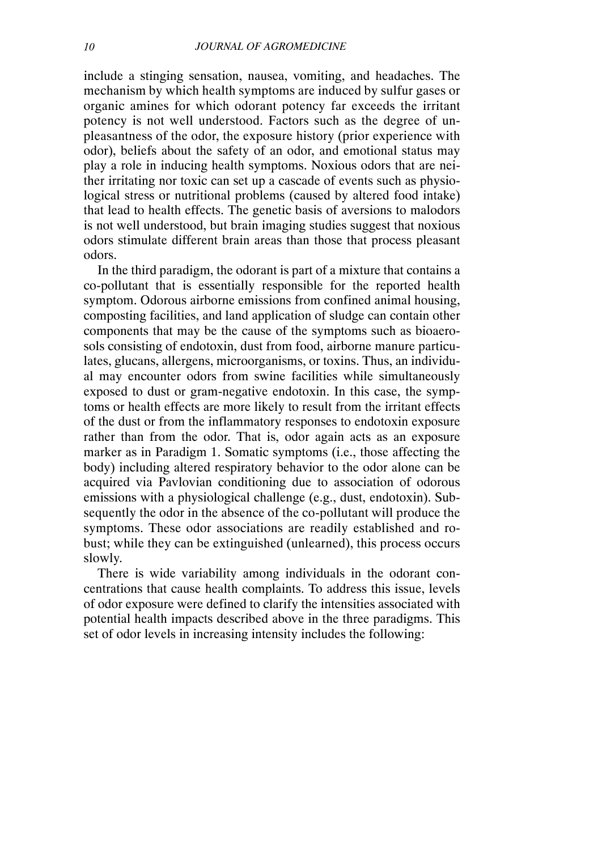include a stinging sensation, nausea, vomiting, and headaches. The mechanism by which health symptoms are induced by sulfur gases or organic amines for which odorant potency far exceeds the irritant potency is not well understood. Factors such as the degree of unpleasantness of the odor, the exposure history (prior experience with odor), beliefs about the safety of an odor, and emotional status may play a role in inducing health symptoms. Noxious odors that are neither irritating nor toxic can set up a cascade of events such as physiological stress or nutritional problems (caused by altered food intake) that lead to health effects. The genetic basis of aversions to malodors is not well understood, but brain imaging studies suggest that noxious odors stimulate different brain areas than those that process pleasant odors.

In the third paradigm, the odorant is part of a mixture that contains a co-pollutant that is essentially responsible for the reported health symptom. Odorous airborne emissions from confined animal housing, composting facilities, and land application of sludge can contain other components that may be the cause of the symptoms such as bioaerosols consisting of endotoxin, dust from food, airborne manure particulates, glucans, allergens, microorganisms, or toxins. Thus, an individual may encounter odors from swine facilities while simultaneously exposed to dust or gram-negative endotoxin. In this case, the symptoms or health effects are more likely to result from the irritant effects of the dust or from the inflammatory responses to endotoxin exposure rather than from the odor. That is, odor again acts as an exposure marker as in Paradigm 1. Somatic symptoms (i.e., those affecting the body) including altered respiratory behavior to the odor alone can be acquired via Pavlovian conditioning due to association of odorous emissions with a physiological challenge (e.g., dust, endotoxin). Subsequently the odor in the absence of the co-pollutant will produce the symptoms. These odor associations are readily established and robust; while they can be extinguished (unlearned), this process occurs slowly.

There is wide variability among individuals in the odorant concentrations that cause health complaints. To address this issue, levels of odor exposure were defined to clarify the intensities associated with potential health impacts described above in the three paradigms. This set of odor levels in increasing intensity includes the following: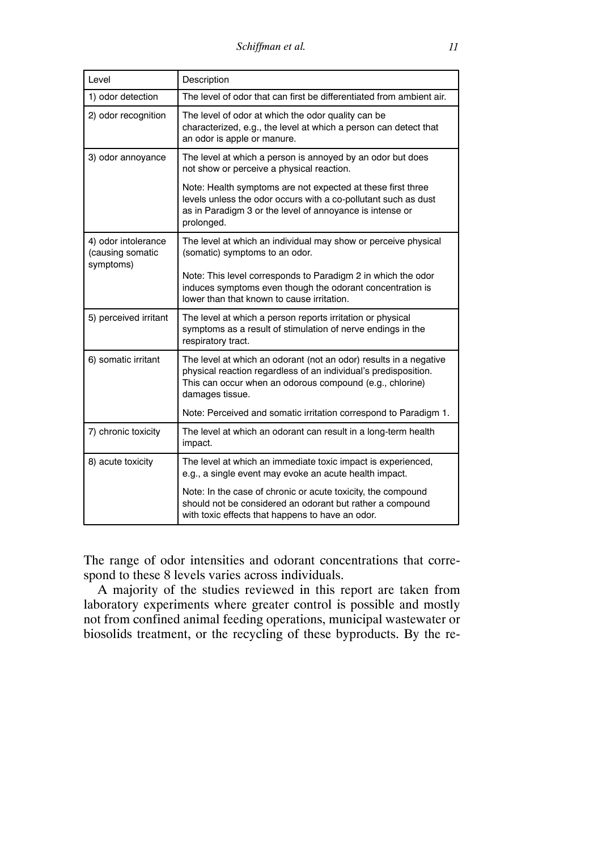*Schiffman et al. 11*

| Level                                                | Description                                                                                                                                                                                                         |
|------------------------------------------------------|---------------------------------------------------------------------------------------------------------------------------------------------------------------------------------------------------------------------|
| 1) odor detection                                    | The level of odor that can first be differentiated from ambient air.                                                                                                                                                |
| 2) odor recognition                                  | The level of odor at which the odor quality can be<br>characterized, e.g., the level at which a person can detect that<br>an odor is apple or manure.                                                               |
| 3) odor annoyance                                    | The level at which a person is annoyed by an odor but does<br>not show or perceive a physical reaction.                                                                                                             |
|                                                      | Note: Health symptoms are not expected at these first three<br>levels unless the odor occurs with a co-pollutant such as dust<br>as in Paradigm 3 or the level of annoyance is intense or<br>prolonged.             |
| 4) odor intolerance<br>(causing somatic<br>symptoms) | The level at which an individual may show or perceive physical<br>(somatic) symptoms to an odor.                                                                                                                    |
|                                                      | Note: This level corresponds to Paradigm 2 in which the odor<br>induces symptoms even though the odorant concentration is<br>lower than that known to cause irritation.                                             |
| 5) perceived irritant                                | The level at which a person reports irritation or physical<br>symptoms as a result of stimulation of nerve endings in the<br>respiratory tract.                                                                     |
| 6) somatic irritant                                  | The level at which an odorant (not an odor) results in a negative<br>physical reaction regardless of an individual's predisposition.<br>This can occur when an odorous compound (e.g., chlorine)<br>damages tissue. |
|                                                      | Note: Perceived and somatic irritation correspond to Paradigm 1.                                                                                                                                                    |
| 7) chronic toxicity                                  | The level at which an odorant can result in a long-term health<br>impact.                                                                                                                                           |
| 8) acute toxicity                                    | The level at which an immediate toxic impact is experienced,<br>e.g., a single event may evoke an acute health impact.                                                                                              |
|                                                      | Note: In the case of chronic or acute toxicity, the compound<br>should not be considered an odorant but rather a compound<br>with toxic effects that happens to have an odor.                                       |

The range of odor intensities and odorant concentrations that correspond to these 8 levels varies across individuals.

A majority of the studies reviewed in this report are taken from laboratory experiments where greater control is possible and mostly not from confined animal feeding operations, municipal wastewater or biosolids treatment, or the recycling of these byproducts. By the re-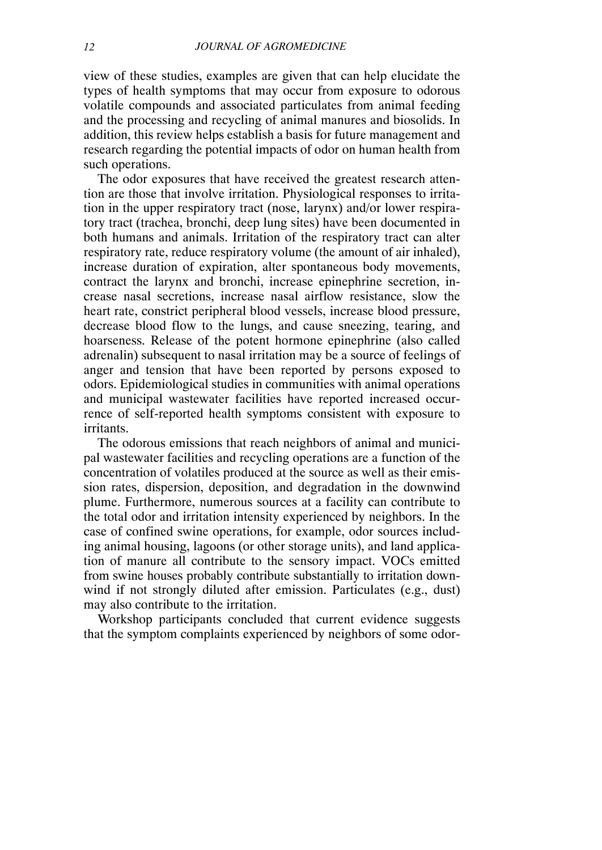view of these studies, examples are given that can help elucidate the types of health symptoms that may occur from exposure to odorous volatile compounds and associated particulates from animal feeding and the processing and recycling of animal manures and biosolids. In addition, this review helps establish a basis for future management and research regarding the potential impacts of odor on human health from such operations.

The odor exposures that have received the greatest research attention are those that involve irritation. Physiological responses to irritation in the upper respiratory tract (nose, larynx) and/or lower respiratory tract (trachea, bronchi, deep lung sites) have been documented in both humans and animals. Irritation of the respiratory tract can alter respiratory rate, reduce respiratory volume (the amount of air inhaled), increase duration of expiration, alter spontaneous body movements, contract the larynx and bronchi, increase epinephrine secretion, increase nasal secretions, increase nasal airflow resistance, slow the heart rate, constrict peripheral blood vessels, increase blood pressure, decrease blood flow to the lungs, and cause sneezing, tearing, and hoarseness. Release of the potent hormone epinephrine (also called adrenalin) subsequent to nasal irritation may be a source of feelings of anger and tension that have been reported by persons exposed to odors. Epidemiological studies in communities with animal operations and municipal wastewater facilities have reported increased occurrence of self-reported health symptoms consistent with exposure to irritants.

The odorous emissions that reach neighbors of animal and municipal wastewater facilities and recycling operations are a function of the concentration of volatiles produced at the source as well as their emission rates, dispersion, deposition, and degradation in the downwind plume. Furthermore, numerous sources at a facility can contribute to the total odor and irritation intensity experienced by neighbors. In the case of confined swine operations, for example, odor sources including animal housing, lagoons (or other storage units), and land application of manure all contribute to the sensory impact. VOCs emitted from swine houses probably contribute substantially to irritation downwind if not strongly diluted after emission. Particulates (e.g., dust) may also contribute to the irritation.

Workshop participants concluded that current evidence suggests that the symptom complaints experienced by neighbors of some odor-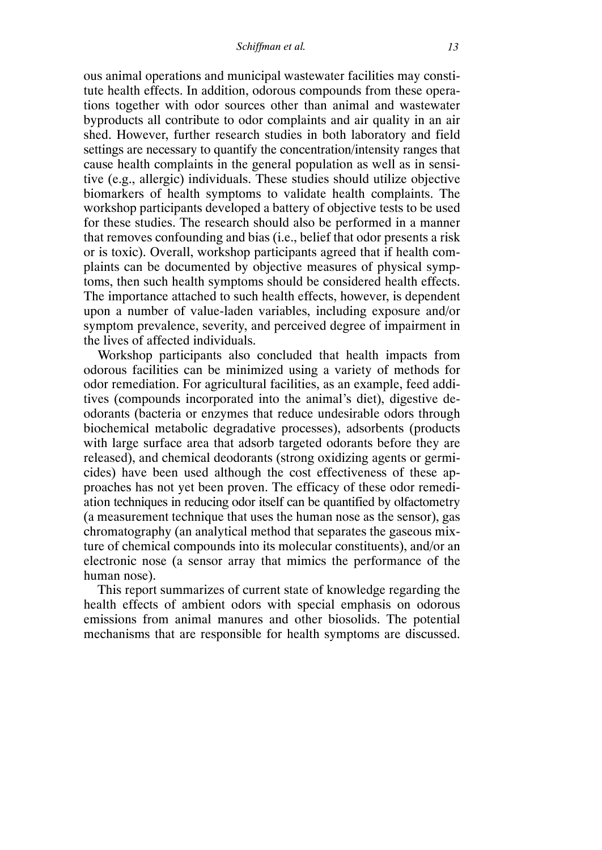ous animal operations and municipal wastewater facilities may constitute health effects. In addition, odorous compounds from these operations together with odor sources other than animal and wastewater byproducts all contribute to odor complaints and air quality in an air shed. However, further research studies in both laboratory and field settings are necessary to quantify the concentration/intensity ranges that cause health complaints in the general population as well as in sensitive (e.g., allergic) individuals. These studies should utilize objective biomarkers of health symptoms to validate health complaints. The workshop participants developed a battery of objective tests to be used for these studies. The research should also be performed in a manner that removes confounding and bias (i.e., belief that odor presents a risk or is toxic). Overall, workshop participants agreed that if health complaints can be documented by objective measures of physical symptoms, then such health symptoms should be considered health effects. The importance attached to such health effects, however, is dependent upon a number of value-laden variables, including exposure and/or symptom prevalence, severity, and perceived degree of impairment in the lives of affected individuals.

Workshop participants also concluded that health impacts from odorous facilities can be minimized using a variety of methods for odor remediation. For agricultural facilities, as an example, feed additives (compounds incorporated into the animal's diet), digestive deodorants (bacteria or enzymes that reduce undesirable odors through biochemical metabolic degradative processes), adsorbents (products with large surface area that adsorb targeted odorants before they are released), and chemical deodorants (strong oxidizing agents or germicides) have been used although the cost effectiveness of these approaches has not yet been proven. The efficacy of these odor remediation techniques in reducing odor itself can be quantified by olfactometry (a measurement technique that uses the human nose as the sensor), gas chromatography (an analytical method that separates the gaseous mixture of chemical compounds into its molecular constituents), and/or an electronic nose (a sensor array that mimics the performance of the human nose).

This report summarizes of current state of knowledge regarding the health effects of ambient odors with special emphasis on odorous emissions from animal manures and other biosolids. The potential mechanisms that are responsible for health symptoms are discussed.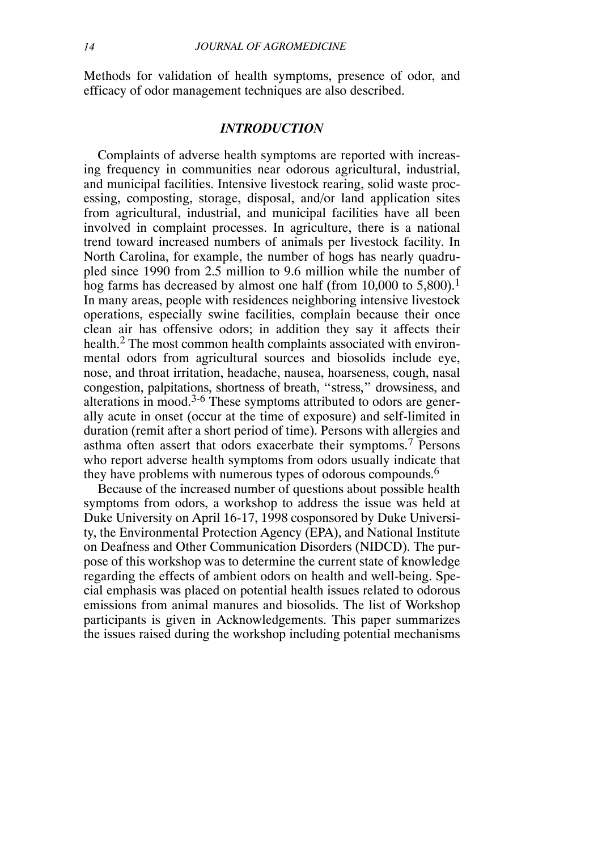Methods for validation of health symptoms, presence of odor, and efficacy of odor management techniques are also described.

# *INTRODUCTION*

Complaints of adverse health symptoms are reported with increasing frequency in communities near odorous agricultural, industrial, and municipal facilities. Intensive livestock rearing, solid waste processing, composting, storage, disposal, and/or land application sites from agricultural, industrial, and municipal facilities have all been involved in complaint processes. In agriculture, there is a national trend toward increased numbers of animals per livestock facility. In North Carolina, for example, the number of hogs has nearly quadrupled since 1990 from 2.5 million to 9.6 million while the number of hog farms has decreased by almost one half (from 10,000 to 5,800).<sup>1</sup> In many areas, people with residences neighboring intensive livestock operations, especially swine facilities, complain because their once clean air has offensive odors; in addition they say it affects their health.<sup>2</sup> The most common health complaints associated with environmental odors from agricultural sources and biosolids include eye, nose, and throat irritation, headache, nausea, hoarseness, cough, nasal congestion, palpitations, shortness of breath, ''stress,'' drowsiness, and alterations in mood.<sup>3-6</sup> These symptoms attributed to odors are generally acute in onset (occur at the time of exposure) and self-limited in duration (remit after a short period of time). Persons with allergies and asthma often assert that odors exacerbate their symptoms.7 Persons who report adverse health symptoms from odors usually indicate that they have problems with numerous types of odorous compounds.<sup>6</sup>

Because of the increased number of questions about possible health symptoms from odors, a workshop to address the issue was held at Duke University on April 16-17, 1998 cosponsored by Duke University, the Environmental Protection Agency (EPA), and National Institute on Deafness and Other Communication Disorders (NIDCD). The purpose of this workshop was to determine the current state of knowledge regarding the effects of ambient odors on health and well-being. Special emphasis was placed on potential health issues related to odorous emissions from animal manures and biosolids. The list of Workshop participants is given in Acknowledgements. This paper summarizes the issues raised during the workshop including potential mechanisms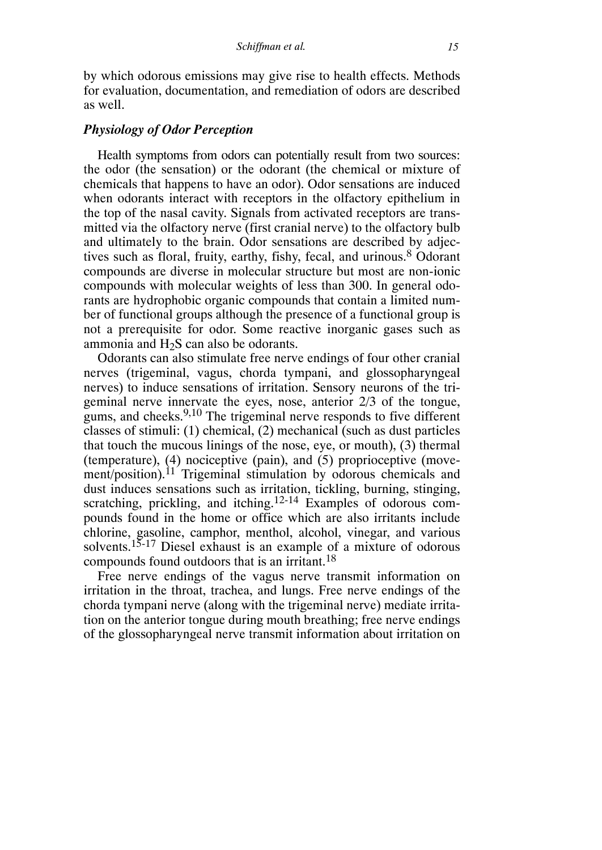by which odorous emissions may give rise to health effects. Methods for evaluation, documentation, and remediation of odors are described as well.

### *Physiology of Odor Perception*

Health symptoms from odors can potentially result from two sources: the odor (the sensation) or the odorant (the chemical or mixture of chemicals that happens to have an odor). Odor sensations are induced when odorants interact with receptors in the olfactory epithelium in the top of the nasal cavity. Signals from activated receptors are transmitted via the olfactory nerve (first cranial nerve) to the olfactory bulb and ultimately to the brain. Odor sensations are described by adjectives such as floral, fruity, earthy, fishy, fecal, and urinous.<sup>8</sup> Odorant compounds are diverse in molecular structure but most are non-ionic compounds with molecular weights of less than 300. In general odorants are hydrophobic organic compounds that contain a limited number of functional groups although the presence of a functional group is not a prerequisite for odor. Some reactive inorganic gases such as ammonia and  $H_2S$  can also be odorants.

Odorants can also stimulate free nerve endings of four other cranial nerves (trigeminal, vagus, chorda tympani, and glossopharyngeal nerves) to induce sensations of irritation. Sensory neurons of the trigeminal nerve innervate the eyes, nose, anterior 2/3 of the tongue, gums, and cheeks.  $9,10$  The trigeminal nerve responds to five different classes of stimuli: (1) chemical, (2) mechanical (such as dust particles that touch the mucous linings of the nose, eye, or mouth), (3) thermal (temperature), (4) nociceptive (pain), and (5) proprioceptive (movement/position).<sup>11</sup> Trigeminal stimulation by odorous chemicals and dust induces sensations such as irritation, tickling, burning, stinging, scratching, prickling, and itching.<sup>12-14</sup> Examples of odorous compounds found in the home or office which are also irritants include chlorine, gasoline, camphor, menthol, alcohol, vinegar, and various solvents.<sup>15-17</sup> Diesel exhaust is an example of a mixture of odorous compounds found outdoors that is an irritant.18

Free nerve endings of the vagus nerve transmit information on irritation in the throat, trachea, and lungs. Free nerve endings of the chorda tympani nerve (along with the trigeminal nerve) mediate irritation on the anterior tongue during mouth breathing; free nerve endings of the glossopharyngeal nerve transmit information about irritation on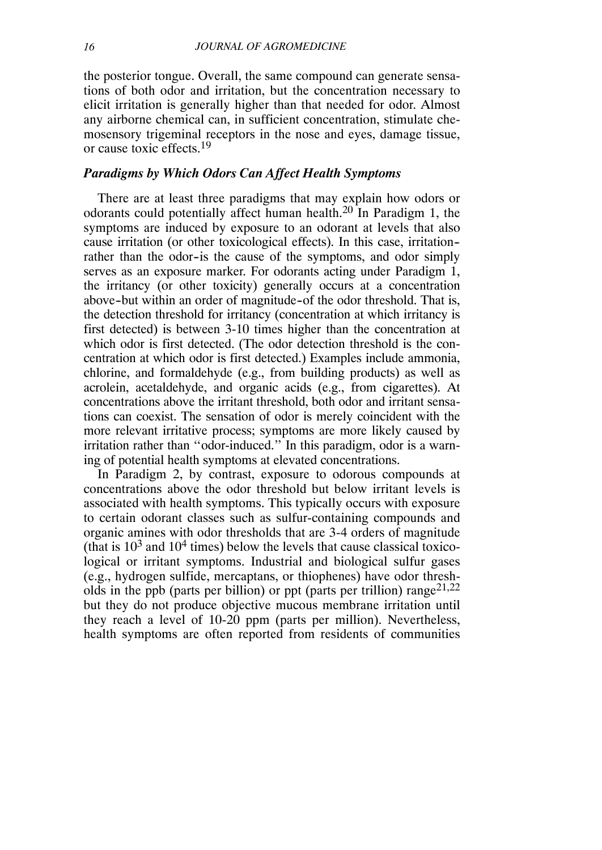the posterior tongue. Overall, the same compound can generate sensations of both odor and irritation, but the concentration necessary to elicit irritation is generally higher than that needed for odor. Almost any airborne chemical can, in sufficient concentration, stimulate chemosensory trigeminal receptors in the nose and eyes, damage tissue, or cause toxic effects.<sup>19</sup>

#### *Paradigms by Which Odors Can Affect Health Symptoms*

There are at least three paradigms that may explain how odors or odorants could potentially affect human health.<sup>20</sup> In Paradigm 1, the symptoms are induced by exposure to an odorant at levels that also cause irritation (or other toxicological effects). In this case, irritation- rather than the odor-is the cause of the symptoms, and odor simply serves as an exposure marker. For odorants acting under Paradigm 1, the irritancy (or other toxicity) generally occurs at a concentration above-but within an order of magnitude-of the odor threshold. That is, the detection threshold for irritancy (concentration at which irritancy is first detected) is between 3-10 times higher than the concentration at which odor is first detected. (The odor detection threshold is the concentration at which odor is first detected.) Examples include ammonia, chlorine, and formaldehyde (e.g., from building products) as well as acrolein, acetaldehyde, and organic acids (e.g., from cigarettes). At concentrations above the irritant threshold, both odor and irritant sensations can coexist. The sensation of odor is merely coincident with the more relevant irritative process; symptoms are more likely caused by irritation rather than ''odor-induced.'' In this paradigm, odor is a warning of potential health symptoms at elevated concentrations.

In Paradigm 2, by contrast, exposure to odorous compounds at concentrations above the odor threshold but below irritant levels is associated with health symptoms. This typically occurs with exposure to certain odorant classes such as sulfur-containing compounds and organic amines with odor thresholds that are 3-4 orders of magnitude (that is  $10^3$  and  $10^4$  times) below the levels that cause classical toxicological or irritant symptoms. Industrial and biological sulfur gases (e.g., hydrogen sulfide, mercaptans, or thiophenes) have odor thresholds in the ppb (parts per billion) or ppt (parts per trillion) range<sup>21,22</sup> but they do not produce objective mucous membrane irritation until they reach a level of 10-20 ppm (parts per million). Nevertheless, health symptoms are often reported from residents of communities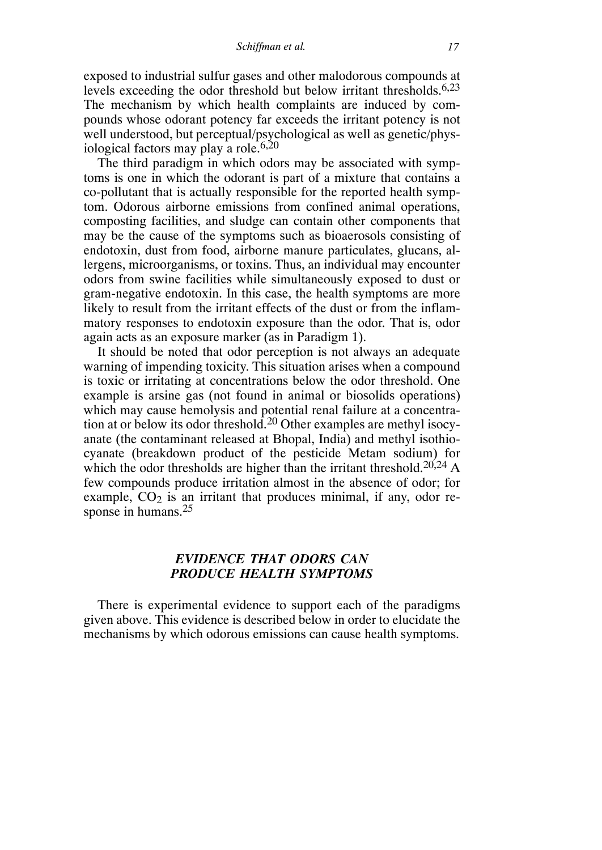exposed to industrial sulfur gases and other malodorous compounds at levels exceeding the odor threshold but below irritant thresholds.  $6,23$ The mechanism by which health complaints are induced by compounds whose odorant potency far exceeds the irritant potency is not well understood, but perceptual/psychological as well as genetic/physiological factors may play a role.<sup>6,20</sup>

The third paradigm in which odors may be associated with symptoms is one in which the odorant is part of a mixture that contains a co-pollutant that is actually responsible for the reported health symptom. Odorous airborne emissions from confined animal operations, composting facilities, and sludge can contain other components that may be the cause of the symptoms such as bioaerosols consisting of endotoxin, dust from food, airborne manure particulates, glucans, allergens, microorganisms, or toxins. Thus, an individual may encounter odors from swine facilities while simultaneously exposed to dust or gram-negative endotoxin. In this case, the health symptoms are more likely to result from the irritant effects of the dust or from the inflammatory responses to endotoxin exposure than the odor. That is, odor again acts as an exposure marker (as in Paradigm 1).

It should be noted that odor perception is not always an adequate warning of impending toxicity. This situation arises when a compound is toxic or irritating at concentrations below the odor threshold. One example is arsine gas (not found in animal or biosolids operations) which may cause hemolysis and potential renal failure at a concentration at or below its odor threshold.20 Other examples are methyl isocyanate (the contaminant released at Bhopal, India) and methyl isothiocyanate (breakdown product of the pesticide Metam sodium) for which the odor thresholds are higher than the irritant threshold.<sup>20,24</sup> A few compounds produce irritation almost in the absence of odor; for example,  $CO<sub>2</sub>$  is an irritant that produces minimal, if any, odor response in humans. $25$ 

# *EVIDENCE THAT ODORS CAN PRODUCE HEALTH SYMPTOMS*

There is experimental evidence to support each of the paradigms given above. This evidence is described below in order to elucidate the mechanisms by which odorous emissions can cause health symptoms.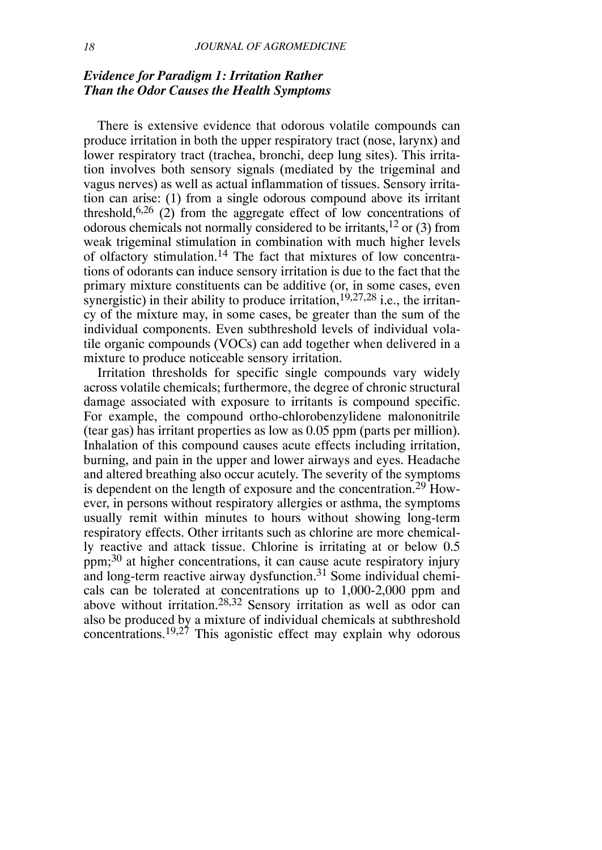# *Evidence for Paradigm 1: Irritation Rather Than the Odor Causes the Health Symptoms*

There is extensive evidence that odorous volatile compounds can produce irritation in both the upper respiratory tract (nose, larynx) and lower respiratory tract (trachea, bronchi, deep lung sites). This irritation involves both sensory signals (mediated by the trigeminal and vagus nerves) as well as actual inflammation of tissues. Sensory irritation can arise: (1) from a single odorous compound above its irritant threshold,  $6,26$  (2) from the aggregate effect of low concentrations of odorous chemicals not normally considered to be irritants,  $12$  or (3) from weak trigeminal stimulation in combination with much higher levels of olfactory stimulation.14 The fact that mixtures of low concentrations of odorants can induce sensory irritation is due to the fact that the primary mixture constituents can be additive (or, in some cases, even synergistic) in their ability to produce irritation,  $19,27,28$  i.e., the irritancy of the mixture may, in some cases, be greater than the sum of the individual components. Even subthreshold levels of individual volatile organic compounds (VOCs) can add together when delivered in a mixture to produce noticeable sensory irritation.

Irritation thresholds for specific single compounds vary widely across volatile chemicals; furthermore, the degree of chronic structural damage associated with exposure to irritants is compound specific. For example, the compound ortho-chlorobenzylidene malononitrile (tear gas) has irritant properties as low as 0.05 ppm (parts per million). Inhalation of this compound causes acute effects including irritation, burning, and pain in the upper and lower airways and eyes. Headache and altered breathing also occur acutely. The severity of the symptoms is dependent on the length of exposure and the concentration.<sup>29</sup> However, in persons without respiratory allergies or asthma, the symptoms usually remit within minutes to hours without showing long-term respiratory effects. Other irritants such as chlorine are more chemically reactive and attack tissue. Chlorine is irritating at or below 0.5 ppm;30 at higher concentrations, it can cause acute respiratory injury and long-term reactive airway dysfunction.31 Some individual chemicals can be tolerated at concentrations up to 1,000-2,000 ppm and above without irritation.<sup>28,32</sup> Sensory irritation as well as odor can also be produced by a mixture of individual chemicals at subthreshold concentrations.<sup>19,27</sup> This agonistic effect may explain why odorous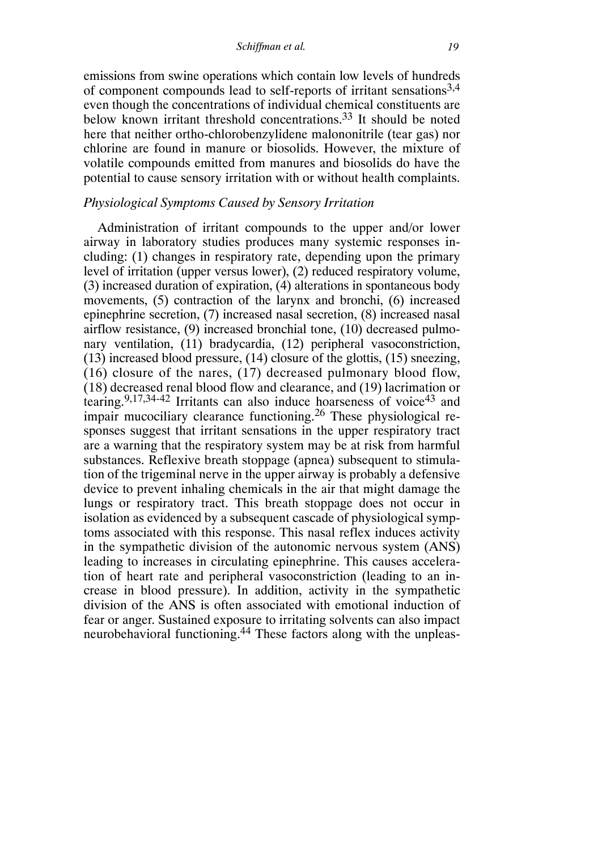*Schiffman et al. 19*

emissions from swine operations which contain low levels of hundreds of component compounds lead to self-reports of irritant sensations<sup>3,4</sup> even though the concentrations of individual chemical constituents are below known irritant threshold concentrations.<sup>33</sup> It should be noted here that neither ortho-chlorobenzylidene malononitrile (tear gas) nor chlorine are found in manure or biosolids. However, the mixture of volatile compounds emitted from manures and biosolids do have the potential to cause sensory irritation with or without health complaints.

### *Physiological Symptoms Caused by Sensory Irritation*

Administration of irritant compounds to the upper and/or lower airway in laboratory studies produces many systemic responses including: (1) changes in respiratory rate, depending upon the primary level of irritation (upper versus lower), (2) reduced respiratory volume, (3) increased duration of expiration, (4) alterations in spontaneous body movements, (5) contraction of the larynx and bronchi, (6) increased epinephrine secretion, (7) increased nasal secretion, (8) increased nasal airflow resistance, (9) increased bronchial tone, (10) decreased pulmonary ventilation, (11) bradycardia, (12) peripheral vasoconstriction, (13) increased blood pressure, (14) closure of the glottis, (15) sneezing, (16) closure of the nares, (17) decreased pulmonary blood flow, (18) decreased renal blood flow and clearance, and (19) lacrimation or tearing.<sup>9,17,34-42</sup> Irritants can also induce hoarseness of voice<sup>43</sup> and impair mucociliary clearance functioning.26 These physiological responses suggest that irritant sensations in the upper respiratory tract are a warning that the respiratory system may be at risk from harmful substances. Reflexive breath stoppage (apnea) subsequent to stimulation of the trigeminal nerve in the upper airway is probably a defensive device to prevent inhaling chemicals in the air that might damage the lungs or respiratory tract. This breath stoppage does not occur in isolation as evidenced by a subsequent cascade of physiological symptoms associated with this response. This nasal reflex induces activity in the sympathetic division of the autonomic nervous system (ANS) leading to increases in circulating epinephrine. This causes acceleration of heart rate and peripheral vasoconstriction (leading to an increase in blood pressure). In addition, activity in the sympathetic division of the ANS is often associated with emotional induction of fear or anger. Sustained exposure to irritating solvents can also impact neurobehavioral functioning.44 These factors along with the unpleas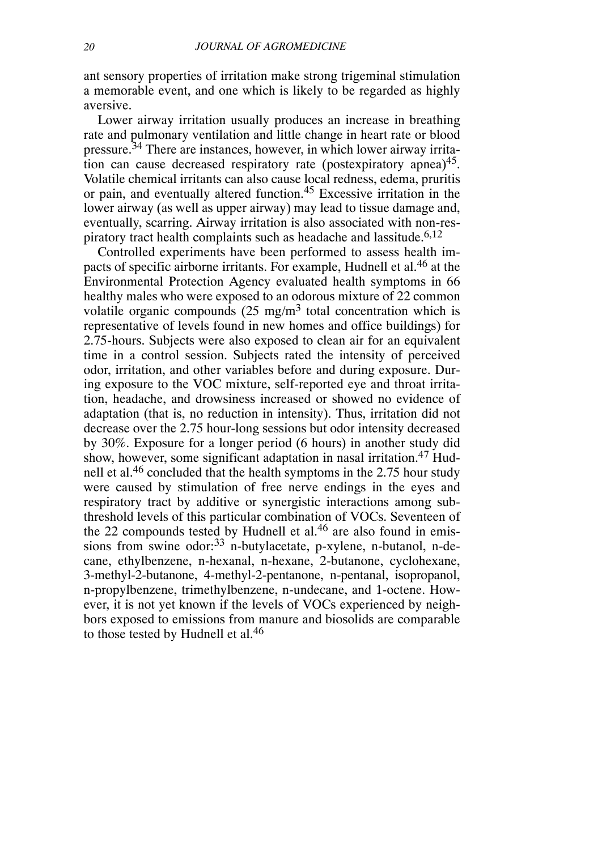ant sensory properties of irritation make strong trigeminal stimulation a memorable event, and one which is likely to be regarded as highly aversive.

Lower airway irritation usually produces an increase in breathing rate and pulmonary ventilation and little change in heart rate or blood pressure.34 There are instances, however, in which lower airway irritation can cause decreased respiratory rate (postexpiratory apnea)<sup>45</sup>. Volatile chemical irritants can also cause local redness, edema, pruritis or pain, and eventually altered function.45 Excessive irritation in the lower airway (as well as upper airway) may lead to tissue damage and, eventually, scarring. Airway irritation is also associated with non-respiratory tract health complaints such as headache and lassitude.<sup>6,12</sup>

Controlled experiments have been performed to assess health impacts of specific airborne irritants. For example, Hudnell et al.<sup>46</sup> at the Environmental Protection Agency evaluated health symptoms in 66 healthy males who were exposed to an odorous mixture of 22 common volatile organic compounds  $(25 \text{ mg/m}^3 \text{ total concentration which is}$ representative of levels found in new homes and office buildings) for 2.75-hours. Subjects were also exposed to clean air for an equivalent time in a control session. Subjects rated the intensity of perceived odor, irritation, and other variables before and during exposure. During exposure to the VOC mixture, self-reported eye and throat irritation, headache, and drowsiness increased or showed no evidence of adaptation (that is, no reduction in intensity). Thus, irritation did not decrease over the 2.75 hour-long sessions but odor intensity decreased by 30%. Exposure for a longer period (6 hours) in another study did show, however, some significant adaptation in nasal irritation.<sup>47</sup> Hudnell et al.<sup>46</sup> concluded that the health symptoms in the 2.75 hour study were caused by stimulation of free nerve endings in the eyes and respiratory tract by additive or synergistic interactions among subthreshold levels of this particular combination of VOCs. Seventeen of the 22 compounds tested by Hudnell et al.<sup>46</sup> are also found in emissions from swine odor:<sup>33</sup> n-butylacetate, p-xylene, n-butanol, n-decane, ethylbenzene, n-hexanal, n-hexane, 2-butanone, cyclohexane, 3-methyl-2-butanone, 4-methyl-2-pentanone, n-pentanal, isopropanol, n-propylbenzene, trimethylbenzene, n-undecane, and 1-octene. However, it is not yet known if the levels of VOCs experienced by neighbors exposed to emissions from manure and biosolids are comparable to those tested by Hudnell et al.<sup>46</sup>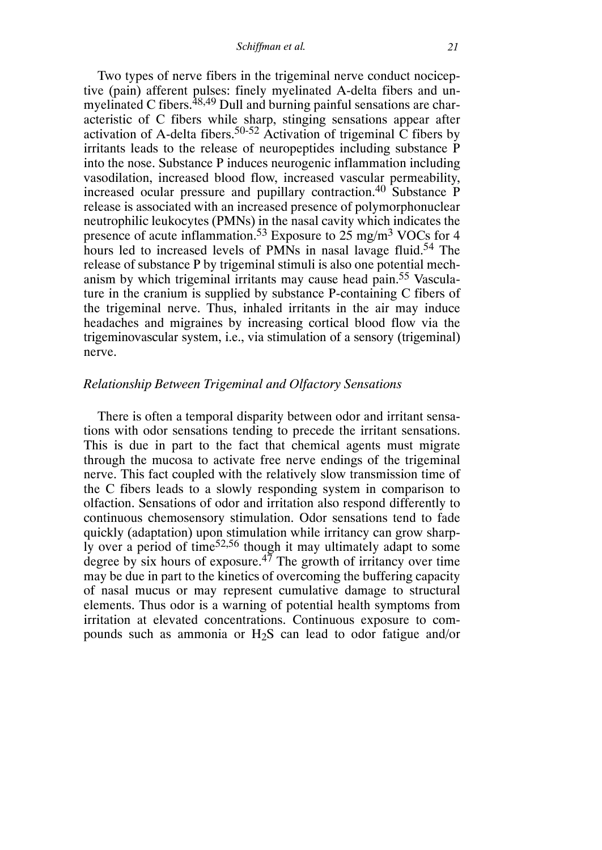Two types of nerve fibers in the trigeminal nerve conduct nociceptive (pain) afferent pulses: finely myelinated A-delta fibers and unmyelinated C fibers. $48,49$  Dull and burning painful sensations are characteristic of C fibers while sharp, stinging sensations appear after activation of A-delta fibers.<sup>50-52</sup> Activation of trigeminal  $\overrightarrow{C}$  fibers by irritants leads to the release of neuropeptides including substance P into the nose. Substance P induces neurogenic inflammation including vasodilation, increased blood flow, increased vascular permeability, increased ocular pressure and pupillary contraction.40 Substance P release is associated with an increased presence of polymorphonuclear neutrophilic leukocytes (PMNs) in the nasal cavity which indicates the presence of acute inflammation.53 Exposure to 25 mg/m3 VOCs for 4 hours led to increased levels of PMNs in nasal lavage fluid.<sup>54</sup> The release of substance P by trigeminal stimuli is also one potential mechanism by which trigeminal irritants may cause head pain.<sup>55</sup> Vasculature in the cranium is supplied by substance P-containing C fibers of the trigeminal nerve. Thus, inhaled irritants in the air may induce headaches and migraines by increasing cortical blood flow via the trigeminovascular system, i.e., via stimulation of a sensory (trigeminal) nerve.

#### *Relationship Between Trigeminal and Olfactory Sensations*

There is often a temporal disparity between odor and irritant sensations with odor sensations tending to precede the irritant sensations. This is due in part to the fact that chemical agents must migrate through the mucosa to activate free nerve endings of the trigeminal nerve. This fact coupled with the relatively slow transmission time of the C fibers leads to a slowly responding system in comparison to olfaction. Sensations of odor and irritation also respond differently to continuous chemosensory stimulation. Odor sensations tend to fade quickly (adaptation) upon stimulation while irritancy can grow sharply over a period of time<sup>52,56</sup> though it may ultimately adapt to some degree by six hours of exposure.<sup>47</sup> The growth of irritancy over time may be due in part to the kinetics of overcoming the buffering capacity of nasal mucus or may represent cumulative damage to structural elements. Thus odor is a warning of potential health symptoms from irritation at elevated concentrations. Continuous exposure to compounds such as ammonia or  $H_2S$  can lead to odor fatigue and/or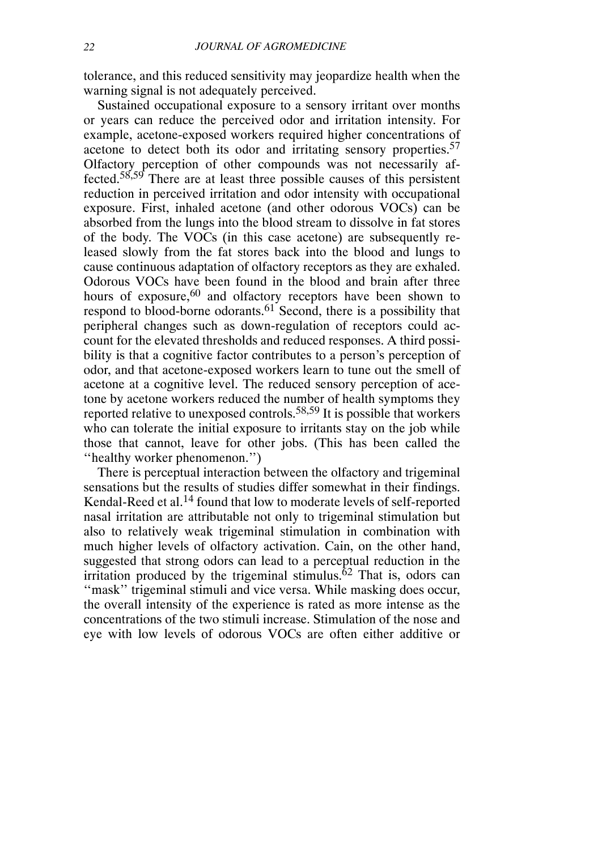tolerance, and this reduced sensitivity may jeopardize health when the warning signal is not adequately perceived.

Sustained occupational exposure to a sensory irritant over months or years can reduce the perceived odor and irritation intensity. For example, acetone-exposed workers required higher concentrations of acetone to detect both its odor and irritating sensory properties.<sup>57</sup> Olfactory perception of other compounds was not necessarily affected.58,59 There are at least three possible causes of this persistent reduction in perceived irritation and odor intensity with occupational exposure. First, inhaled acetone (and other odorous VOCs) can be absorbed from the lungs into the blood stream to dissolve in fat stores of the body. The VOCs (in this case acetone) are subsequently released slowly from the fat stores back into the blood and lungs to cause continuous adaptation of olfactory receptors as they are exhaled. Odorous VOCs have been found in the blood and brain after three hours of exposure,<sup>60</sup> and olfactory receptors have been shown to respond to blood-borne odorants.<sup>61</sup> Second, there is a possibility that peripheral changes such as down-regulation of receptors could account for the elevated thresholds and reduced responses. A third possibility is that a cognitive factor contributes to a person's perception of odor, and that acetone-exposed workers learn to tune out the smell of acetone at a cognitive level. The reduced sensory perception of acetone by acetone workers reduced the number of health symptoms they reported relative to unexposed controls.58,59 It is possible that workers who can tolerate the initial exposure to irritants stay on the job while those that cannot, leave for other jobs. (This has been called the ''healthy worker phenomenon.'')

There is perceptual interaction between the olfactory and trigeminal sensations but the results of studies differ somewhat in their findings. Kendal-Reed et al.14 found that low to moderate levels of self-reported nasal irritation are attributable not only to trigeminal stimulation but also to relatively weak trigeminal stimulation in combination with much higher levels of olfactory activation. Cain, on the other hand, suggested that strong odors can lead to a perceptual reduction in the irritation produced by the trigeminal stimulus. $\delta^2$  That is, odors can "mask" trigeminal stimuli and vice versa. While masking does occur, the overall intensity of the experience is rated as more intense as the concentrations of the two stimuli increase. Stimulation of the nose and eye with low levels of odorous VOCs are often either additive or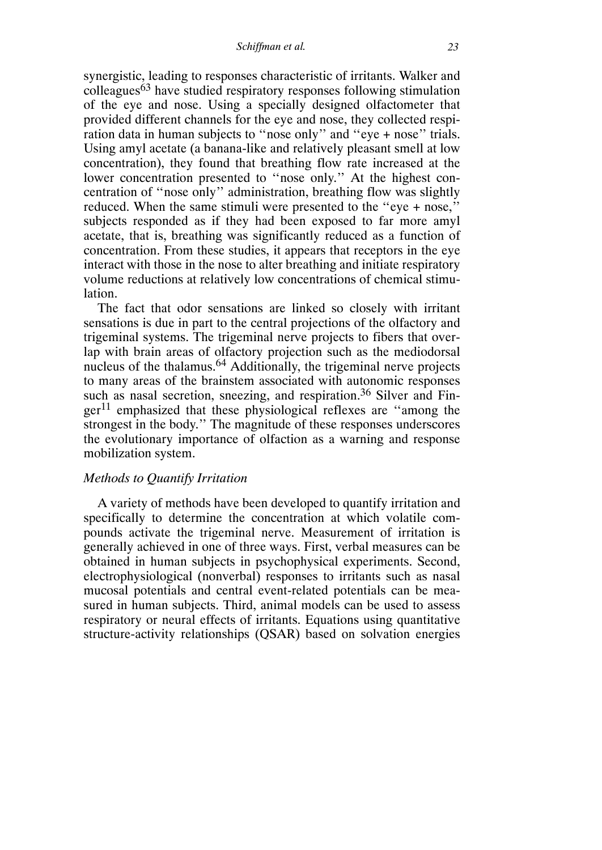synergistic, leading to responses characteristic of irritants. Walker and colleagues<sup>63</sup> have studied respiratory responses following stimulation of the eye and nose. Using a specially designed olfactometer that provided different channels for the eye and nose, they collected respiration data in human subjects to "nose only" and "eye + nose" trials. Using amyl acetate (a banana-like and relatively pleasant smell at low concentration), they found that breathing flow rate increased at the lower concentration presented to ''nose only.'' At the highest concentration of ''nose only'' administration, breathing flow was slightly reduced. When the same stimuli were presented to the ''eye + nose,'' subjects responded as if they had been exposed to far more amyl acetate, that is, breathing was significantly reduced as a function of concentration. From these studies, it appears that receptors in the eye interact with those in the nose to alter breathing and initiate respiratory volume reductions at relatively low concentrations of chemical stimulation.

The fact that odor sensations are linked so closely with irritant sensations is due in part to the central projections of the olfactory and trigeminal systems. The trigeminal nerve projects to fibers that overlap with brain areas of olfactory projection such as the mediodorsal nucleus of the thalamus.<sup>64</sup> Additionally, the trigeminal nerve projects to many areas of the brainstem associated with autonomic responses such as nasal secretion, sneezing, and respiration.<sup>36</sup> Silver and Fin $ger<sup>11</sup>$  emphasized that these physiological reflexes are "among the strongest in the body.'' The magnitude of these responses underscores the evolutionary importance of olfaction as a warning and response mobilization system.

# *Methods to Quantify Irritation*

A variety of methods have been developed to quantify irritation and specifically to determine the concentration at which volatile compounds activate the trigeminal nerve. Measurement of irritation is generally achieved in one of three ways. First, verbal measures can be obtained in human subjects in psychophysical experiments. Second, electrophysiological (nonverbal) responses to irritants such as nasal mucosal potentials and central event-related potentials can be measured in human subjects. Third, animal models can be used to assess respiratory or neural effects of irritants. Equations using quantitative structure-activity relationships (QSAR) based on solvation energies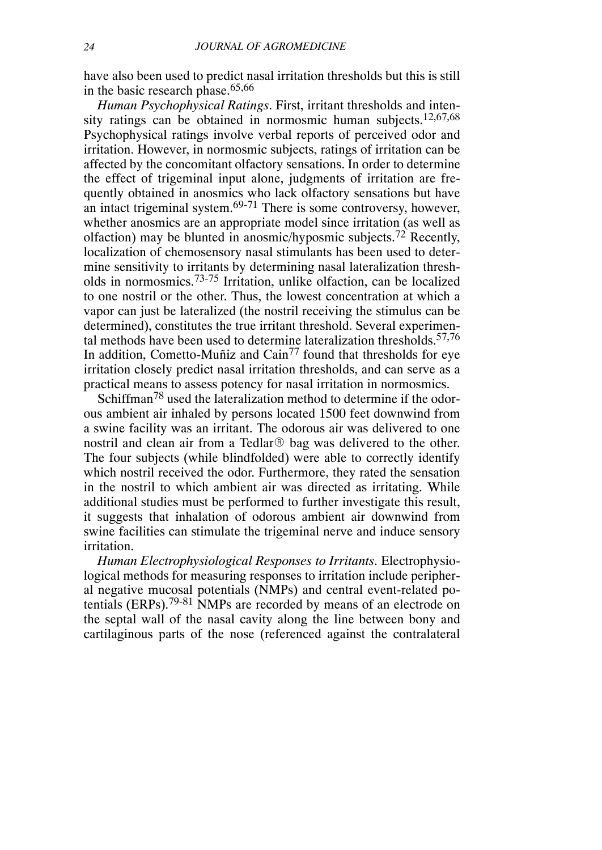have also been used to predict nasal irritation thresholds but this is still in the basic research phase.65,66

*Human Psychophysical Ratings*. First, irritant thresholds and intensity ratings can be obtained in normosmic human subjects.12,67,68 Psychophysical ratings involve verbal reports of perceived odor and irritation. However, in normosmic subjects, ratings of irritation can be affected by the concomitant olfactory sensations. In order to determine the effect of trigeminal input alone, judgments of irritation are frequently obtained in anosmics who lack olfactory sensations but have an intact trigeminal system.<sup>69-71</sup> There is some controversy, however, whether anosmics are an appropriate model since irritation (as well as olfaction) may be blunted in anosmic/hyposmic subjects.<sup>72</sup> Recently, localization of chemosensory nasal stimulants has been used to determine sensitivity to irritants by determining nasal lateralization thresholds in normosmics.73-75 Irritation, unlike olfaction, can be localized to one nostril or the other. Thus, the lowest concentration at which a vapor can just be lateralized (the nostril receiving the stimulus can be determined), constitutes the true irritant threshold. Several experimental methods have been used to determine lateralization thresholds.<sup>57,76</sup> In addition, Cometto-Muñiz and Cain<sup>77</sup> found that thresholds for eye irritation closely predict nasal irritation thresholds, and can serve as a practical means to assess potency for nasal irritation in normosmics.

Schiffman<sup>78</sup> used the lateralization method to determine if the odorous ambient air inhaled by persons located 1500 feet downwind from a swine facility was an irritant. The odorous air was delivered to one nostril and clean air from a Tedlar® bag was delivered to the other. The four subjects (while blindfolded) were able to correctly identify which nostril received the odor. Furthermore, they rated the sensation in the nostril to which ambient air was directed as irritating. While additional studies must be performed to further investigate this result, it suggests that inhalation of odorous ambient air downwind from swine facilities can stimulate the trigeminal nerve and induce sensory irritation.

*Human Electrophysiological Responses to Irritants*. Electrophysiological methods for measuring responses to irritation include peripheral negative mucosal potentials (NMPs) and central event-related potentials (ERPs).79-81 NMPs are recorded by means of an electrode on the septal wall of the nasal cavity along the line between bony and cartilaginous parts of the nose (referenced against the contralateral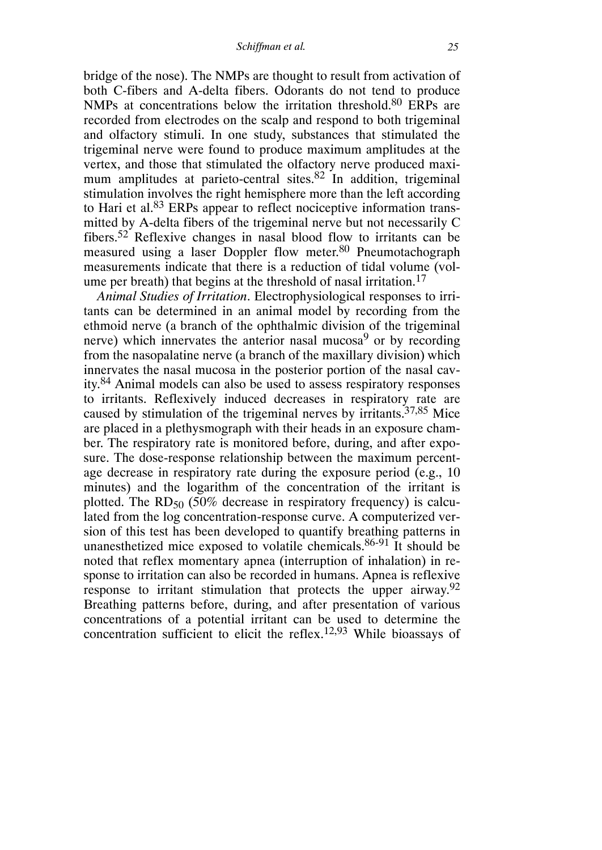bridge of the nose). The NMPs are thought to result from activation of both C-fibers and A-delta fibers. Odorants do not tend to produce NMPs at concentrations below the irritation threshold.<sup>80</sup> ERPs are recorded from electrodes on the scalp and respond to both trigeminal and olfactory stimuli. In one study, substances that stimulated the trigeminal nerve were found to produce maximum amplitudes at the vertex, and those that stimulated the olfactory nerve produced maximum amplitudes at parieto-central sites.<sup>82</sup> In addition, trigeminal stimulation involves the right hemisphere more than the left according to Hari et al.<sup>83</sup> ERPs appear to reflect nociceptive information transmitted by A-delta fibers of the trigeminal nerve but not necessarily C fibers.52 Reflexive changes in nasal blood flow to irritants can be measured using a laser Doppler flow meter.<sup>80</sup> Pneumotachograph measurements indicate that there is a reduction of tidal volume (volume per breath) that begins at the threshold of nasal irritation.<sup>17</sup>

*Animal Studies of Irritation*. Electrophysiological responses to irritants can be determined in an animal model by recording from the ethmoid nerve (a branch of the ophthalmic division of the trigeminal nerve) which innervates the anterior nasal mucosa<sup>9</sup> or by recording from the nasopalatine nerve (a branch of the maxillary division) which innervates the nasal mucosa in the posterior portion of the nasal cavity.84 Animal models can also be used to assess respiratory responses to irritants. Reflexively induced decreases in respiratory rate are caused by stimulation of the trigeminal nerves by irritants.<sup>37,85</sup> Mice are placed in a plethysmograph with their heads in an exposure chamber. The respiratory rate is monitored before, during, and after exposure. The dose-response relationship between the maximum percentage decrease in respiratory rate during the exposure period (e.g., 10 minutes) and the logarithm of the concentration of the irritant is plotted. The  $RD_{50}$  (50% decrease in respiratory frequency) is calculated from the log concentration-response curve. A computerized version of this test has been developed to quantify breathing patterns in unanesthetized mice exposed to volatile chemicals.  $86-91$  It should be noted that reflex momentary apnea (interruption of inhalation) in response to irritation can also be recorded in humans. Apnea is reflexive response to irritant stimulation that protects the upper airway.92 Breathing patterns before, during, and after presentation of various concentrations of a potential irritant can be used to determine the concentration sufficient to elicit the reflex.12,93 While bioassays of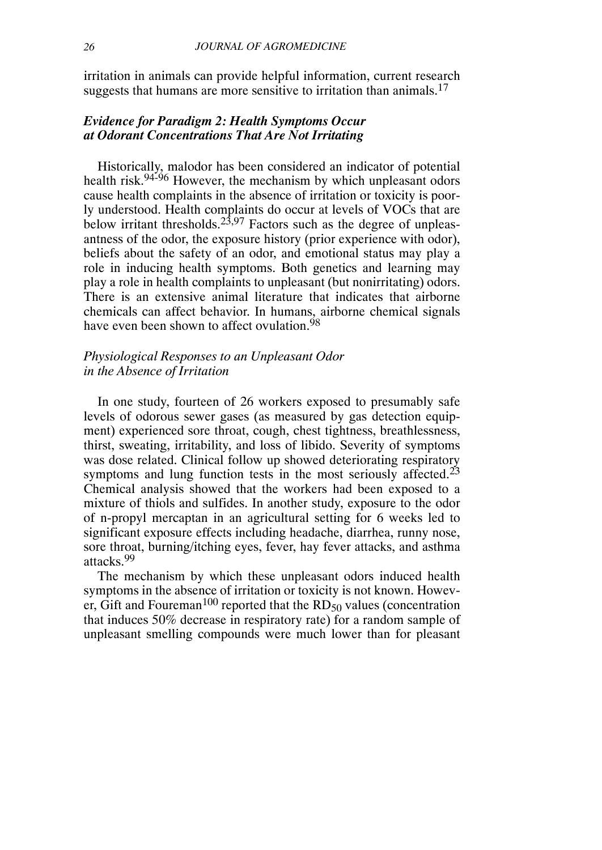irritation in animals can provide helpful information, current research suggests that humans are more sensitive to irritation than animals.<sup>17</sup>

# *Evidence for Paradigm 2: Health Symptoms Occur at Odorant Concentrations That Are Not Irritating*

Historically, malodor has been considered an indicator of potential health risk.<sup>94-96</sup> However, the mechanism by which unpleasant odors cause health complaints in the absence of irritation or toxicity is poorly understood. Health complaints do occur at levels of VOCs that are below irritant thresholds. $23,97$  Factors such as the degree of unpleasantness of the odor, the exposure history (prior experience with odor), beliefs about the safety of an odor, and emotional status may play a role in inducing health symptoms. Both genetics and learning may play a role in health complaints to unpleasant (but nonirritating) odors. There is an extensive animal literature that indicates that airborne chemicals can affect behavior. In humans, airborne chemical signals have even been shown to affect ovulation.<sup>98</sup>

# *Physiological Responses to an Unpleasant Odor in the Absence of Irritation*

In one study, fourteen of 26 workers exposed to presumably safe levels of odorous sewer gases (as measured by gas detection equipment) experienced sore throat, cough, chest tightness, breathlessness, thirst, sweating, irritability, and loss of libido. Severity of symptoms was dose related. Clinical follow up showed deteriorating respiratory symptoms and lung function tests in the most seriously affected.<sup>23</sup> Chemical analysis showed that the workers had been exposed to a mixture of thiols and sulfides. In another study, exposure to the odor of n-propyl mercaptan in an agricultural setting for 6 weeks led to significant exposure effects including headache, diarrhea, runny nose, sore throat, burning/itching eyes, fever, hay fever attacks, and asthma attacks.99

The mechanism by which these unpleasant odors induced health symptoms in the absence of irritation or toxicity is not known. However, Gift and Foureman<sup>100</sup> reported that the  $RD_{50}$  values (concentration that induces 50% decrease in respiratory rate) for a random sample of unpleasant smelling compounds were much lower than for pleasant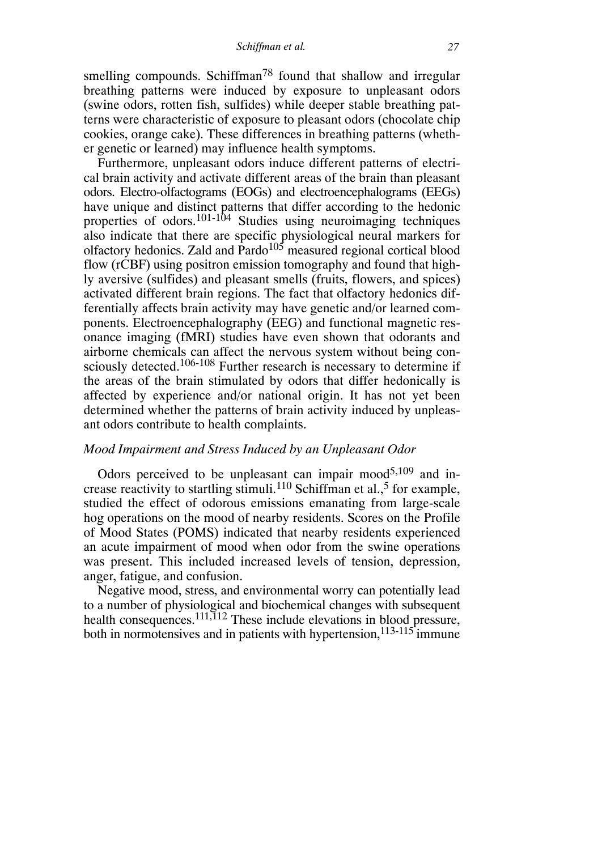smelling compounds. Schiffman<sup>78</sup> found that shallow and irregular breathing patterns were induced by exposure to unpleasant odors (swine odors, rotten fish, sulfides) while deeper stable breathing patterns were characteristic of exposure to pleasant odors (chocolate chip cookies, orange cake). These differences in breathing patterns (whether genetic or learned) may influence health symptoms.

Furthermore, unpleasant odors induce different patterns of electrical brain activity and activate different areas of the brain than pleasant odors. Electro-olfactograms (EOGs) and electroencephalograms (EEGs) have unique and distinct patterns that differ according to the hedonic properties of odors.101-104 Studies using neuroimaging techniques also indicate that there are specific physiological neural markers for olfactory hedonics. Zald and Pardo<sup>105</sup> measured regional cortical blood flow (rCBF) using positron emission tomography and found that highly aversive (sulfides) and pleasant smells (fruits, flowers, and spices) activated different brain regions. The fact that olfactory hedonics differentially affects brain activity may have genetic and/or learned components. Electroencephalography (EEG) and functional magnetic resonance imaging (fMRI) studies have even shown that odorants and airborne chemicals can affect the nervous system without being consciously detected.<sup>106-108</sup> Further research is necessary to determine if the areas of the brain stimulated by odors that differ hedonically is affected by experience and/or national origin. It has not yet been determined whether the patterns of brain activity induced by unpleasant odors contribute to health complaints.

# *Mood Impairment and Stress Induced by an Unpleasant Odor*

Odors perceived to be unpleasant can impair mood<sup>5,109</sup> and increase reactivity to startling stimuli.<sup>110</sup> Schiffman et al.,<sup>5</sup> for example, studied the effect of odorous emissions emanating from large-scale hog operations on the mood of nearby residents. Scores on the Profile of Mood States (POMS) indicated that nearby residents experienced an acute impairment of mood when odor from the swine operations was present. This included increased levels of tension, depression, anger, fatigue, and confusion.

Negative mood, stress, and environmental worry can potentially lead to a number of physiological and biochemical changes with subsequent health consequences.<sup>111, 112</sup> These include elevations in blood pressure, both in normotensives and in patients with hypertension,<sup>113-115</sup> immune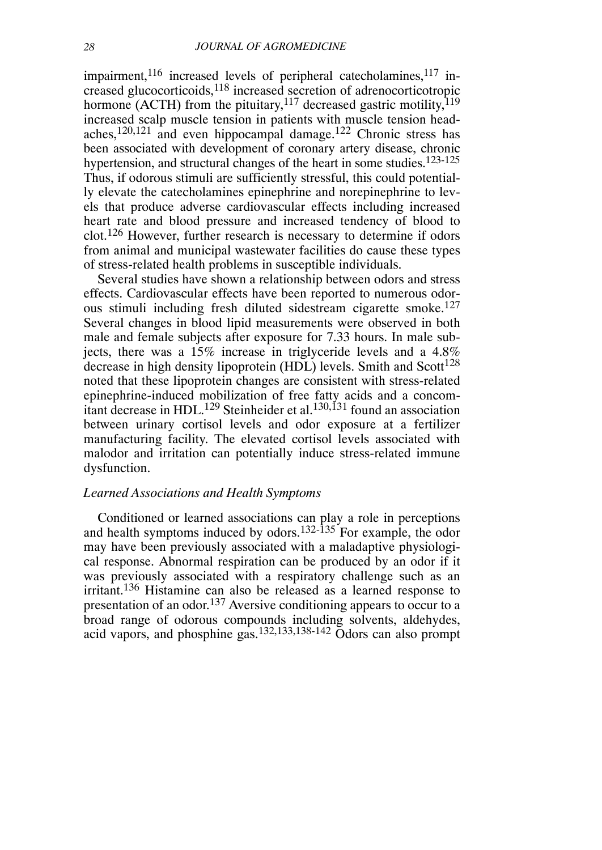impairment,<sup>116</sup> increased levels of peripheral catecholamines,<sup>117</sup> increased glucocorticoids,118 increased secretion of adrenocorticotropic hormone (ACTH) from the pituitary,<sup>117</sup> decreased gastric motility,<sup>119</sup> increased scalp muscle tension in patients with muscle tension headaches, $120,121$  and even hippocampal damage. $122$  Chronic stress has been associated with development of coronary artery disease, chronic hypertension, and structural changes of the heart in some studies.<sup>123-125</sup> Thus, if odorous stimuli are sufficiently stressful, this could potentially elevate the catecholamines epinephrine and norepinephrine to levels that produce adverse cardiovascular effects including increased heart rate and blood pressure and increased tendency of blood to clot.126 However, further research is necessary to determine if odors from animal and municipal wastewater facilities do cause these types of stress-related health problems in susceptible individuals.

Several studies have shown a relationship between odors and stress effects. Cardiovascular effects have been reported to numerous odorous stimuli including fresh diluted sidestream cigarette smoke.<sup>127</sup> Several changes in blood lipid measurements were observed in both male and female subjects after exposure for 7.33 hours. In male subjects, there was a 15% increase in triglyceride levels and a 4.8% decrease in high density lipoprotein (HDL) levels. Smith and Scott<sup>128</sup> noted that these lipoprotein changes are consistent with stress-related epinephrine-induced mobilization of free fatty acids and a concomitant decrease in HDL.129 Steinheider et al.130,131 found an association between urinary cortisol levels and odor exposure at a fertilizer manufacturing facility. The elevated cortisol levels associated with malodor and irritation can potentially induce stress-related immune dysfunction.

#### *Learned Associations and Health Symptoms*

Conditioned or learned associations can play a role in perceptions and health symptoms induced by odors.<sup>132-135</sup> For example, the odor may have been previously associated with a maladaptive physiological response. Abnormal respiration can be produced by an odor if it was previously associated with a respiratory challenge such as an irritant.136 Histamine can also be released as a learned response to presentation of an odor.137 Aversive conditioning appears to occur to a broad range of odorous compounds including solvents, aldehydes, acid vapors, and phosphine gas.<sup>132,133,138-142</sup> Odors can also prompt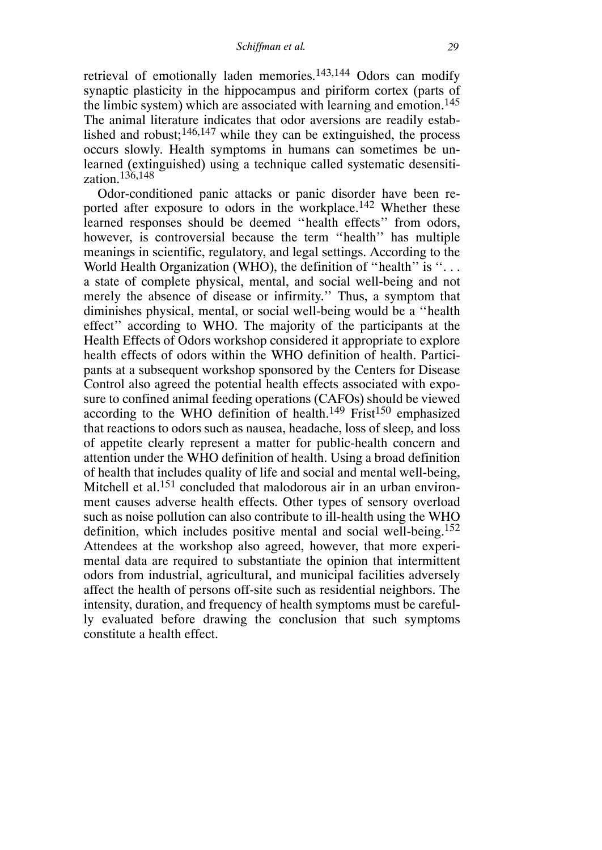retrieval of emotionally laden memories.<sup>143,144</sup> Odors can modify synaptic plasticity in the hippocampus and piriform cortex (parts of the limbic system) which are associated with learning and emotion.<sup>145</sup> The animal literature indicates that odor aversions are readily established and robust; $146,147$  while they can be extinguished, the process occurs slowly. Health symptoms in humans can sometimes be unlearned (extinguished) using a technique called systematic desensitization.136,148

Odor-conditioned panic attacks or panic disorder have been reported after exposure to odors in the workplace.<sup>142</sup> Whether these learned responses should be deemed ''health effects'' from odors, however, is controversial because the term ''health'' has multiple meanings in scientific, regulatory, and legal settings. According to the World Health Organization (WHO), the definition of "health" is "... a state of complete physical, mental, and social well-being and not merely the absence of disease or infirmity.'' Thus, a symptom that diminishes physical, mental, or social well-being would be a ''health effect'' according to WHO. The majority of the participants at the Health Effects of Odors workshop considered it appropriate to explore health effects of odors within the WHO definition of health. Participants at a subsequent workshop sponsored by the Centers for Disease Control also agreed the potential health effects associated with exposure to confined animal feeding operations (CAFOs) should be viewed according to the WHO definition of health.<sup>149</sup> Frist<sup>150</sup> emphasized that reactions to odors such as nausea, headache, loss of sleep, and loss of appetite clearly represent a matter for public-health concern and attention under the WHO definition of health. Using a broad definition of health that includes quality of life and social and mental well-being, Mitchell et al.<sup>151</sup> concluded that malodorous air in an urban environment causes adverse health effects. Other types of sensory overload such as noise pollution can also contribute to ill-health using the WHO definition, which includes positive mental and social well-being.152 Attendees at the workshop also agreed, however, that more experimental data are required to substantiate the opinion that intermittent odors from industrial, agricultural, and municipal facilities adversely affect the health of persons off-site such as residential neighbors. The intensity, duration, and frequency of health symptoms must be carefully evaluated before drawing the conclusion that such symptoms constitute a health effect.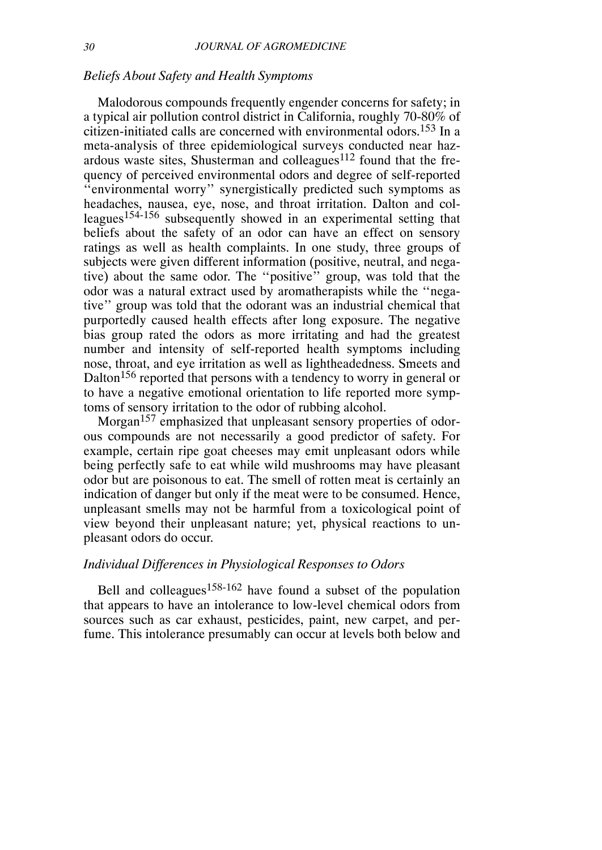# *Beliefs About Safety and Health Symptoms*

Malodorous compounds frequently engender concerns for safety; in a typical air pollution control district in California, roughly 70-80% of citizen-initiated calls are concerned with environmental odors.153 In a meta-analysis of three epidemiological surveys conducted near hazardous waste sites, Shusterman and colleagues $112$  found that the frequency of perceived environmental odors and degree of self-reported ''environmental worry'' synergistically predicted such symptoms as headaches, nausea, eye, nose, and throat irritation. Dalton and colleagues154-156 subsequently showed in an experimental setting that beliefs about the safety of an odor can have an effect on sensory ratings as well as health complaints. In one study, three groups of subjects were given different information (positive, neutral, and negative) about the same odor. The ''positive'' group, was told that the odor was a natural extract used by aromatherapists while the ''negative'' group was told that the odorant was an industrial chemical that purportedly caused health effects after long exposure. The negative bias group rated the odors as more irritating and had the greatest number and intensity of self-reported health symptoms including nose, throat, and eye irritation as well as lightheadedness. Smeets and Dalton<sup>156</sup> reported that persons with a tendency to worry in general or to have a negative emotional orientation to life reported more symptoms of sensory irritation to the odor of rubbing alcohol.

Morgan<sup>157</sup> emphasized that unpleasant sensory properties of odorous compounds are not necessarily a good predictor of safety. For example, certain ripe goat cheeses may emit unpleasant odors while being perfectly safe to eat while wild mushrooms may have pleasant odor but are poisonous to eat. The smell of rotten meat is certainly an indication of danger but only if the meat were to be consumed. Hence, unpleasant smells may not be harmful from a toxicological point of view beyond their unpleasant nature; yet, physical reactions to unpleasant odors do occur.

# *Individual Differences in Physiological Responses to Odors*

Bell and colleagues<sup>158-162</sup> have found a subset of the population that appears to have an intolerance to low-level chemical odors from sources such as car exhaust, pesticides, paint, new carpet, and perfume. This intolerance presumably can occur at levels both below and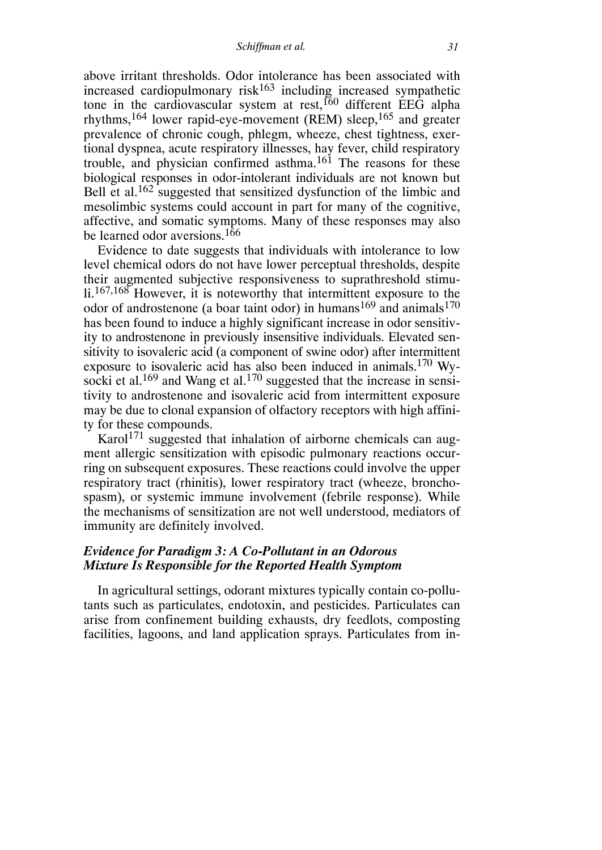above irritant thresholds. Odor intolerance has been associated with increased cardiopulmonary risk $163$  including increased sympathetic tone in the cardiovascular system at rest,<sup>160</sup> different EEG alpha rhythms,164 lower rapid-eye-movement (REM) sleep,165 and greater prevalence of chronic cough, phlegm, wheeze, chest tightness, exertional dyspnea, acute respiratory illnesses, hay fever, child respiratory trouble, and physician confirmed asthma.161 The reasons for these biological responses in odor-intolerant individuals are not known but Bell et al.<sup>162</sup> suggested that sensitized dysfunction of the limbic and mesolimbic systems could account in part for many of the cognitive, affective, and somatic symptoms. Many of these responses may also be learned odor aversions.<sup>166</sup>

Evidence to date suggests that individuals with intolerance to low level chemical odors do not have lower perceptual thresholds, despite their augmented subjective responsiveness to suprathreshold stimuli.167,168 However, it is noteworthy that intermittent exposure to the odor of androstenone (a boar taint odor) in humans<sup>169</sup> and animals<sup>170</sup> has been found to induce a highly significant increase in odor sensitivity to androstenone in previously insensitive individuals. Elevated sensitivity to isovaleric acid (a component of swine odor) after intermittent exposure to isovaleric acid has also been induced in animals.170 Wysocki et al.<sup>169</sup> and Wang et al.<sup>170</sup> suggested that the increase in sensitivity to androstenone and isovaleric acid from intermittent exposure may be due to clonal expansion of olfactory receptors with high affinity for these compounds.

Karol<sup>171</sup> suggested that inhalation of airborne chemicals can augment allergic sensitization with episodic pulmonary reactions occurring on subsequent exposures. These reactions could involve the upper respiratory tract (rhinitis), lower respiratory tract (wheeze, bronchospasm), or systemic immune involvement (febrile response). While the mechanisms of sensitization are not well understood, mediators of immunity are definitely involved.

# *Evidence for Paradigm 3: A Co-Pollutant in an Odorous Mixture Is Responsible for the Reported Health Symptom*

In agricultural settings, odorant mixtures typically contain co-pollutants such as particulates, endotoxin, and pesticides. Particulates can arise from confinement building exhausts, dry feedlots, composting facilities, lagoons, and land application sprays. Particulates from in-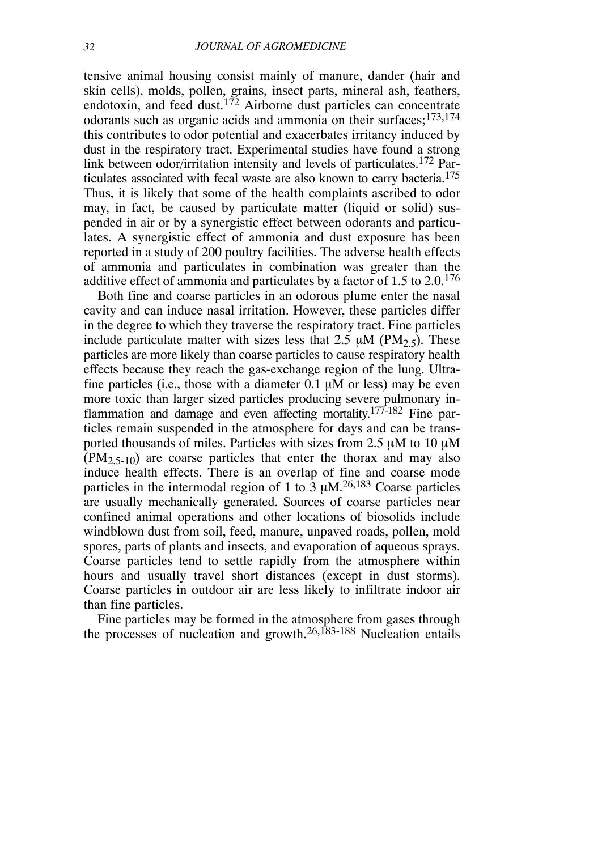tensive animal housing consist mainly of manure, dander (hair and skin cells), molds, pollen, grains, insect parts, mineral ash, feathers, endotoxin, and feed dust.<sup>172</sup> Airborne dust particles can concentrate odorants such as organic acids and ammonia on their surfaces;<sup>173,174</sup> this contributes to odor potential and exacerbates irritancy induced by dust in the respiratory tract. Experimental studies have found a strong link between odor/irritation intensity and levels of particulates.<sup>172</sup> Particulates associated with fecal waste are also known to carry bacteria.175 Thus, it is likely that some of the health complaints ascribed to odor may, in fact, be caused by particulate matter (liquid or solid) suspended in air or by a synergistic effect between odorants and particulates. A synergistic effect of ammonia and dust exposure has been reported in a study of 200 poultry facilities. The adverse health effects of ammonia and particulates in combination was greater than the additive effect of ammonia and particulates by a factor of 1.5 to 2.0.176

Both fine and coarse particles in an odorous plume enter the nasal cavity and can induce nasal irritation. However, these particles differ in the degree to which they traverse the respiratory tract. Fine particles include particulate matter with sizes less that 2.5  $\mu$ M (PM<sub>2.5</sub>). These particles are more likely than coarse particles to cause respiratory health effects because they reach the gas-exchange region of the lung. Ultrafine particles (i.e., those with a diameter  $0.1 \mu M$  or less) may be even more toxic than larger sized particles producing severe pulmonary inflammation and damage and even affecting mortality.<sup>177-182</sup> Fine particles remain suspended in the atmosphere for days and can be transported thousands of miles. Particles with sizes from 2.5 μM to 10 μM  $(PM<sub>2.5-10</sub>)$  are coarse particles that enter the thorax and may also induce health effects. There is an overlap of fine and coarse mode particles in the intermodal region of 1 to  $\frac{3}{3} \mu$ M.<sup>26,183</sup> Coarse particles are usually mechanically generated. Sources of coarse particles near confined animal operations and other locations of biosolids include windblown dust from soil, feed, manure, unpaved roads, pollen, mold spores, parts of plants and insects, and evaporation of aqueous sprays. Coarse particles tend to settle rapidly from the atmosphere within hours and usually travel short distances (except in dust storms). Coarse particles in outdoor air are less likely to infiltrate indoor air than fine particles.

Fine particles may be formed in the atmosphere from gases through the processes of nucleation and growth.26,183-188 Nucleation entails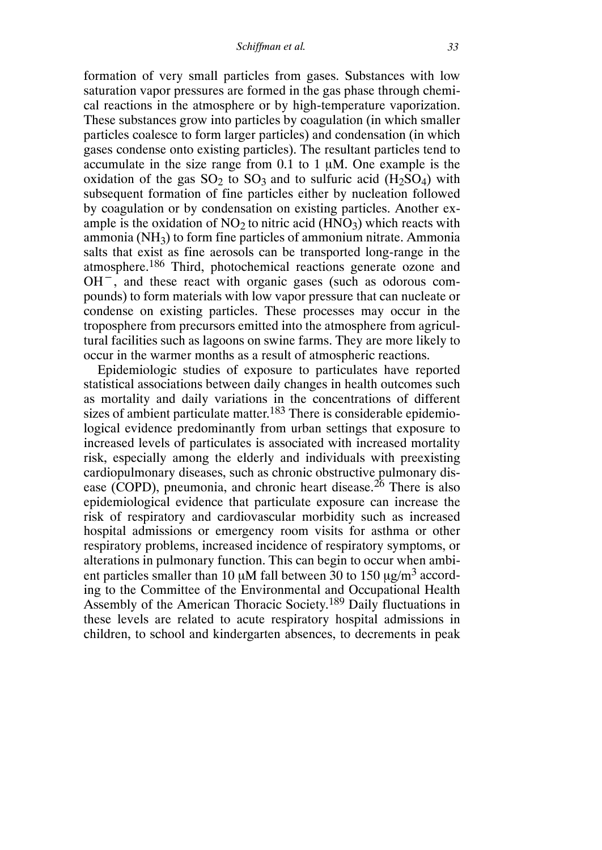formation of very small particles from gases. Substances with low saturation vapor pressures are formed in the gas phase through chemical reactions in the atmosphere or by high-temperature vaporization. These substances grow into particles by coagulation (in which smaller particles coalesce to form larger particles) and condensation (in which gases condense onto existing particles). The resultant particles tend to accumulate in the size range from 0.1 to 1 μM. One example is the oxidation of the gas  $SO_2$  to  $SO_3$  and to sulfuric acid (H<sub>2</sub>SO<sub>4</sub>) with subsequent formation of fine particles either by nucleation followed by coagulation or by condensation on existing particles. Another example is the oxidation of  $NO<sub>2</sub>$  to nitric acid (HNO<sub>3</sub>) which reacts with ammonia  $(NH<sub>3</sub>)$  to form fine particles of ammonium nitrate. Ammonia salts that exist as fine aerosols can be transported long-range in the atmosphere.186 Third, photochemical reactions generate ozone and OH−, and these react with organic gases (such as odorous compounds) to form materials with low vapor pressure that can nucleate or condense on existing particles. These processes may occur in the troposphere from precursors emitted into the atmosphere from agricultural facilities such as lagoons on swine farms. They are more likely to occur in the warmer months as a result of atmospheric reactions.

Epidemiologic studies of exposure to particulates have reported statistical associations between daily changes in health outcomes such as mortality and daily variations in the concentrations of different sizes of ambient particulate matter.<sup>183</sup> There is considerable epidemiological evidence predominantly from urban settings that exposure to increased levels of particulates is associated with increased mortality risk, especially among the elderly and individuals with preexisting cardiopulmonary diseases, such as chronic obstructive pulmonary disease (COPD), pneumonia, and chronic heart disease.<sup>26</sup> There is also epidemiological evidence that particulate exposure can increase the risk of respiratory and cardiovascular morbidity such as increased hospital admissions or emergency room visits for asthma or other respiratory problems, increased incidence of respiratory symptoms, or alterations in pulmonary function. This can begin to occur when ambient particles smaller than 10  $\mu$ M fall between 30 to 150  $\mu$ g/m<sup>3</sup> according to the Committee of the Environmental and Occupational Health Assembly of the American Thoracic Society.<sup>189</sup> Daily fluctuations in these levels are related to acute respiratory hospital admissions in children, to school and kindergarten absences, to decrements in peak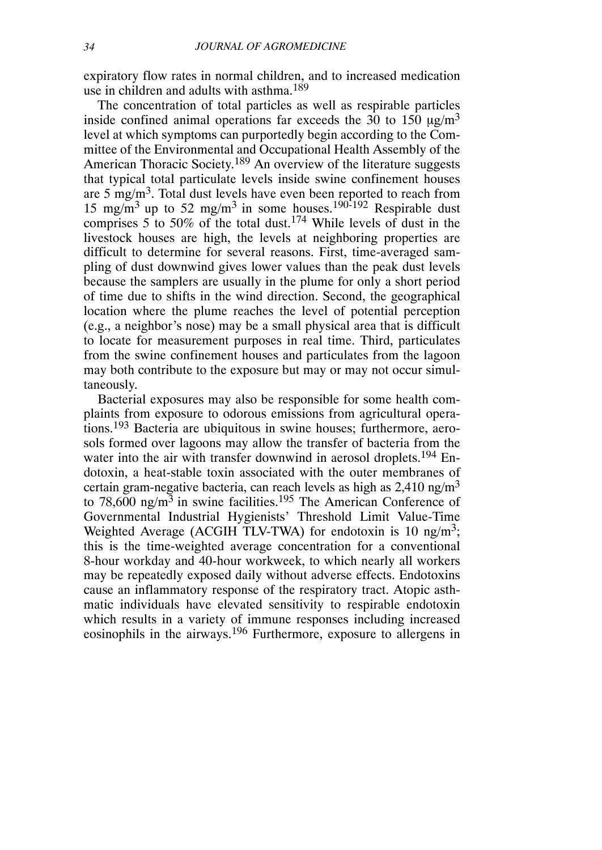expiratory flow rates in normal children, and to increased medication use in children and adults with asthma.<sup>189</sup>

The concentration of total particles as well as respirable particles inside confined animal operations far exceeds the  $30$  to  $150 \text{ µg/m}^3$ level at which symptoms can purportedly begin according to the Committee of the Environmental and Occupational Health Assembly of the American Thoracic Society.<sup>189</sup> An overview of the literature suggests that typical total particulate levels inside swine confinement houses are  $5 \text{ mg/m}^3$ . Total dust levels have even been reported to reach from 15 mg/m<sup>3</sup> up to 52 mg/m<sup>3</sup> in some houses.<sup>190-192</sup> Respirable dust comprises  $5$  to  $50\%$  of the total dust.<sup>174</sup> While levels of dust in the livestock houses are high, the levels at neighboring properties are difficult to determine for several reasons. First, time-averaged sampling of dust downwind gives lower values than the peak dust levels because the samplers are usually in the plume for only a short period of time due to shifts in the wind direction. Second, the geographical location where the plume reaches the level of potential perception (e.g., a neighbor's nose) may be a small physical area that is difficult to locate for measurement purposes in real time. Third, particulates from the swine confinement houses and particulates from the lagoon may both contribute to the exposure but may or may not occur simultaneously.

Bacterial exposures may also be responsible for some health complaints from exposure to odorous emissions from agricultural operations.193 Bacteria are ubiquitous in swine houses; furthermore, aerosols formed over lagoons may allow the transfer of bacteria from the water into the air with transfer downwind in aerosol droplets.<sup>194</sup> Endotoxin, a heat-stable toxin associated with the outer membranes of certain gram-negative bacteria, can reach levels as high as  $2,410$  ng/m<sup>3</sup> to 78,600 ng/m<sup>3</sup> in swine facilities.<sup>195</sup> The American Conference of Governmental Industrial Hygienists' Threshold Limit Value-Time Weighted Average (ACGIH TLV-TWA) for endotoxin is 10 ng/m<sup>3</sup>; this is the time-weighted average concentration for a conventional 8-hour workday and 40-hour workweek, to which nearly all workers may be repeatedly exposed daily without adverse effects. Endotoxins cause an inflammatory response of the respiratory tract. Atopic asthmatic individuals have elevated sensitivity to respirable endotoxin which results in a variety of immune responses including increased eosinophils in the airways.<sup>196</sup> Furthermore, exposure to allergens in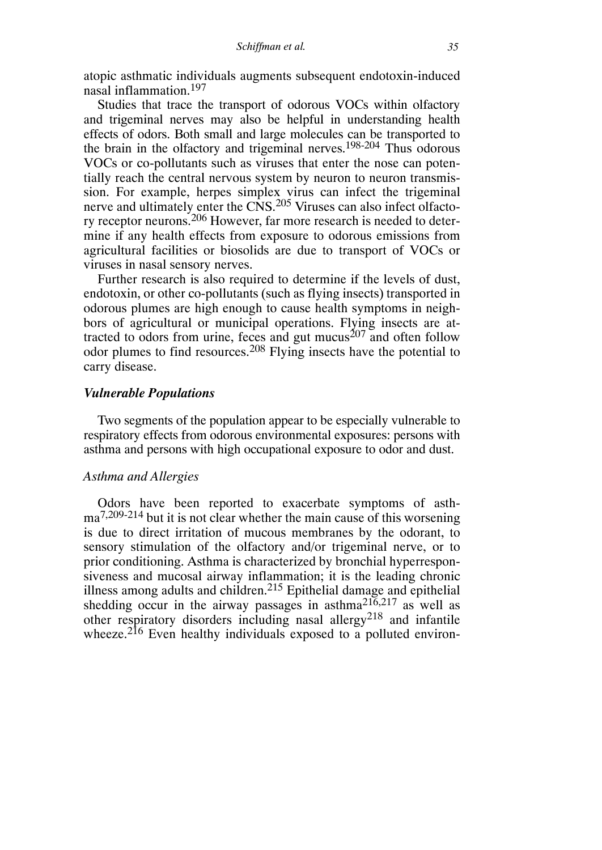atopic asthmatic individuals augments subsequent endotoxin-induced nasal inflammation.197

Studies that trace the transport of odorous VOCs within olfactory and trigeminal nerves may also be helpful in understanding health effects of odors. Both small and large molecules can be transported to the brain in the olfactory and trigeminal nerves.<sup>198-204</sup> Thus odorous VOCs or co-pollutants such as viruses that enter the nose can potentially reach the central nervous system by neuron to neuron transmission. For example, herpes simplex virus can infect the trigeminal nerve and ultimately enter the CNS.<sup>205</sup> Viruses can also infect olfactory receptor neurons.206 However, far more research is needed to determine if any health effects from exposure to odorous emissions from agricultural facilities or biosolids are due to transport of VOCs or viruses in nasal sensory nerves.

Further research is also required to determine if the levels of dust, endotoxin, or other co-pollutants (such as flying insects) transported in odorous plumes are high enough to cause health symptoms in neighbors of agricultural or municipal operations. Flying insects are attracted to odors from urine, feces and gut mucus $207$  and often follow odor plumes to find resources.208 Flying insects have the potential to carry disease.

#### *Vulnerable Populations*

Two segments of the population appear to be especially vulnerable to respiratory effects from odorous environmental exposures: persons with asthma and persons with high occupational exposure to odor and dust.

#### *Asthma and Allergies*

Odors have been reported to exacerbate symptoms of asth- $\text{ma}^{7,209-214}$  but it is not clear whether the main cause of this worsening is due to direct irritation of mucous membranes by the odorant, to sensory stimulation of the olfactory and/or trigeminal nerve, or to prior conditioning. Asthma is characterized by bronchial hyperresponsiveness and mucosal airway inflammation; it is the leading chronic illness among adults and children.215 Epithelial damage and epithelial shedding occur in the airway passages in asthma<sup>216,217</sup> as well as other respiratory disorders including nasal allergy218 and infantile wheeze.<sup>216</sup> Even healthy individuals exposed to a polluted environ-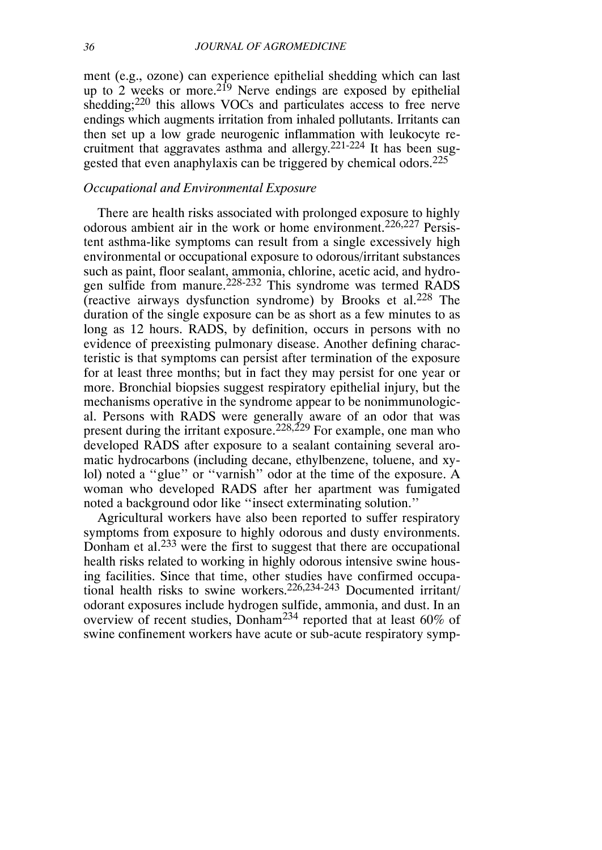ment (e.g., ozone) can experience epithelial shedding which can last up to  $2 \times 2^{19}$  Nerve endings are exposed by epithelial shedding;<sup>220</sup> this allows VOCs and particulates access to free nerve endings which augments irritation from inhaled pollutants. Irritants can then set up a low grade neurogenic inflammation with leukocyte recruitment that aggravates asthma and allergy.221-224 It has been suggested that even anaphylaxis can be triggered by chemical odors.<sup>225</sup>

#### *Occupational and Environmental Exposure*

There are health risks associated with prolonged exposure to highly odorous ambient air in the work or home environment.226,227 Persistent asthma-like symptoms can result from a single excessively high environmental or occupational exposure to odorous/irritant substances such as paint, floor sealant, ammonia, chlorine, acetic acid, and hydrogen sulfide from manure.228-232 This syndrome was termed RADS (reactive airways dysfunction syndrome) by Brooks et al.228 The duration of the single exposure can be as short as a few minutes to as long as 12 hours. RADS, by definition, occurs in persons with no evidence of preexisting pulmonary disease. Another defining characteristic is that symptoms can persist after termination of the exposure for at least three months; but in fact they may persist for one year or more. Bronchial biopsies suggest respiratory epithelial injury, but the mechanisms operative in the syndrome appear to be nonimmunological. Persons with RADS were generally aware of an odor that was present during the irritant exposure.<sup>228,229</sup> For example, one man who developed RADS after exposure to a sealant containing several aromatic hydrocarbons (including decane, ethylbenzene, toluene, and xylol) noted a ''glue'' or ''varnish'' odor at the time of the exposure. A woman who developed RADS after her apartment was fumigated noted a background odor like ''insect exterminating solution.''

Agricultural workers have also been reported to suffer respiratory symptoms from exposure to highly odorous and dusty environments. Donham et al.<sup>233</sup> were the first to suggest that there are occupational health risks related to working in highly odorous intensive swine housing facilities. Since that time, other studies have confirmed occupational health risks to swine workers.226,234-243 Documented irritant/ odorant exposures include hydrogen sulfide, ammonia, and dust. In an overview of recent studies, Donham234 reported that at least 60% of swine confinement workers have acute or sub-acute respiratory symp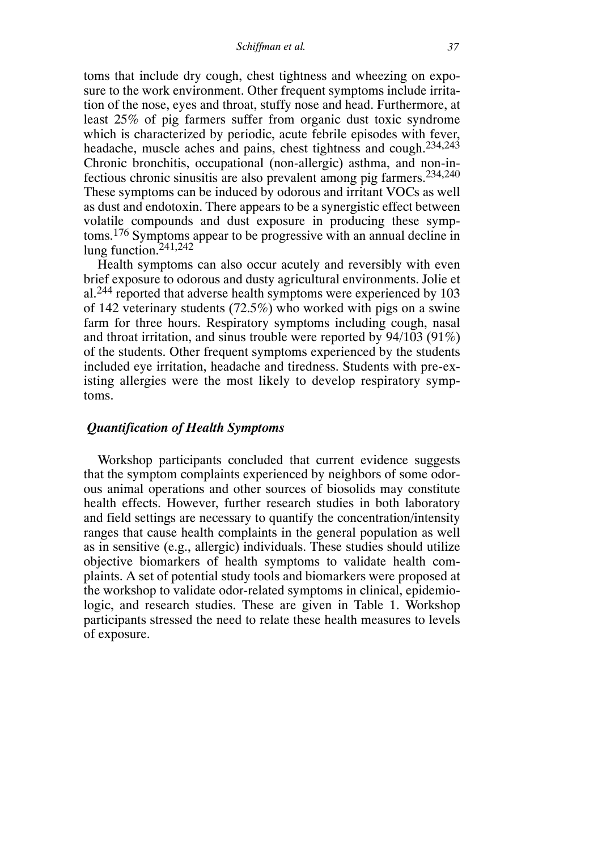toms that include dry cough, chest tightness and wheezing on exposure to the work environment. Other frequent symptoms include irritation of the nose, eyes and throat, stuffy nose and head. Furthermore, at least 25% of pig farmers suffer from organic dust toxic syndrome which is characterized by periodic, acute febrile episodes with fever, headache, muscle aches and pains, chest tightness and cough.<sup>234,243</sup> Chronic bronchitis, occupational (non-allergic) asthma, and non-infectious chronic sinusitis are also prevalent among pig farmers.234,240 These symptoms can be induced by odorous and irritant VOCs as well as dust and endotoxin. There appears to be a synergistic effect between volatile compounds and dust exposure in producing these symptoms.176 Symptoms appear to be progressive with an annual decline in lung function.241,242

Health symptoms can also occur acutely and reversibly with even brief exposure to odorous and dusty agricultural environments. Jolie et al.<sup>244</sup> reported that adverse health symptoms were experienced by  $103$ of 142 veterinary students (72.5%) who worked with pigs on a swine farm for three hours. Respiratory symptoms including cough, nasal and throat irritation, and sinus trouble were reported by 94/103 (91%) of the students. Other frequent symptoms experienced by the students included eye irritation, headache and tiredness. Students with pre-existing allergies were the most likely to develop respiratory symptoms.

# *Quantification of Health Symptoms*

Workshop participants concluded that current evidence suggests that the symptom complaints experienced by neighbors of some odorous animal operations and other sources of biosolids may constitute health effects. However, further research studies in both laboratory and field settings are necessary to quantify the concentration/intensity ranges that cause health complaints in the general population as well as in sensitive (e.g., allergic) individuals. These studies should utilize objective biomarkers of health symptoms to validate health complaints. A set of potential study tools and biomarkers were proposed at the workshop to validate odor-related symptoms in clinical, epidemiologic, and research studies. These are given in Table 1. Workshop participants stressed the need to relate these health measures to levels of exposure.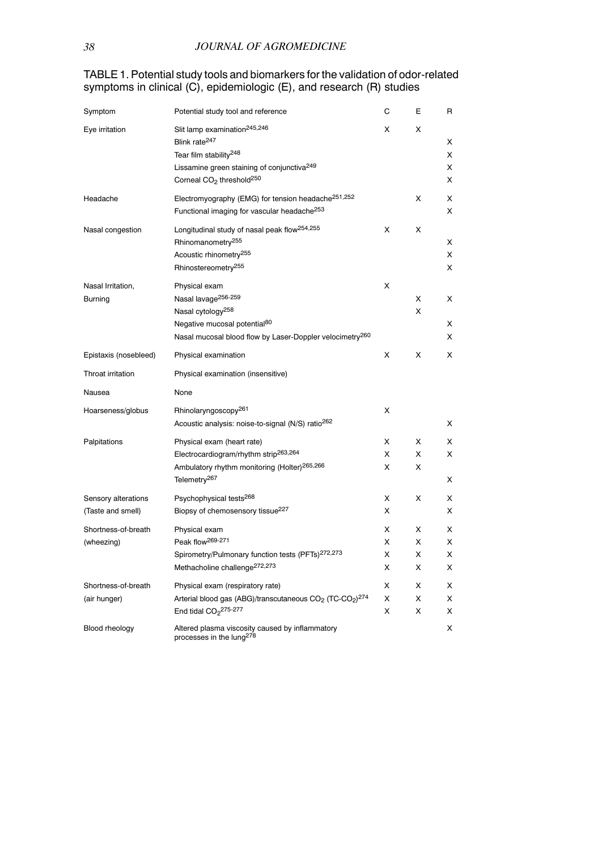TABLE 1. Potential study tools and biomarkers for the validation of odor-related symptoms in clinical (C), epidemiologic (E), and research (R) studies

| Symptom               | Potential study tool and reference                                                                                        | С | E | R      |
|-----------------------|---------------------------------------------------------------------------------------------------------------------------|---|---|--------|
| Eye irritation        | Slit lamp examination <sup>245,246</sup><br>Blink rate <sup>247</sup>                                                     | X | X | X      |
|                       | Tear film stability <sup>248</sup>                                                                                        |   |   | X      |
|                       | Lissamine green staining of conjunctiva <sup>249</sup>                                                                    |   |   | X      |
|                       | Corneal CO <sub>2</sub> threshold <sup>250</sup>                                                                          |   |   | X      |
| Headache              | Electromyography (EMG) for tension headache <sup>251,252</sup><br>Functional imaging for vascular headache <sup>253</sup> |   | X | X<br>X |
| Nasal congestion      | Longitudinal study of nasal peak flow <sup>254,255</sup>                                                                  | X | X |        |
|                       | Rhinomanometry <sup>255</sup>                                                                                             |   |   | X      |
|                       | Acoustic rhinometry <sup>255</sup>                                                                                        |   |   | X      |
|                       | Rhinostereometry <sup>255</sup>                                                                                           |   |   | X      |
| Nasal Irritation,     | Physical exam                                                                                                             | X |   |        |
| Burning               | Nasal lavage <sup>256-259</sup>                                                                                           |   | X | X      |
|                       | Nasal cytology <sup>258</sup>                                                                                             |   | X |        |
|                       | Negative mucosal potential <sup>80</sup>                                                                                  |   |   | X      |
|                       | Nasal mucosal blood flow by Laser-Doppler velocimetry <sup>260</sup>                                                      |   |   | X      |
| Epistaxis (nosebleed) | Physical examination                                                                                                      | X | X | X      |
| Throat irritation     | Physical examination (insensitive)                                                                                        |   |   |        |
| Nausea                | None                                                                                                                      |   |   |        |
| Hoarseness/globus     | Rhinolaryngoscopy <sup>261</sup>                                                                                          | X |   |        |
|                       | Acoustic analysis: noise-to-signal (N/S) ratio <sup>262</sup>                                                             |   |   | X      |
| Palpitations          | Physical exam (heart rate)                                                                                                | х | X | X      |
|                       | Electrocardiogram/rhythm strip <sup>263,264</sup>                                                                         | X | X | X      |
|                       | Ambulatory rhythm monitoring (Holter) <sup>265,266</sup>                                                                  | X | X |        |
|                       | Telemetry <sup>267</sup>                                                                                                  |   |   | X      |
| Sensory alterations   | Psychophysical tests <sup>268</sup>                                                                                       | х | X | X      |
| (Taste and smell)     | Biopsy of chemosensory tissue <sup>227</sup>                                                                              | X |   | X      |
| Shortness-of-breath   | Physical exam                                                                                                             | X | X | X      |
| (wheezing)            | Peak flow <sup>269-271</sup>                                                                                              | X | X | X      |
|                       | Spirometry/Pulmonary function tests (PFTs) <sup>272,273</sup>                                                             | X | X | X      |
|                       | Methacholine challenge <sup>272,273</sup>                                                                                 | X | X | X      |
| Shortness-of-breath   | Physical exam (respiratory rate)                                                                                          | X | X | X      |
| (air hunger)          | Arterial blood gas (ABG)/transcutaneous CO <sub>2</sub> (TC-CO <sub>2</sub> ) <sup>274</sup>                              | X | X | X      |
|                       | End tidal $CO2$ <sup>275-277</sup>                                                                                        | X | X | X      |
| Blood rheology        | Altered plasma viscosity caused by inflammatory<br>processes in the lung <sup>278</sup>                                   |   |   | x      |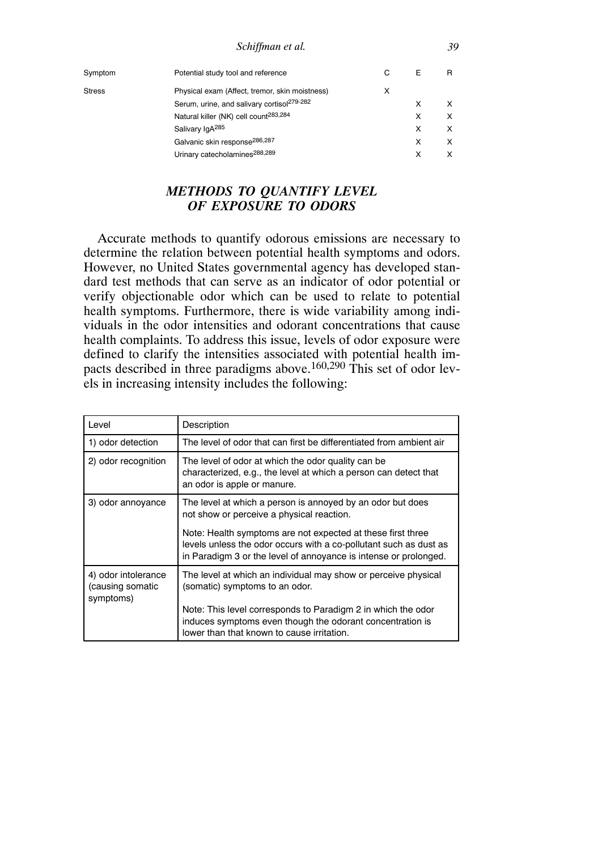| <b>Stress</b><br>Physical exam (Affect, tremor, skin moistness)<br>х |  |
|----------------------------------------------------------------------|--|
| Serum, urine, and salivary cortisol <sup>279-282</sup><br>X          |  |
| Natural killer (NK) cell count <sup>283,284</sup><br>X               |  |
| Salivary IgA <sup>285</sup><br>X                                     |  |
| Galvanic skin response <sup>286,287</sup><br>X                       |  |
| Urinary catecholamines <sup>288,289</sup><br>x                       |  |

# *METHODS TO QUANTIFY LEVEL OF EXPOSURE TO ODORS*

Accurate methods to quantify odorous emissions are necessary to determine the relation between potential health symptoms and odors. However, no United States governmental agency has developed standard test methods that can serve as an indicator of odor potential or verify objectionable odor which can be used to relate to potential health symptoms. Furthermore, there is wide variability among individuals in the odor intensities and odorant concentrations that cause health complaints. To address this issue, levels of odor exposure were defined to clarify the intensities associated with potential health impacts described in three paradigms above.<sup>160,290</sup> This set of odor levels in increasing intensity includes the following:

| Level                                                | Description                                                                                                                                                                                          |
|------------------------------------------------------|------------------------------------------------------------------------------------------------------------------------------------------------------------------------------------------------------|
| 1) odor detection                                    | The level of odor that can first be differentiated from ambient air                                                                                                                                  |
| 2) odor recognition                                  | The level of odor at which the odor quality can be<br>characterized, e.g., the level at which a person can detect that<br>an odor is apple or manure.                                                |
| 3) odor annoyance                                    | The level at which a person is annoyed by an odor but does<br>not show or perceive a physical reaction.                                                                                              |
|                                                      | Note: Health symptoms are not expected at these first three<br>levels unless the odor occurs with a co-pollutant such as dust as<br>in Paradigm 3 or the level of annoyance is intense or prolonged. |
| 4) odor intolerance<br>(causing somatic<br>symptoms) | The level at which an individual may show or perceive physical<br>(somatic) symptoms to an odor.                                                                                                     |
|                                                      | Note: This level corresponds to Paradigm 2 in which the odor<br>induces symptoms even though the odorant concentration is<br>lower than that known to cause irritation.                              |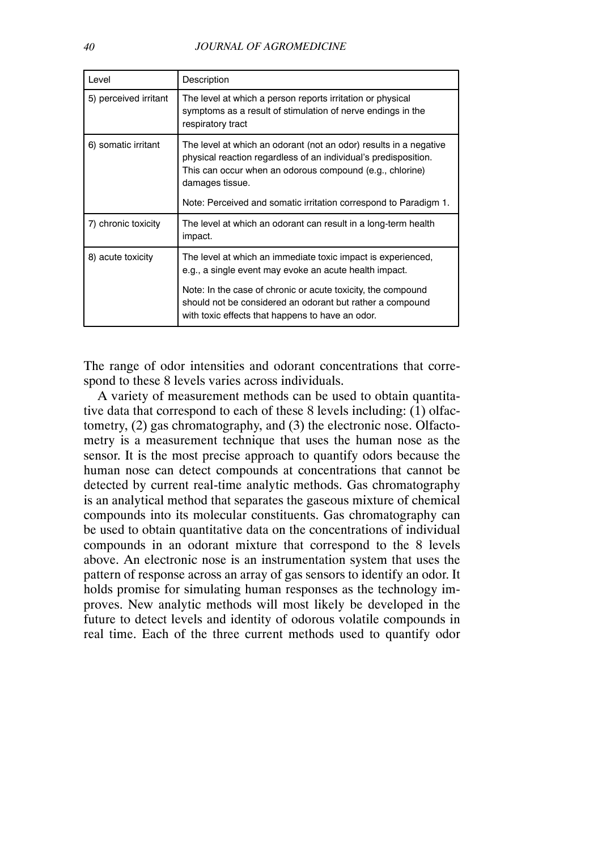| Level                 | Description                                                                                                                                                                                                         |
|-----------------------|---------------------------------------------------------------------------------------------------------------------------------------------------------------------------------------------------------------------|
| 5) perceived irritant | The level at which a person reports irritation or physical<br>symptoms as a result of stimulation of nerve endings in the<br>respiratory tract                                                                      |
| 6) somatic irritant   | The level at which an odorant (not an odor) results in a negative<br>physical reaction regardless of an individual's predisposition.<br>This can occur when an odorous compound (e.g., chlorine)<br>damages tissue. |
|                       | Note: Perceived and somatic irritation correspond to Paradigm 1.                                                                                                                                                    |
| 7) chronic toxicity   | The level at which an odorant can result in a long-term health<br>impact.                                                                                                                                           |
| 8) acute toxicity     | The level at which an immediate toxic impact is experienced,<br>e.g., a single event may evoke an acute health impact.                                                                                              |
|                       | Note: In the case of chronic or acute toxicity, the compound<br>should not be considered an odorant but rather a compound<br>with toxic effects that happens to have an odor.                                       |

The range of odor intensities and odorant concentrations that correspond to these 8 levels varies across individuals.

A variety of measurement methods can be used to obtain quantitative data that correspond to each of these 8 levels including: (1) olfactometry, (2) gas chromatography, and (3) the electronic nose. Olfactometry is a measurement technique that uses the human nose as the sensor. It is the most precise approach to quantify odors because the human nose can detect compounds at concentrations that cannot be detected by current real-time analytic methods. Gas chromatography is an analytical method that separates the gaseous mixture of chemical compounds into its molecular constituents. Gas chromatography can be used to obtain quantitative data on the concentrations of individual compounds in an odorant mixture that correspond to the 8 levels above. An electronic nose is an instrumentation system that uses the pattern of response across an array of gas sensors to identify an odor. It holds promise for simulating human responses as the technology improves. New analytic methods will most likely be developed in the future to detect levels and identity of odorous volatile compounds in real time. Each of the three current methods used to quantify odor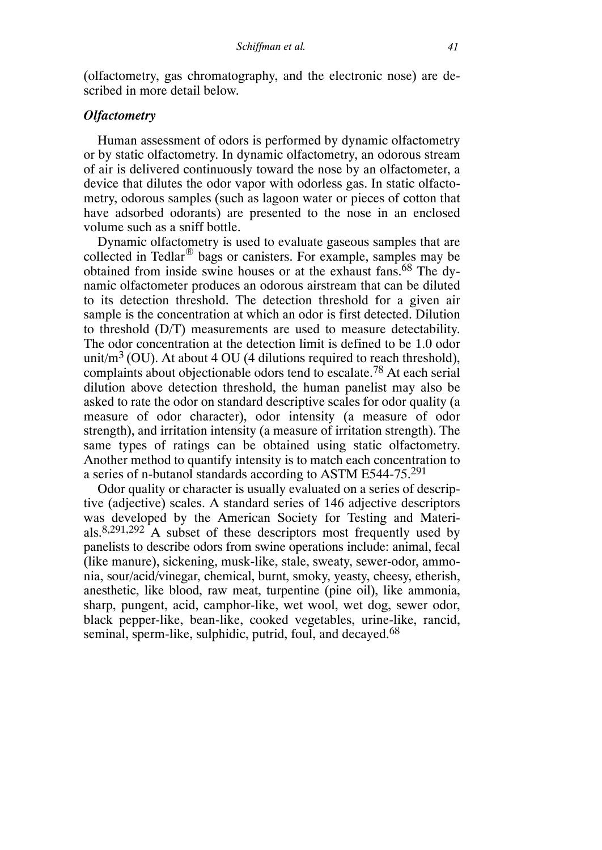(olfactometry, gas chromatography, and the electronic nose) are described in more detail below.

# *Olfactometry*

Human assessment of odors is performed by dynamic olfactometry or by static olfactometry. In dynamic olfactometry, an odorous stream of air is delivered continuously toward the nose by an olfactometer, a device that dilutes the odor vapor with odorless gas. In static olfactometry, odorous samples (such as lagoon water or pieces of cotton that have adsorbed odorants) are presented to the nose in an enclosed volume such as a sniff bottle.

Dynamic olfactometry is used to evaluate gaseous samples that are collected in Tedlar $^{\circledR}$  bags or canisters. For example, samples may be obtained from inside swine houses or at the exhaust fans.68 The dynamic olfactometer produces an odorous airstream that can be diluted to its detection threshold. The detection threshold for a given air sample is the concentration at which an odor is first detected. Dilution to threshold (D/T) measurements are used to measure detectability. The odor concentration at the detection limit is defined to be 1.0 odor unit/m<sup>3</sup> (OU). At about 4 OU (4 dilutions required to reach threshold), complaints about objectionable odors tend to escalate.78 At each serial dilution above detection threshold, the human panelist may also be asked to rate the odor on standard descriptive scales for odor quality (a measure of odor character), odor intensity (a measure of odor strength), and irritation intensity (a measure of irritation strength). The same types of ratings can be obtained using static olfactometry. Another method to quantify intensity is to match each concentration to a series of n-butanol standards according to ASTM E544-75.<sup>291</sup>

Odor quality or character is usually evaluated on a series of descriptive (adjective) scales. A standard series of 146 adjective descriptors was developed by the American Society for Testing and Materials. $8,291,292$  A subset of these descriptors most frequently used by panelists to describe odors from swine operations include: animal, fecal (like manure), sickening, musk-like, stale, sweaty, sewer-odor, ammonia, sour/acid/vinegar, chemical, burnt, smoky, yeasty, cheesy, etherish, anesthetic, like blood, raw meat, turpentine (pine oil), like ammonia, sharp, pungent, acid, camphor-like, wet wool, wet dog, sewer odor, black pepper-like, bean-like, cooked vegetables, urine-like, rancid, seminal, sperm-like, sulphidic, putrid, foul, and decayed.<sup>68</sup>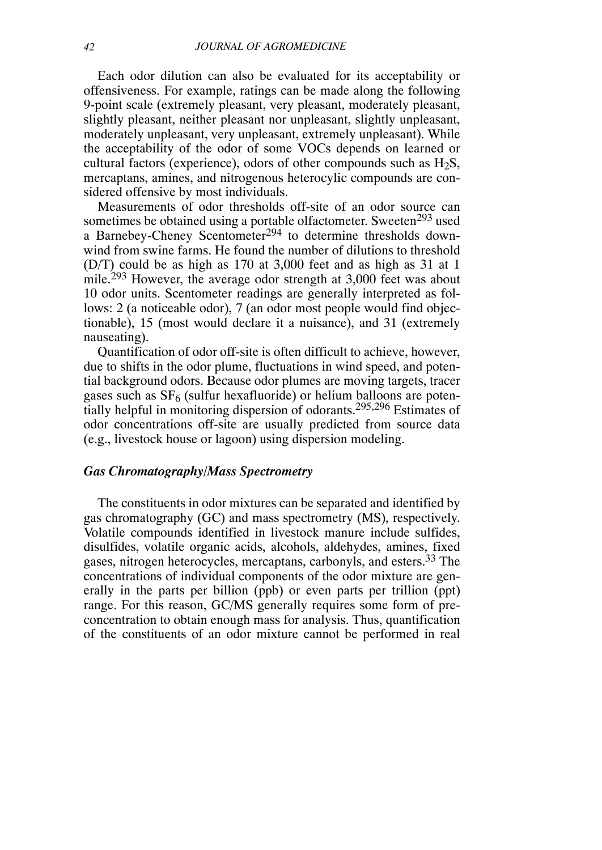Each odor dilution can also be evaluated for its acceptability or offensiveness. For example, ratings can be made along the following 9-point scale (extremely pleasant, very pleasant, moderately pleasant, slightly pleasant, neither pleasant nor unpleasant, slightly unpleasant, moderately unpleasant, very unpleasant, extremely unpleasant). While the acceptability of the odor of some VOCs depends on learned or cultural factors (experience), odors of other compounds such as  $H_2S$ , mercaptans, amines, and nitrogenous heterocylic compounds are considered offensive by most individuals.

Measurements of odor thresholds off-site of an odor source can sometimes be obtained using a portable olfactometer. Sweeten<sup>293</sup> used a Barnebey-Cheney Scentometer<sup>294</sup> to determine thresholds downwind from swine farms. He found the number of dilutions to threshold (D/T) could be as high as 170 at 3,000 feet and as high as 31 at 1 mile.<sup>293</sup> However, the average odor strength at 3,000 feet was about 10 odor units. Scentometer readings are generally interpreted as follows: 2 (a noticeable odor), 7 (an odor most people would find objectionable), 15 (most would declare it a nuisance), and 31 (extremely nauseating).

Quantification of odor off-site is often difficult to achieve, however, due to shifts in the odor plume, fluctuations in wind speed, and potential background odors. Because odor plumes are moving targets, tracer gases such as  $SF_6$  (sulfur hexafluoride) or helium balloons are potentially helpful in monitoring dispersion of odorants.295,296 Estimates of odor concentrations off-site are usually predicted from source data (e.g., livestock house or lagoon) using dispersion modeling.

# *Gas Chromatography/Mass Spectrometry*

The constituents in odor mixtures can be separated and identified by gas chromatography (GC) and mass spectrometry (MS), respectively. Volatile compounds identified in livestock manure include sulfides, disulfides, volatile organic acids, alcohols, aldehydes, amines, fixed gases, nitrogen heterocycles, mercaptans, carbonyls, and esters.33 The concentrations of individual components of the odor mixture are generally in the parts per billion (ppb) or even parts per trillion (ppt) range. For this reason, GC/MS generally requires some form of preconcentration to obtain enough mass for analysis. Thus, quantification of the constituents of an odor mixture cannot be performed in real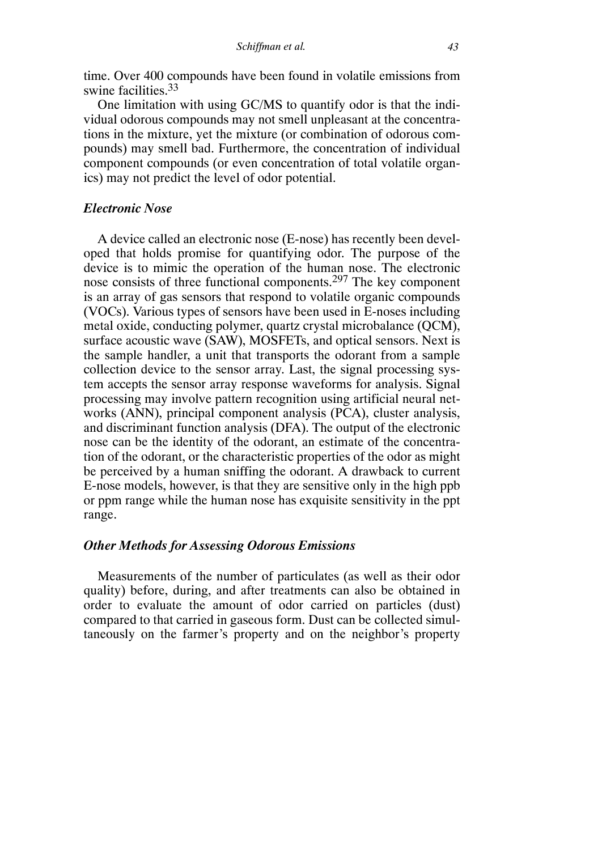time. Over 400 compounds have been found in volatile emissions from swine facilities.<sup>33</sup>

One limitation with using GC/MS to quantify odor is that the individual odorous compounds may not smell unpleasant at the concentrations in the mixture, yet the mixture (or combination of odorous compounds) may smell bad. Furthermore, the concentration of individual component compounds (or even concentration of total volatile organics) may not predict the level of odor potential.

## *Electronic Nose*

A device called an electronic nose (E-nose) has recently been developed that holds promise for quantifying odor. The purpose of the device is to mimic the operation of the human nose. The electronic nose consists of three functional components.297 The key component is an array of gas sensors that respond to volatile organic compounds (VOCs). Various types of sensors have been used in E-noses including metal oxide, conducting polymer, quartz crystal microbalance (QCM), surface acoustic wave (SAW), MOSFETs, and optical sensors. Next is the sample handler, a unit that transports the odorant from a sample collection device to the sensor array. Last, the signal processing system accepts the sensor array response waveforms for analysis. Signal processing may involve pattern recognition using artificial neural networks (ANN), principal component analysis (PCA), cluster analysis, and discriminant function analysis (DFA). The output of the electronic nose can be the identity of the odorant, an estimate of the concentration of the odorant, or the characteristic properties of the odor as might be perceived by a human sniffing the odorant. A drawback to current E-nose models, however, is that they are sensitive only in the high ppb or ppm range while the human nose has exquisite sensitivity in the ppt range.

## *Other Methods for Assessing Odorous Emissions*

Measurements of the number of particulates (as well as their odor quality) before, during, and after treatments can also be obtained in order to evaluate the amount of odor carried on particles (dust) compared to that carried in gaseous form. Dust can be collected simultaneously on the farmer's property and on the neighbor's property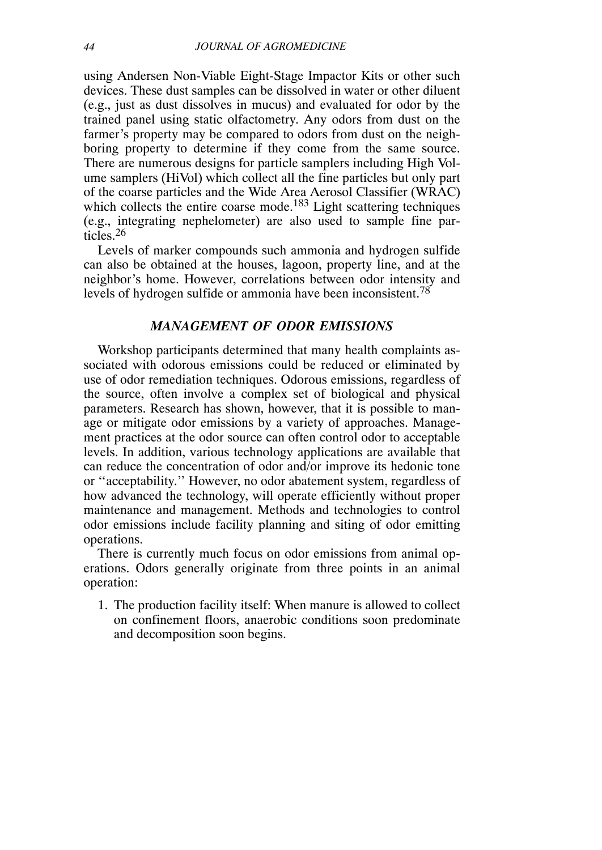using Andersen Non-Viable Eight-Stage Impactor Kits or other such devices. These dust samples can be dissolved in water or other diluent (e.g., just as dust dissolves in mucus) and evaluated for odor by the trained panel using static olfactometry. Any odors from dust on the farmer's property may be compared to odors from dust on the neighboring property to determine if they come from the same source. There are numerous designs for particle samplers including High Volume samplers (HiVol) which collect all the fine particles but only part of the coarse particles and the Wide Area Aerosol Classifier (WRAC) which collects the entire coarse mode.<sup>183</sup> Light scattering techniques (e.g., integrating nephelometer) are also used to sample fine particles.26

Levels of marker compounds such ammonia and hydrogen sulfide can also be obtained at the houses, lagoon, property line, and at the neighbor's home. However, correlations between odor intensity and levels of hydrogen sulfide or ammonia have been inconsistent.<sup>78</sup>

## *MANAGEMENT OF ODOR EMISSIONS*

Workshop participants determined that many health complaints associated with odorous emissions could be reduced or eliminated by use of odor remediation techniques. Odorous emissions, regardless of the source, often involve a complex set of biological and physical parameters. Research has shown, however, that it is possible to manage or mitigate odor emissions by a variety of approaches. Management practices at the odor source can often control odor to acceptable levels. In addition, various technology applications are available that can reduce the concentration of odor and/or improve its hedonic tone or ''acceptability.'' However, no odor abatement system, regardless of how advanced the technology, will operate efficiently without proper maintenance and management. Methods and technologies to control odor emissions include facility planning and siting of odor emitting operations.

There is currently much focus on odor emissions from animal operations. Odors generally originate from three points in an animal operation:

1. The production facility itself: When manure is allowed to collect on confinement floors, anaerobic conditions soon predominate and decomposition soon begins.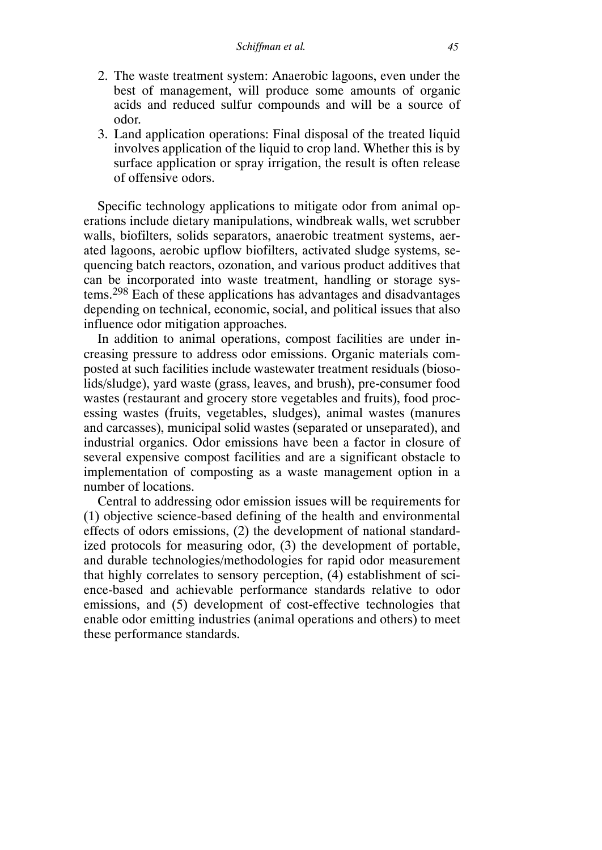#### *Schiffman et al. 45*

- 2. The waste treatment system: Anaerobic lagoons, even under the best of management, will produce some amounts of organic acids and reduced sulfur compounds and will be a source of odor.
- 3. Land application operations: Final disposal of the treated liquid involves application of the liquid to crop land. Whether this is by surface application or spray irrigation, the result is often release of offensive odors.

Specific technology applications to mitigate odor from animal operations include dietary manipulations, windbreak walls, wet scrubber walls, biofilters, solids separators, anaerobic treatment systems, aerated lagoons, aerobic upflow biofilters, activated sludge systems, sequencing batch reactors, ozonation, and various product additives that can be incorporated into waste treatment, handling or storage systems.298 Each of these applications has advantages and disadvantages depending on technical, economic, social, and political issues that also influence odor mitigation approaches.

In addition to animal operations, compost facilities are under increasing pressure to address odor emissions. Organic materials composted at such facilities include wastewater treatment residuals (biosolids/sludge), yard waste (grass, leaves, and brush), pre-consumer food wastes (restaurant and grocery store vegetables and fruits), food processing wastes (fruits, vegetables, sludges), animal wastes (manures and carcasses), municipal solid wastes (separated or unseparated), and industrial organics. Odor emissions have been a factor in closure of several expensive compost facilities and are a significant obstacle to implementation of composting as a waste management option in a number of locations.

Central to addressing odor emission issues will be requirements for (1) objective science-based defining of the health and environmental effects of odors emissions, (2) the development of national standardized protocols for measuring odor, (3) the development of portable, and durable technologies/methodologies for rapid odor measurement that highly correlates to sensory perception, (4) establishment of science-based and achievable performance standards relative to odor emissions, and (5) development of cost-effective technologies that enable odor emitting industries (animal operations and others) to meet these performance standards.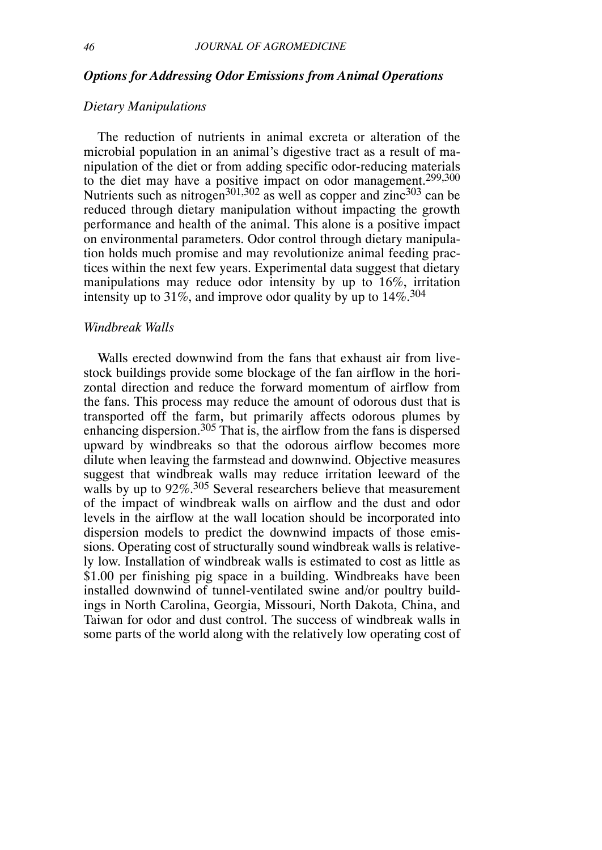## *Options for Addressing Odor Emissions from Animal Operations*

## *Dietary Manipulations*

The reduction of nutrients in animal excreta or alteration of the microbial population in an animal's digestive tract as a result of manipulation of the diet or from adding specific odor-reducing materials to the diet may have a positive impact on odor management.299,300 Nutrients such as nitrogen<sup>301,302</sup> as well as copper and zinc<sup>303</sup> can be reduced through dietary manipulation without impacting the growth performance and health of the animal. This alone is a positive impact on environmental parameters. Odor control through dietary manipulation holds much promise and may revolutionize animal feeding practices within the next few years. Experimental data suggest that dietary manipulations may reduce odor intensity by up to 16%, irritation intensity up to 31%, and improve odor quality by up to  $14\%$ .<sup>304</sup>

#### *Windbreak Walls*

Walls erected downwind from the fans that exhaust air from livestock buildings provide some blockage of the fan airflow in the horizontal direction and reduce the forward momentum of airflow from the fans. This process may reduce the amount of odorous dust that is transported off the farm, but primarily affects odorous plumes by enhancing dispersion.305 That is, the airflow from the fans is dispersed upward by windbreaks so that the odorous airflow becomes more dilute when leaving the farmstead and downwind. Objective measures suggest that windbreak walls may reduce irritation leeward of the walls by up to 92%.<sup>305</sup> Several researchers believe that measurement of the impact of windbreak walls on airflow and the dust and odor levels in the airflow at the wall location should be incorporated into dispersion models to predict the downwind impacts of those emissions. Operating cost of structurally sound windbreak walls is relatively low. Installation of windbreak walls is estimated to cost as little as \$1.00 per finishing pig space in a building. Windbreaks have been installed downwind of tunnel-ventilated swine and/or poultry buildings in North Carolina, Georgia, Missouri, North Dakota, China, and Taiwan for odor and dust control. The success of windbreak walls in some parts of the world along with the relatively low operating cost of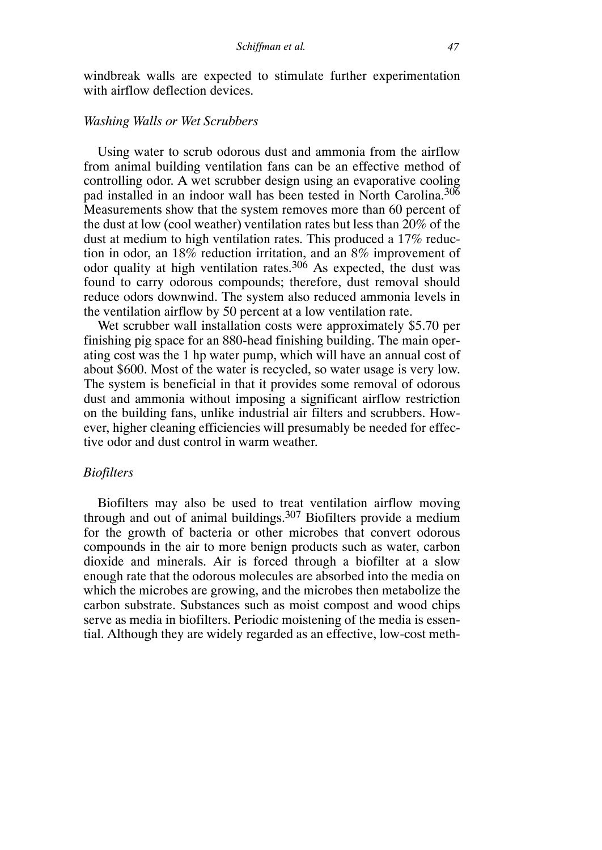windbreak walls are expected to stimulate further experimentation with airflow deflection devices.

## *Washing Walls or Wet Scrubbers*

Using water to scrub odorous dust and ammonia from the airflow from animal building ventilation fans can be an effective method of controlling odor. A wet scrubber design using an evaporative cooling pad installed in an indoor wall has been tested in North Carolina.<sup>306</sup> Measurements show that the system removes more than 60 percent of the dust at low (cool weather) ventilation rates but less than 20% of the dust at medium to high ventilation rates. This produced a 17% reduction in odor, an 18% reduction irritation, and an 8% improvement of odor quality at high ventilation rates.<sup>306</sup> As expected, the dust was found to carry odorous compounds; therefore, dust removal should reduce odors downwind. The system also reduced ammonia levels in the ventilation airflow by 50 percent at a low ventilation rate.

Wet scrubber wall installation costs were approximately \$5.70 per finishing pig space for an 880-head finishing building. The main operating cost was the 1 hp water pump, which will have an annual cost of about \$600. Most of the water is recycled, so water usage is very low. The system is beneficial in that it provides some removal of odorous dust and ammonia without imposing a significant airflow restriction on the building fans, unlike industrial air filters and scrubbers. However, higher cleaning efficiencies will presumably be needed for effective odor and dust control in warm weather.

#### *Biofilters*

Biofilters may also be used to treat ventilation airflow moving through and out of animal buildings.<sup>307</sup> Biofilters provide a medium for the growth of bacteria or other microbes that convert odorous compounds in the air to more benign products such as water, carbon dioxide and minerals. Air is forced through a biofilter at a slow enough rate that the odorous molecules are absorbed into the media on which the microbes are growing, and the microbes then metabolize the carbon substrate. Substances such as moist compost and wood chips serve as media in biofilters. Periodic moistening of the media is essential. Although they are widely regarded as an effective, low-cost meth-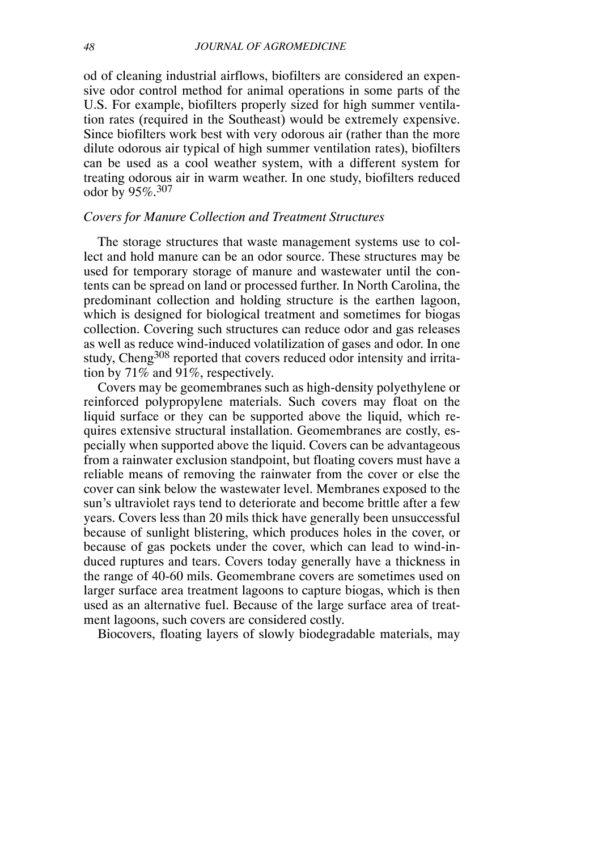od of cleaning industrial airflows, biofilters are considered an expensive odor control method for animal operations in some parts of the U.S. For example, biofilters properly sized for high summer ventilation rates (required in the Southeast) would be extremely expensive. Since biofilters work best with very odorous air (rather than the more dilute odorous air typical of high summer ventilation rates), biofilters can be used as a cool weather system, with a different system for treating odorous air in warm weather. In one study, biofilters reduced odor by 95%.<sup>307</sup>

## *Covers for Manure Collection and Treatment Structures*

The storage structures that waste management systems use to collect and hold manure can be an odor source. These structures may be used for temporary storage of manure and wastewater until the contents can be spread on land or processed further. In North Carolina, the predominant collection and holding structure is the earthen lagoon, which is designed for biological treatment and sometimes for biogas collection. Covering such structures can reduce odor and gas releases as well as reduce wind-induced volatilization of gases and odor. In one study, Cheng<sup>308</sup> reported that covers reduced odor intensity and irritation by 71% and 91%, respectively.

Covers may be geomembranes such as high-density polyethylene or reinforced polypropylene materials. Such covers may float on the liquid surface or they can be supported above the liquid, which requires extensive structural installation. Geomembranes are costly, especially when supported above the liquid. Covers can be advantageous from a rainwater exclusion standpoint, but floating covers must have a reliable means of removing the rainwater from the cover or else the cover can sink below the wastewater level. Membranes exposed to the sun's ultraviolet rays tend to deteriorate and become brittle after a few years. Covers less than 20 mils thick have generally been unsuccessful because of sunlight blistering, which produces holes in the cover, or because of gas pockets under the cover, which can lead to wind-induced ruptures and tears. Covers today generally have a thickness in the range of 40-60 mils. Geomembrane covers are sometimes used on larger surface area treatment lagoons to capture biogas, which is then used as an alternative fuel. Because of the large surface area of treatment lagoons, such covers are considered costly.

Biocovers, floating layers of slowly biodegradable materials, may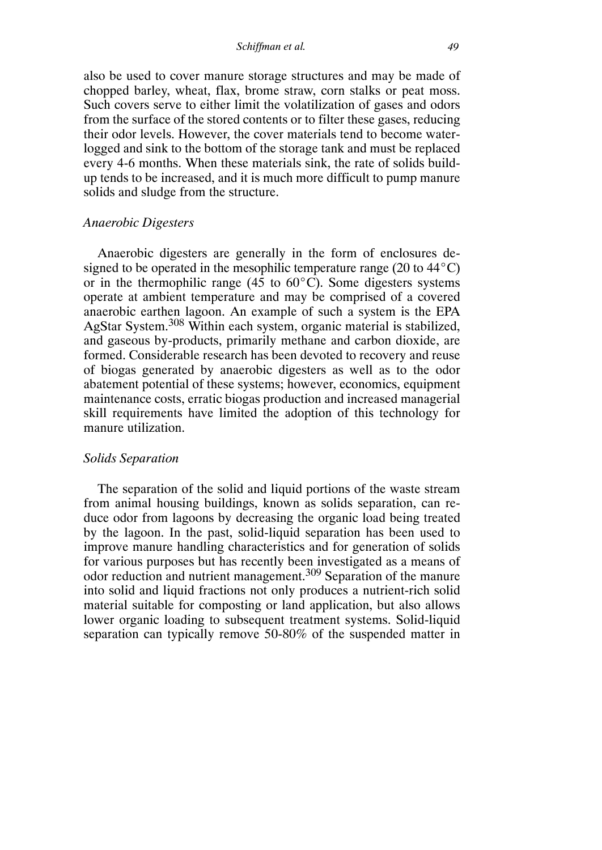also be used to cover manure storage structures and may be made of chopped barley, wheat, flax, brome straw, corn stalks or peat moss. Such covers serve to either limit the volatilization of gases and odors from the surface of the stored contents or to filter these gases, reducing their odor levels. However, the cover materials tend to become waterlogged and sink to the bottom of the storage tank and must be replaced every 4-6 months. When these materials sink, the rate of solids buildup tends to be increased, and it is much more difficult to pump manure solids and sludge from the structure.

#### *Anaerobic Digesters*

Anaerobic digesters are generally in the form of enclosures designed to be operated in the mesophilic temperature range (20 to  $44^{\circ}$ C) or in the thermophilic range (45 to  $60^{\circ}$ C). Some digesters systems operate at ambient temperature and may be comprised of a covered anaerobic earthen lagoon. An example of such a system is the EPA AgStar System.<sup>308</sup> Within each system, organic material is stabilized, and gaseous by-products, primarily methane and carbon dioxide, are formed. Considerable research has been devoted to recovery and reuse of biogas generated by anaerobic digesters as well as to the odor abatement potential of these systems; however, economics, equipment maintenance costs, erratic biogas production and increased managerial skill requirements have limited the adoption of this technology for manure utilization.

#### *Solids Separation*

The separation of the solid and liquid portions of the waste stream from animal housing buildings, known as solids separation, can reduce odor from lagoons by decreasing the organic load being treated by the lagoon. In the past, solid-liquid separation has been used to improve manure handling characteristics and for generation of solids for various purposes but has recently been investigated as a means of odor reduction and nutrient management.309 Separation of the manure into solid and liquid fractions not only produces a nutrient-rich solid material suitable for composting or land application, but also allows lower organic loading to subsequent treatment systems. Solid-liquid separation can typically remove 50-80% of the suspended matter in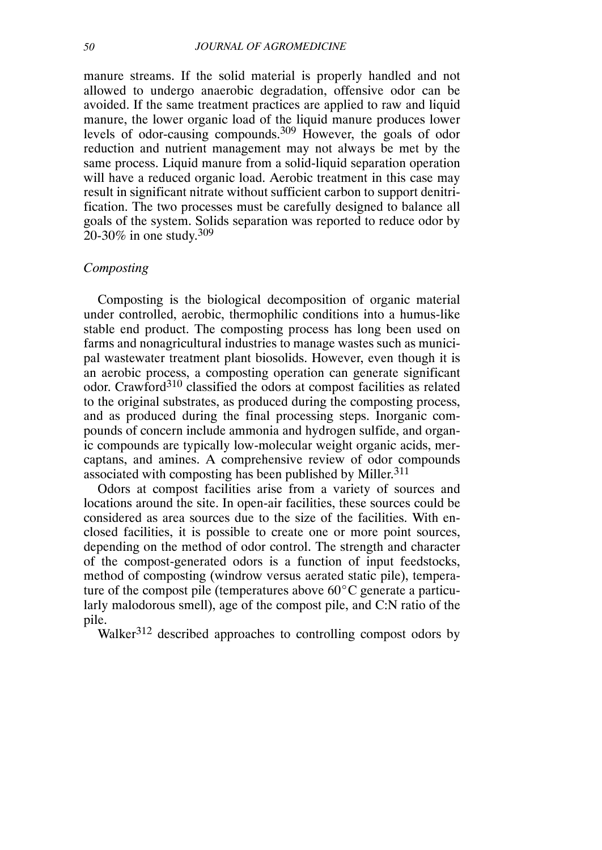manure streams. If the solid material is properly handled and not allowed to undergo anaerobic degradation, offensive odor can be avoided. If the same treatment practices are applied to raw and liquid manure, the lower organic load of the liquid manure produces lower levels of odor-causing compounds.309 However, the goals of odor reduction and nutrient management may not always be met by the same process. Liquid manure from a solid-liquid separation operation will have a reduced organic load. Aerobic treatment in this case may result in significant nitrate without sufficient carbon to support denitrification. The two processes must be carefully designed to balance all goals of the system. Solids separation was reported to reduce odor by 20-30% in one study.<sup>309</sup>

## *Composting*

Composting is the biological decomposition of organic material under controlled, aerobic, thermophilic conditions into a humus-like stable end product. The composting process has long been used on farms and nonagricultural industries to manage wastes such as municipal wastewater treatment plant biosolids. However, even though it is an aerobic process, a composting operation can generate significant odor. Crawford<sup>310</sup> classified the odors at compost facilities as related to the original substrates, as produced during the composting process, and as produced during the final processing steps. Inorganic compounds of concern include ammonia and hydrogen sulfide, and organic compounds are typically low-molecular weight organic acids, mercaptans, and amines. A comprehensive review of odor compounds associated with composting has been published by Miller.<sup>311</sup>

Odors at compost facilities arise from a variety of sources and locations around the site. In open-air facilities, these sources could be considered as area sources due to the size of the facilities. With enclosed facilities, it is possible to create one or more point sources, depending on the method of odor control. The strength and character of the compost-generated odors is a function of input feedstocks, method of composting (windrow versus aerated static pile), temperature of the compost pile (temperatures above  $60^{\circ}$ C generate a particularly malodorous smell), age of the compost pile, and C:N ratio of the pile.

Walker<sup>312</sup> described approaches to controlling compost odors by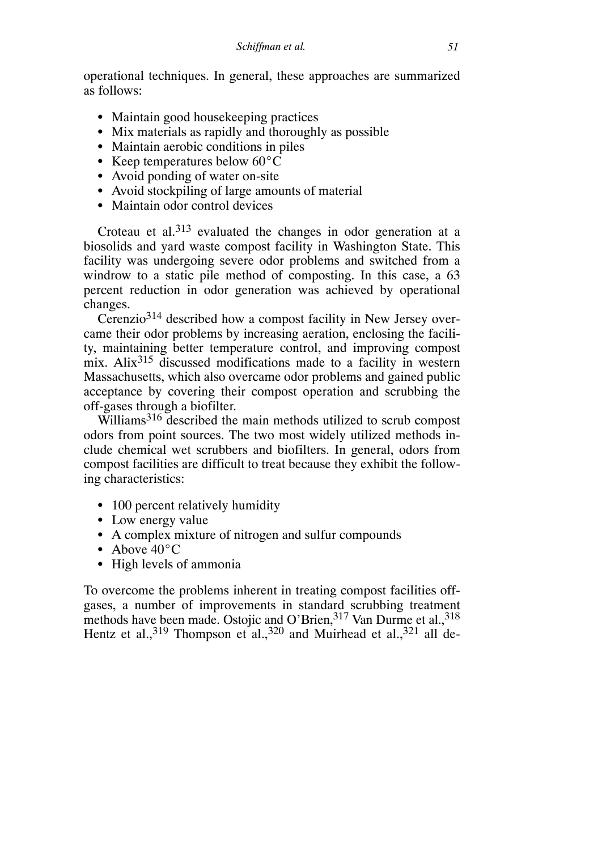operational techniques. In general, these approaches are summarized as follows:

- Maintain good housekeeping practices
- Mix materials as rapidly and thoroughly as possible
- Maintain aerobic conditions in piles
- Keep temperatures below  $60^{\circ}$ C
- Avoid ponding of water on-site
- Avoid stockpiling of large amounts of material
- Maintain odor control devices

Croteau et al.313 evaluated the changes in odor generation at a biosolids and yard waste compost facility in Washington State. This facility was undergoing severe odor problems and switched from a windrow to a static pile method of composting. In this case, a 63 percent reduction in odor generation was achieved by operational changes.

Cerenzio<sup>314</sup> described how a compost facility in New Jersey overcame their odor problems by increasing aeration, enclosing the facility, maintaining better temperature control, and improving compost mix. Alix<sup>315</sup> discussed modifications made to a facility in western Massachusetts, which also overcame odor problems and gained public acceptance by covering their compost operation and scrubbing the off-gases through a biofilter.

Williams<sup>316</sup> described the main methods utilized to scrub compost odors from point sources. The two most widely utilized methods include chemical wet scrubbers and biofilters. In general, odors from compost facilities are difficult to treat because they exhibit the following characteristics:

- 100 percent relatively humidity
- $\bullet$  Low energy value
- A complex mixture of nitrogen and sulfur compounds
- Above  $40^{\circ}$ C
- High levels of ammonia

To overcome the problems inherent in treating compost facilities offgases, a number of improvements in standard scrubbing treatment methods have been made. Ostojic and O'Brien, <sup>317</sup> Van Durme et al., <sup>318</sup> Hentz et al.,  $319$  Thompson et al.,  $320$  and Muirhead et al.,  $321$  all de-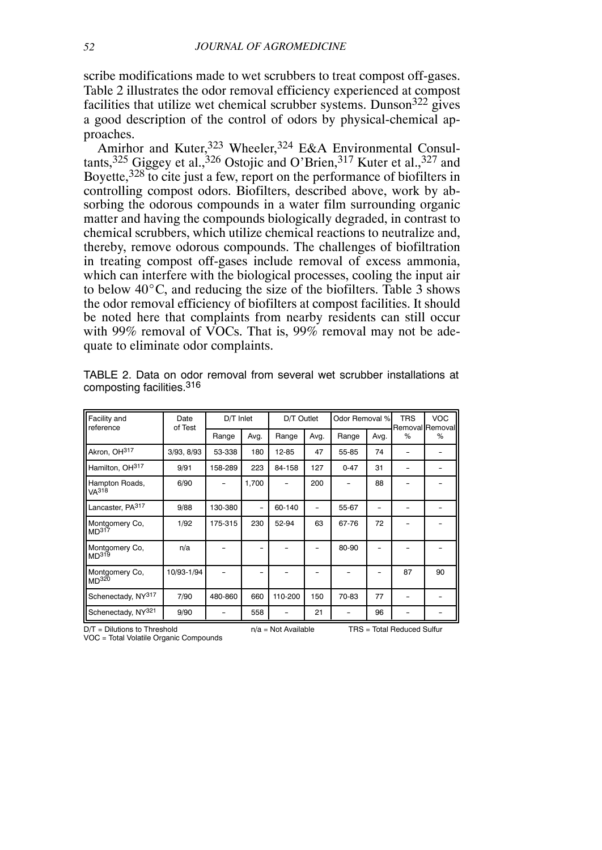scribe modifications made to wet scrubbers to treat compost off-gases. Table 2 illustrates the odor removal efficiency experienced at compost facilities that utilize wet chemical scrubber systems. Dunson<sup>322</sup> gives a good description of the control of odors by physical-chemical approaches.

Amirhor and Kuter,  $323$  Wheeler,  $324$  E&A Environmental Consultants,<sup>325</sup> Giggey et al.,<sup>326</sup> Ostojic and O'Brien,<sup>317</sup> Kuter et al.,<sup>327</sup> and Boyette,<sup>328</sup> to cite just a few, report on the performance of biofilters in controlling compost odors. Biofilters, described above, work by absorbing the odorous compounds in a water film surrounding organic matter and having the compounds biologically degraded, in contrast to chemical scrubbers, which utilize chemical reactions to neutralize and, thereby, remove odorous compounds. The challenges of biofiltration in treating compost off-gases include removal of excess ammonia, which can interfere with the biological processes, cooling the input air to below  $40^{\circ}$ C, and reducing the size of the biofilters. Table 3 shows the odor removal efficiency of biofilters at compost facilities. It should be noted here that complaints from nearby residents can still occur with 99% removal of VOCs. That is, 99% removal may not be adequate to eliminate odor complaints.

| Facility and<br>reference            | Date<br>of Test | D/T Inlet |       | D/T Outlet |      | Odor Removal % |      | TRS | <b>VOC</b><br>Removal Removal |
|--------------------------------------|-----------------|-----------|-------|------------|------|----------------|------|-----|-------------------------------|
|                                      |                 | Range     | Avg.  | Range      | Avg. | Range          | Avg. | %   | %                             |
| Akron, OH317                         | 3/93, 8/93      | 53-338    | 180   | 12-85      | 47   | 55-85          | 74   |     |                               |
| Hamilton, OH317                      | 9/91            | 158-289   | 223   | 84-158     | 127  | $0 - 47$       | 31   |     |                               |
| Hampton Roads,<br>VA <sup>318</sup>  | 6/90            |           | 1.700 |            | 200  |                | 88   |     |                               |
| Lancaster, PA <sup>317</sup>         | 9/88            | 130-380   | ۰     | 60-140     | ۰    | 55-67          |      |     |                               |
| Montgomery Co,<br>$10^{317}$         | 1/92            | 175-315   | 230   | 52-94      | 63   | 67-76          | 72   |     |                               |
| Montgomery Co,<br>IMD <sup>319</sup> | n/a             |           |       |            |      | 80-90          |      |     |                               |
| Montgomery Co,<br>MD <sup>320</sup>  | 10/93-1/94      |           |       |            |      |                |      | 87  | 90                            |
| Schenectady, NY317                   | 7/90            | 480-860   | 660   | 110-200    | 150  | 70-83          | 77   |     |                               |
| Schenectady, NY321                   | 9/90            |           | 558   |            | 21   |                | 96   |     |                               |

TABLE 2. Data on odor removal from several wet scrubber installations at composting facilities.316

 $D/T = D$ ilutions to Threshold  $n/a = Not$  Available TRS = Total Reduced Sulfur

VOC = Total Volatile Organic Compounds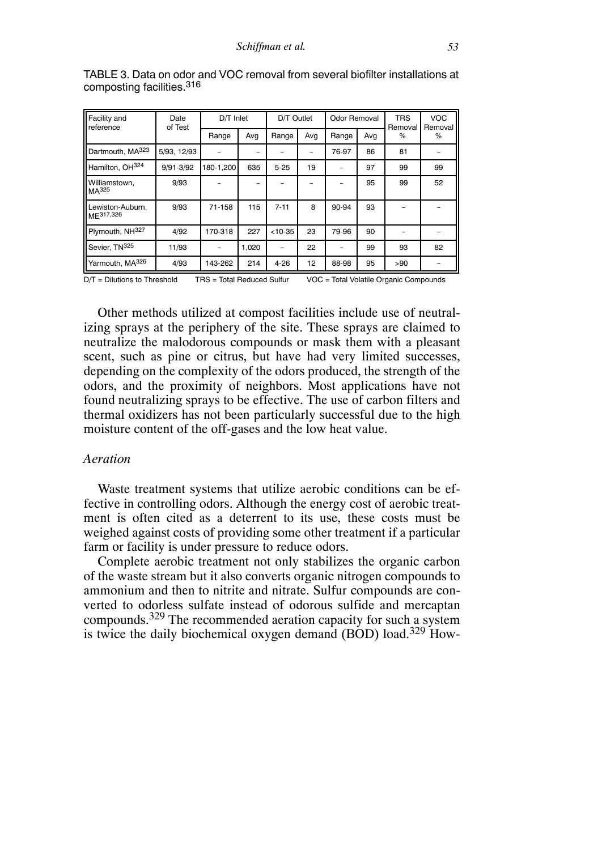| Facility and<br>reference          | Date<br>of Test | D/T Inlet |       | D/T Outlet  |     | <b>Odor Removal</b> |     | <b>TRS</b><br>Removal | <b>VOC</b><br>Removal |
|------------------------------------|-----------------|-----------|-------|-------------|-----|---------------------|-----|-----------------------|-----------------------|
|                                    |                 | Range     | Avg   | Range       | Avg | Range               | Avg | %                     | %                     |
| Dartmouth, MA323                   | 5/93, 12/93     |           |       |             |     | 76-97               | 86  | 81                    |                       |
| Hamilton, OH324                    | $9/91 - 3/92$   | 180-1,200 | 635   | $5 - 25$    | 19  | ۰                   | 97  | 99                    | 99                    |
| Williamstown,<br>MA <sup>325</sup> | 9/93            |           |       |             |     |                     | 95  | 99                    | 52                    |
| Lewiston-Auburn.<br>ME317,326      | 9/93            | 71-158    | 115   | $7 - 11$    | 8   | 90-94               | 93  |                       |                       |
| Plymouth, NH327                    | 4/92            | 170-318   | 227   | $< 10 - 35$ | 23  | 79-96               | 90  |                       |                       |
| Sevier, TN325                      | 11/93           |           | 1,020 |             | 22  | -                   | 99  | 93                    | 82                    |
| Yarmouth, MA326                    | 4/93            | 143-262   | 214   | $4 - 26$    | 12  | 88-98               | 95  | >90                   |                       |

TABLE 3. Data on odor and VOC removal from several biofilter installations at composting facilities.316

D/T = Dilutions to Threshold TRS = Total Reduced Sulfur VOC = Total Volatile Organic Compounds

Other methods utilized at compost facilities include use of neutralizing sprays at the periphery of the site. These sprays are claimed to neutralize the malodorous compounds or mask them with a pleasant scent, such as pine or citrus, but have had very limited successes, depending on the complexity of the odors produced, the strength of the odors, and the proximity of neighbors. Most applications have not found neutralizing sprays to be effective. The use of carbon filters and thermal oxidizers has not been particularly successful due to the high moisture content of the off-gases and the low heat value.

## *Aeration*

Waste treatment systems that utilize aerobic conditions can be effective in controlling odors. Although the energy cost of aerobic treatment is often cited as a deterrent to its use, these costs must be weighed against costs of providing some other treatment if a particular farm or facility is under pressure to reduce odors.

Complete aerobic treatment not only stabilizes the organic carbon of the waste stream but it also converts organic nitrogen compounds to ammonium and then to nitrite and nitrate. Sulfur compounds are converted to odorless sulfate instead of odorous sulfide and mercaptan compounds.<sup>329</sup> The recommended aeration capacity for such a system is twice the daily biochemical oxygen demand (BOD) load.<sup>329</sup> How-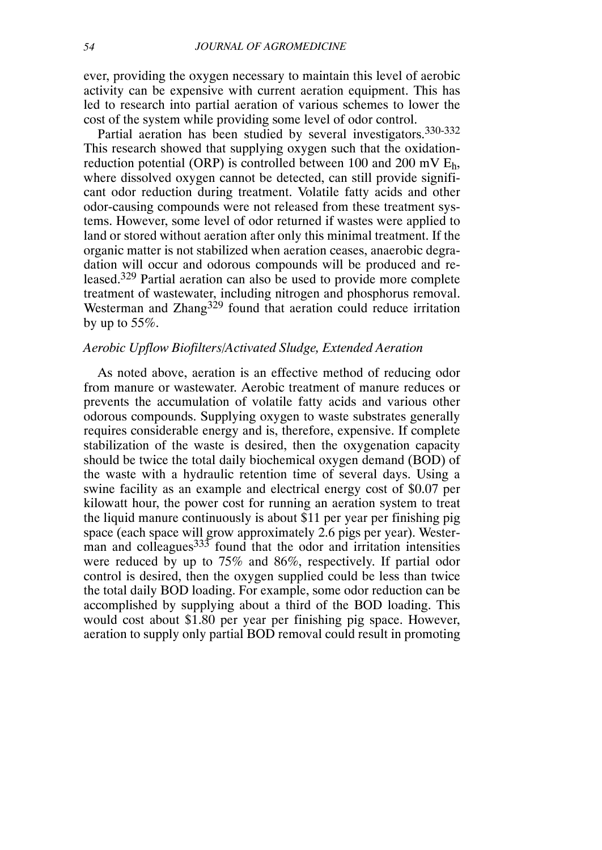ever, providing the oxygen necessary to maintain this level of aerobic activity can be expensive with current aeration equipment. This has led to research into partial aeration of various schemes to lower the cost of the system while providing some level of odor control.

Partial aeration has been studied by several investigators.330-332 This research showed that supplying oxygen such that the oxidationreduction potential (ORP) is controlled between 100 and 200 mV  $E<sub>h</sub>$ , where dissolved oxygen cannot be detected, can still provide significant odor reduction during treatment. Volatile fatty acids and other odor-causing compounds were not released from these treatment systems. However, some level of odor returned if wastes were applied to land or stored without aeration after only this minimal treatment. If the organic matter is not stabilized when aeration ceases, anaerobic degradation will occur and odorous compounds will be produced and released.329 Partial aeration can also be used to provide more complete treatment of wastewater, including nitrogen and phosphorus removal. Westerman and Zhang<sup>329</sup> found that aeration could reduce irritation by up to 55%.

## *Aerobic Upflow Biofilters/Activated Sludge, Extended Aeration*

As noted above, aeration is an effective method of reducing odor from manure or wastewater. Aerobic treatment of manure reduces or prevents the accumulation of volatile fatty acids and various other odorous compounds. Supplying oxygen to waste substrates generally requires considerable energy and is, therefore, expensive. If complete stabilization of the waste is desired, then the oxygenation capacity should be twice the total daily biochemical oxygen demand (BOD) of the waste with a hydraulic retention time of several days. Using a swine facility as an example and electrical energy cost of \$0.07 per kilowatt hour, the power cost for running an aeration system to treat the liquid manure continuously is about \$11 per year per finishing pig space (each space will grow approximately 2.6 pigs per year). Westerman and colleagues  $333$  found that the odor and irritation intensities were reduced by up to 75% and 86%, respectively. If partial odor control is desired, then the oxygen supplied could be less than twice the total daily BOD loading. For example, some odor reduction can be accomplished by supplying about a third of the BOD loading. This would cost about \$1.80 per year per finishing pig space. However, aeration to supply only partial BOD removal could result in promoting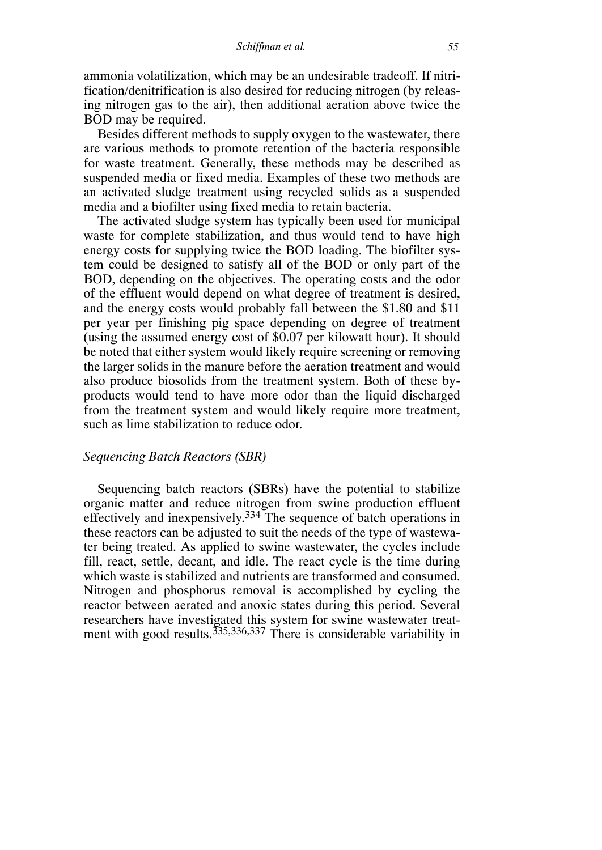ammonia volatilization, which may be an undesirable tradeoff. If nitrification/denitrification is also desired for reducing nitrogen (by releasing nitrogen gas to the air), then additional aeration above twice the BOD may be required.

Besides different methods to supply oxygen to the wastewater, there are various methods to promote retention of the bacteria responsible for waste treatment. Generally, these methods may be described as suspended media or fixed media. Examples of these two methods are an activated sludge treatment using recycled solids as a suspended media and a biofilter using fixed media to retain bacteria.

The activated sludge system has typically been used for municipal waste for complete stabilization, and thus would tend to have high energy costs for supplying twice the BOD loading. The biofilter system could be designed to satisfy all of the BOD or only part of the BOD, depending on the objectives. The operating costs and the odor of the effluent would depend on what degree of treatment is desired, and the energy costs would probably fall between the \$1.80 and \$11 per year per finishing pig space depending on degree of treatment (using the assumed energy cost of \$0.07 per kilowatt hour). It should be noted that either system would likely require screening or removing the larger solids in the manure before the aeration treatment and would also produce biosolids from the treatment system. Both of these byproducts would tend to have more odor than the liquid discharged from the treatment system and would likely require more treatment, such as lime stabilization to reduce odor.

#### *Sequencing Batch Reactors (SBR)*

Sequencing batch reactors (SBRs) have the potential to stabilize organic matter and reduce nitrogen from swine production effluent effectively and inexpensively.334 The sequence of batch operations in these reactors can be adjusted to suit the needs of the type of wastewater being treated. As applied to swine wastewater, the cycles include fill, react, settle, decant, and idle. The react cycle is the time during which waste is stabilized and nutrients are transformed and consumed. Nitrogen and phosphorus removal is accomplished by cycling the reactor between aerated and anoxic states during this period. Several researchers have investigated this system for swine wastewater treatment with good results.  $\overline{3}35,336,337$  There is considerable variability in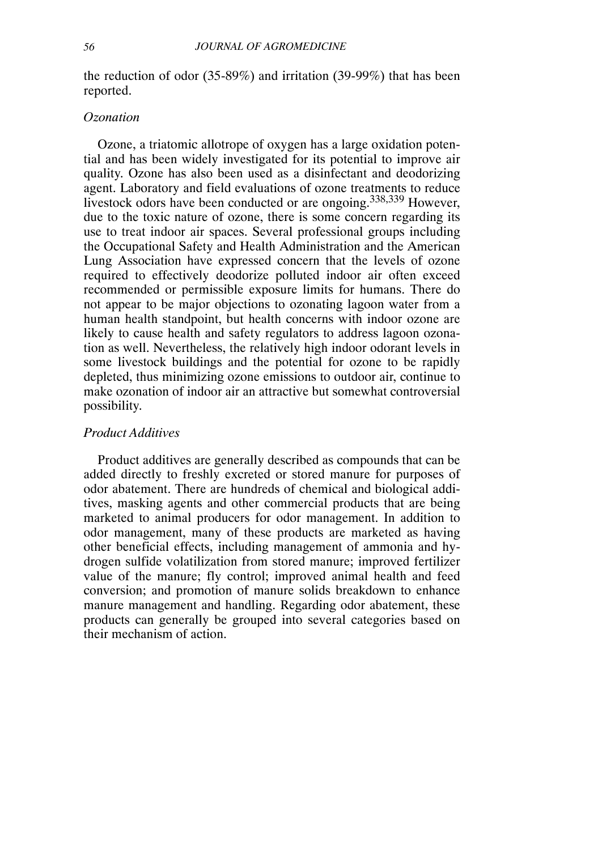the reduction of odor (35-89%) and irritation (39-99%) that has been reported.

## *Ozonation*

Ozone, a triatomic allotrope of oxygen has a large oxidation potential and has been widely investigated for its potential to improve air quality. Ozone has also been used as a disinfectant and deodorizing agent. Laboratory and field evaluations of ozone treatments to reduce livestock odors have been conducted or are ongoing.338,339 However, due to the toxic nature of ozone, there is some concern regarding its use to treat indoor air spaces. Several professional groups including the Occupational Safety and Health Administration and the American Lung Association have expressed concern that the levels of ozone required to effectively deodorize polluted indoor air often exceed recommended or permissible exposure limits for humans. There do not appear to be major objections to ozonating lagoon water from a human health standpoint, but health concerns with indoor ozone are likely to cause health and safety regulators to address lagoon ozonation as well. Nevertheless, the relatively high indoor odorant levels in some livestock buildings and the potential for ozone to be rapidly depleted, thus minimizing ozone emissions to outdoor air, continue to make ozonation of indoor air an attractive but somewhat controversial possibility.

## *Product Additives*

Product additives are generally described as compounds that can be added directly to freshly excreted or stored manure for purposes of odor abatement. There are hundreds of chemical and biological additives, masking agents and other commercial products that are being marketed to animal producers for odor management. In addition to odor management, many of these products are marketed as having other beneficial effects, including management of ammonia and hydrogen sulfide volatilization from stored manure; improved fertilizer value of the manure; fly control; improved animal health and feed conversion; and promotion of manure solids breakdown to enhance manure management and handling. Regarding odor abatement, these products can generally be grouped into several categories based on their mechanism of action.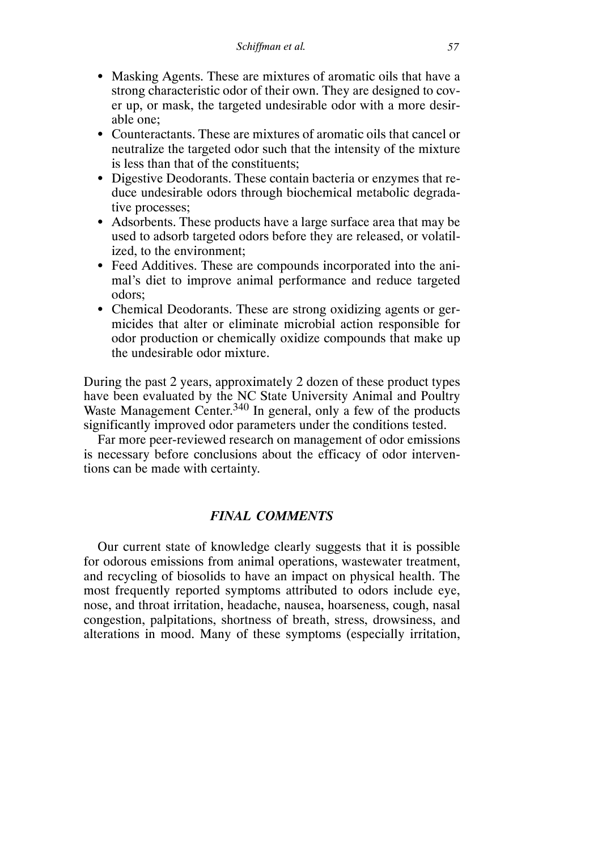- Masking Agents. These are mixtures of aromatic oils that have a strong characteristic odor of their own. They are designed to cover up, or mask, the targeted undesirable odor with a more desirable one;
- Counteractants. These are mixtures of aromatic oils that cancel or neutralize the targeted odor such that the intensity of the mixture is less than that of the constituents;
- Digestive Deodorants. These contain bacteria or enzymes that reduce undesirable odors through biochemical metabolic degradative processes;
- Adsorbents. These products have a large surface area that may be used to adsorb targeted odors before they are released, or volatilized, to the environment;
- Feed Additives. These are compounds incorporated into the animal's diet to improve animal performance and reduce targeted odors;
- Chemical Deodorants. These are strong oxidizing agents or germicides that alter or eliminate microbial action responsible for odor production or chemically oxidize compounds that make up the undesirable odor mixture.

During the past 2 years, approximately 2 dozen of these product types have been evaluated by the NC State University Animal and Poultry Waste Management Center.<sup>340</sup> In general, only a few of the products significantly improved odor parameters under the conditions tested.

Far more peer-reviewed research on management of odor emissions is necessary before conclusions about the efficacy of odor interventions can be made with certainty.

# *FINAL COMMENTS*

Our current state of knowledge clearly suggests that it is possible for odorous emissions from animal operations, wastewater treatment, and recycling of biosolids to have an impact on physical health. The most frequently reported symptoms attributed to odors include eye, nose, and throat irritation, headache, nausea, hoarseness, cough, nasal congestion, palpitations, shortness of breath, stress, drowsiness, and alterations in mood. Many of these symptoms (especially irritation,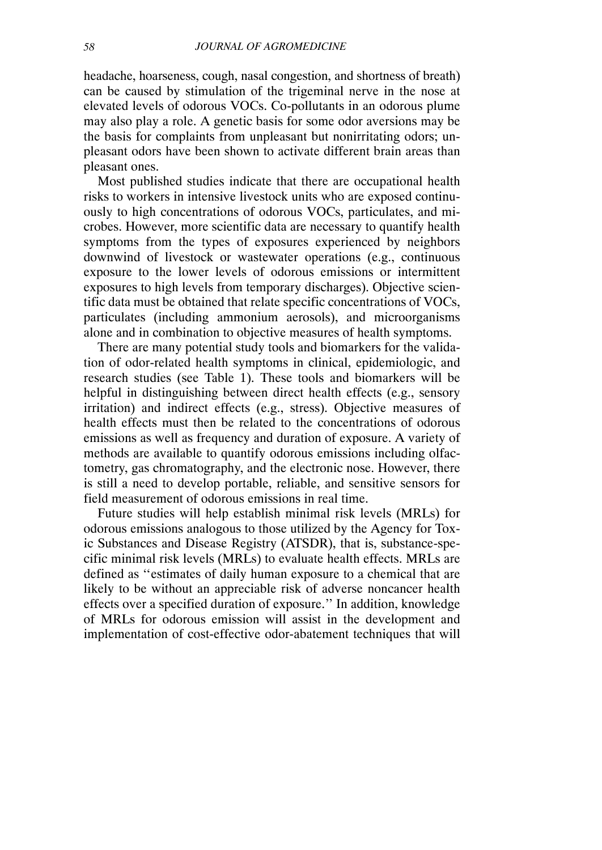headache, hoarseness, cough, nasal congestion, and shortness of breath) can be caused by stimulation of the trigeminal nerve in the nose at elevated levels of odorous VOCs. Co-pollutants in an odorous plume may also play a role. A genetic basis for some odor aversions may be the basis for complaints from unpleasant but nonirritating odors; unpleasant odors have been shown to activate different brain areas than pleasant ones.

Most published studies indicate that there are occupational health risks to workers in intensive livestock units who are exposed continuously to high concentrations of odorous VOCs, particulates, and microbes. However, more scientific data are necessary to quantify health symptoms from the types of exposures experienced by neighbors downwind of livestock or wastewater operations (e.g., continuous exposure to the lower levels of odorous emissions or intermittent exposures to high levels from temporary discharges). Objective scientific data must be obtained that relate specific concentrations of VOCs, particulates (including ammonium aerosols), and microorganisms alone and in combination to objective measures of health symptoms.

There are many potential study tools and biomarkers for the validation of odor-related health symptoms in clinical, epidemiologic, and research studies (see Table 1). These tools and biomarkers will be helpful in distinguishing between direct health effects (e.g., sensory irritation) and indirect effects (e.g., stress). Objective measures of health effects must then be related to the concentrations of odorous emissions as well as frequency and duration of exposure. A variety of methods are available to quantify odorous emissions including olfactometry, gas chromatography, and the electronic nose. However, there is still a need to develop portable, reliable, and sensitive sensors for field measurement of odorous emissions in real time.

Future studies will help establish minimal risk levels (MRLs) for odorous emissions analogous to those utilized by the Agency for Toxic Substances and Disease Registry (ATSDR), that is, substance-specific minimal risk levels (MRLs) to evaluate health effects. MRLs are defined as ''estimates of daily human exposure to a chemical that are likely to be without an appreciable risk of adverse noncancer health effects over a specified duration of exposure.'' In addition, knowledge of MRLs for odorous emission will assist in the development and implementation of cost-effective odor-abatement techniques that will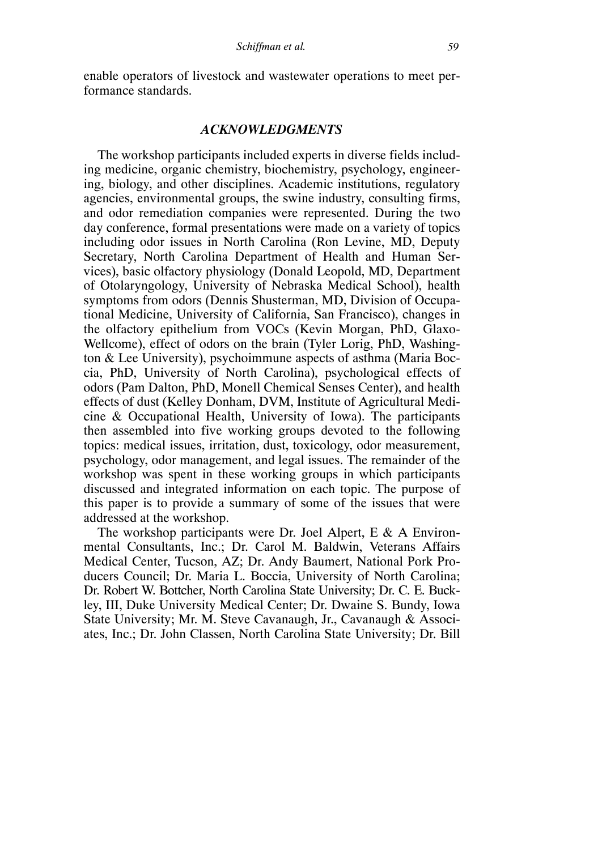enable operators of livestock and wastewater operations to meet performance standards.

#### *ACKNOWLEDGMENTS*

The workshop participants included experts in diverse fields including medicine, organic chemistry, biochemistry, psychology, engineering, biology, and other disciplines. Academic institutions, regulatory agencies, environmental groups, the swine industry, consulting firms, and odor remediation companies were represented. During the two day conference, formal presentations were made on a variety of topics including odor issues in North Carolina (Ron Levine, MD, Deputy Secretary, North Carolina Department of Health and Human Services), basic olfactory physiology (Donald Leopold, MD, Department of Otolaryngology, University of Nebraska Medical School), health symptoms from odors (Dennis Shusterman, MD, Division of Occupational Medicine, University of California, San Francisco), changes in the olfactory epithelium from VOCs (Kevin Morgan, PhD, Glaxo-Wellcome), effect of odors on the brain (Tyler Lorig, PhD, Washington & Lee University), psychoimmune aspects of asthma (Maria Boccia, PhD, University of North Carolina), psychological effects of odors (Pam Dalton, PhD, Monell Chemical Senses Center), and health effects of dust (Kelley Donham, DVM, Institute of Agricultural Medicine & Occupational Health, University of Iowa). The participants then assembled into five working groups devoted to the following topics: medical issues, irritation, dust, toxicology, odor measurement, psychology, odor management, and legal issues. The remainder of the workshop was spent in these working groups in which participants discussed and integrated information on each topic. The purpose of this paper is to provide a summary of some of the issues that were addressed at the workshop.

The workshop participants were Dr. Joel Alpert,  $E \& A$  Environmental Consultants, Inc.; Dr. Carol M. Baldwin, Veterans Affairs Medical Center, Tucson, AZ; Dr. Andy Baumert, National Pork Producers Council; Dr. Maria L. Boccia, University of North Carolina; Dr. Robert W. Bottcher, North Carolina State University; Dr. C. E. Buckley, III, Duke University Medical Center; Dr. Dwaine S. Bundy, Iowa State University; Mr. M. Steve Cavanaugh, Jr., Cavanaugh & Associates, Inc.; Dr. John Classen, North Carolina State University; Dr. Bill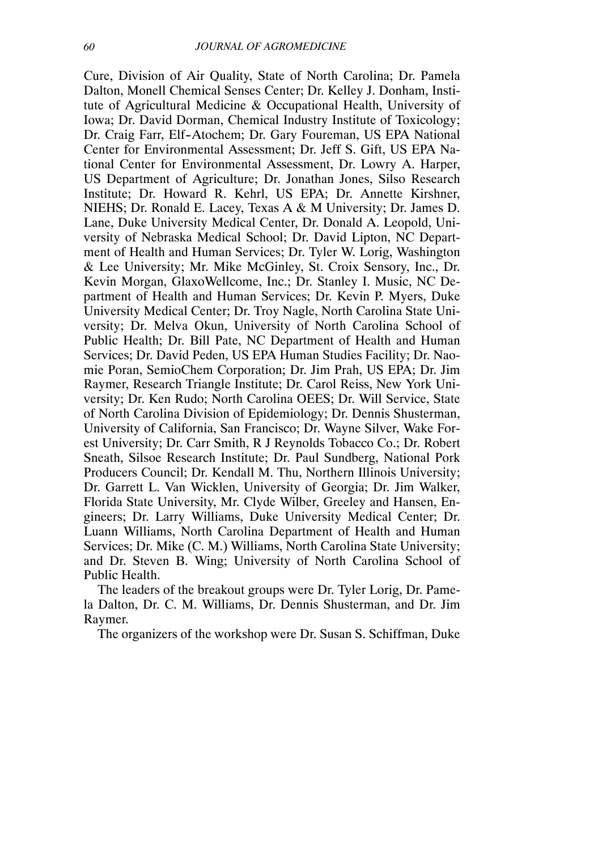Cure, Division of Air Quality, State of North Carolina; Dr. Pamela Dalton, Monell Chemical Senses Center; Dr. Kelley J. Donham, Institute of Agricultural Medicine & Occupational Health, University of Iowa; Dr. David Dorman, Chemical Industry Institute of Toxicology; Dr. Craig Farr, Elf--Atochem; Dr. Gary Foureman, US EPA National Center for Environmental Assessment; Dr. Jeff S. Gift, US EPA National Center for Environmental Assessment, Dr. Lowry A. Harper, US Department of Agriculture; Dr. Jonathan Jones, Silso Research Institute; Dr. Howard R. Kehrl, US EPA; Dr. Annette Kirshner, NIEHS; Dr. Ronald E. Lacey, Texas A & M University; Dr. James D. Lane, Duke University Medical Center, Dr. Donald A. Leopold, University of Nebraska Medical School; Dr. David Lipton, NC Department of Health and Human Services; Dr. Tyler W. Lorig, Washington & Lee University; Mr. Mike McGinley, St. Croix Sensory, Inc., Dr. Kevin Morgan, GlaxoWellcome, Inc.; Dr. Stanley I. Music, NC Department of Health and Human Services; Dr. Kevin P. Myers, Duke University Medical Center; Dr. Troy Nagle, North Carolina State University; Dr. Melva Okun, University of North Carolina School of Public Health; Dr. Bill Pate, NC Department of Health and Human Services; Dr. David Peden, US EPA Human Studies Facility; Dr. Naomie Poran, SemioChem Corporation; Dr. Jim Prah, US EPA; Dr. Jim Raymer, Research Triangle Institute; Dr. Carol Reiss, New York University; Dr. Ken Rudo; North Carolina OEES; Dr. Will Service, State of North Carolina Division of Epidemiology; Dr. Dennis Shusterman, University of California, San Francisco; Dr. Wayne Silver, Wake Forest University; Dr. Carr Smith, R J Reynolds Tobacco Co.; Dr. Robert Sneath, Silsoe Research Institute; Dr. Paul Sundberg, National Pork Producers Council; Dr. Kendall M. Thu, Northern Illinois University; Dr. Garrett L. Van Wicklen, University of Georgia; Dr. Jim Walker, Florida State University, Mr. Clyde Wilber, Greeley and Hansen, Engineers; Dr. Larry Williams, Duke University Medical Center; Dr. Luann Williams, North Carolina Department of Health and Human Services; Dr. Mike (C. M.) Williams, North Carolina State University; and Dr. Steven B. Wing; University of North Carolina School of Public Health.

The leaders of the breakout groups were Dr. Tyler Lorig, Dr. Pamela Dalton, Dr. C. M. Williams, Dr. Dennis Shusterman, and Dr. Jim Raymer.

The organizers of the workshop were Dr. Susan S. Schiffman, Duke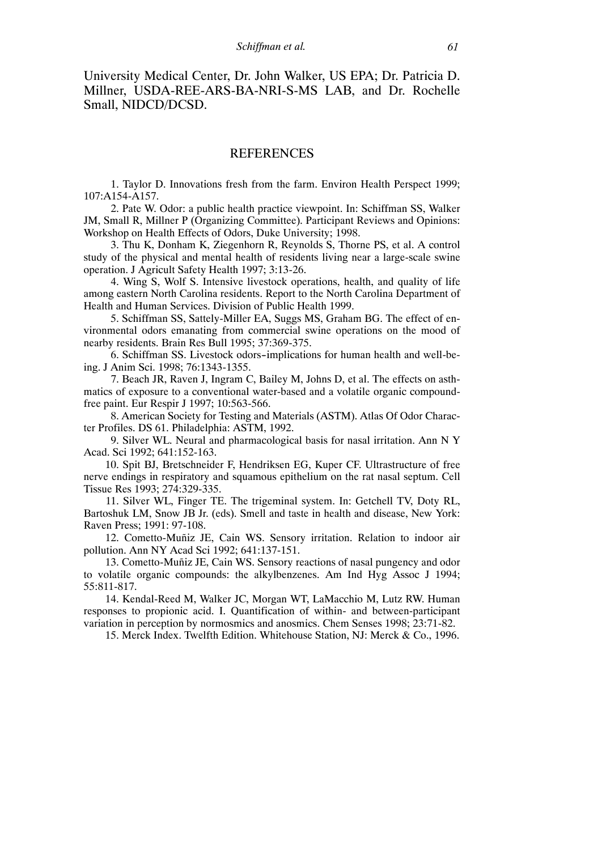University Medical Center, Dr. John Walker, US EPA; Dr. Patricia D. Millner, USDA-REE-ARS-BA-NRI-S-MS LAB, and Dr. Rochelle Small, NIDCD/DCSD.

#### REFERENCES

1. Taylor D. Innovations fresh from the farm. Environ Health Perspect 1999; 107:A154-A157.

2. Pate W. Odor: a public health practice viewpoint. In: Schiffman SS, Walker JM, Small R, Millner P (Organizing Committee). Participant Reviews and Opinions: Workshop on Health Effects of Odors, Duke University; 1998.

3. Thu K, Donham K, Ziegenhorn R, Reynolds S, Thorne PS, et al. A control study of the physical and mental health of residents living near a large-scale swine operation. J Agricult Safety Health 1997; 3:13-26.

4. Wing S, Wolf S. Intensive livestock operations, health, and quality of life among eastern North Carolina residents. Report to the North Carolina Department of Health and Human Services. Division of Public Health 1999.

5. Schiffman SS, Sattely-Miller EA, Suggs MS, Graham BG. The effect of environmental odors emanating from commercial swine operations on the mood of nearby residents. Brain Res Bull 1995; 37:369-375.

6. Schiffman SS. Livestock odors--implications for human health and well-being. J Anim Sci. 1998; 76:1343-1355.

7. Beach JR, Raven J, Ingram C, Bailey M, Johns D, et al. The effects on asthmatics of exposure to a conventional water-based and a volatile organic compoundfree paint. Eur Respir J 1997; 10:563-566.

8. American Society for Testing and Materials (ASTM). Atlas Of Odor Character Profiles. DS 61. Philadelphia: ASTM, 1992.

9. Silver WL. Neural and pharmacological basis for nasal irritation. Ann N Y Acad. Sci 1992; 641:152-163.

10. Spit BJ, Bretschneider F, Hendriksen EG, Kuper CF. Ultrastructure of free nerve endings in respiratory and squamous epithelium on the rat nasal septum. Cell Tissue Res 1993; 274:329-335.

11. Silver WL, Finger TE. The trigeminal system. In: Getchell TV, Doty RL, Bartoshuk LM, Snow JB Jr. (eds). Smell and taste in health and disease, New York: Raven Press; 1991: 97-108.

12. Cometto-Muñiz JE, Cain WS. Sensory irritation. Relation to indoor air pollution. Ann NY Acad Sci 1992; 641:137-151.

13. Cometto-Muñiz JE, Cain WS. Sensory reactions of nasal pungency and odor to volatile organic compounds: the alkylbenzenes. Am Ind Hyg Assoc J 1994; 55:811-817.

14. Kendal-Reed M, Walker JC, Morgan WT, LaMacchio M, Lutz RW. Human responses to propionic acid. I. Quantification of within- and between-participant variation in perception by normosmics and anosmics. Chem Senses 1998; 23:71-82.

15. Merck Index. Twelfth Edition. Whitehouse Station, NJ: Merck & Co., 1996.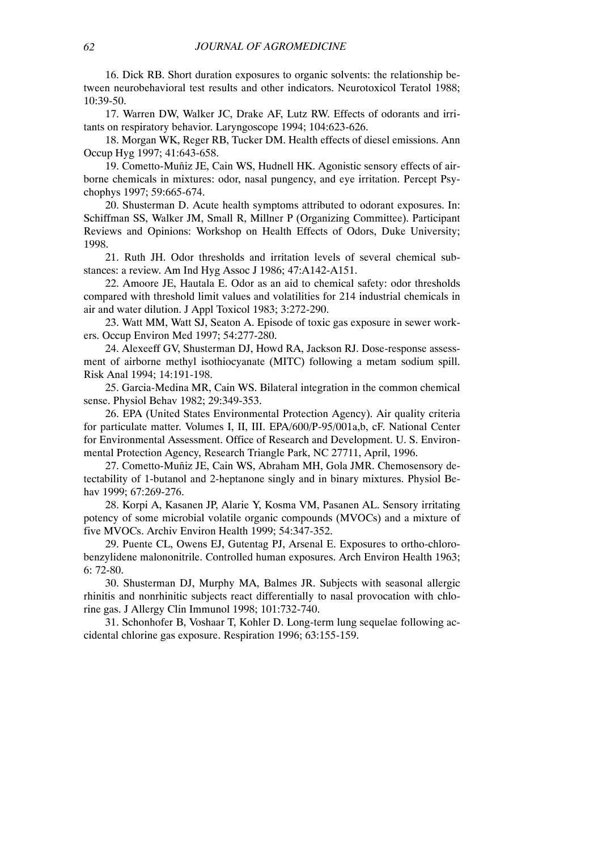16. Dick RB. Short duration exposures to organic solvents: the relationship between neurobehavioral test results and other indicators. Neurotoxicol Teratol 1988; 10:39-50.

17. Warren DW, Walker JC, Drake AF, Lutz RW. Effects of odorants and irritants on respiratory behavior. Laryngoscope 1994; 104:623-626.

18. Morgan WK, Reger RB, Tucker DM. Health effects of diesel emissions. Ann Occup Hyg 1997; 41:643-658.

19. Cometto-Muñiz JE, Cain WS, Hudnell HK. Agonistic sensory effects of airborne chemicals in mixtures: odor, nasal pungency, and eye irritation. Percept Psychophys 1997; 59:665-674.

20. Shusterman D. Acute health symptoms attributed to odorant exposures. In: Schiffman SS, Walker JM, Small R, Millner P (Organizing Committee). Participant Reviews and Opinions: Workshop on Health Effects of Odors, Duke University; 1998.

21. Ruth JH. Odor thresholds and irritation levels of several chemical substances: a review. Am Ind Hyg Assoc J 1986; 47:A142-A151.

22. Amoore JE, Hautala E. Odor as an aid to chemical safety: odor thresholds compared with threshold limit values and volatilities for 214 industrial chemicals in air and water dilution. J Appl Toxicol 1983; 3:272-290.

23. Watt MM, Watt SJ, Seaton A. Episode of toxic gas exposure in sewer workers. Occup Environ Med 1997; 54:277-280.

24. Alexeeff GV, Shusterman DJ, Howd RA, Jackson RJ. Dose-response assessment of airborne methyl isothiocyanate (MITC) following a metam sodium spill. Risk Anal 1994; 14:191-198.

25. Garcia-Medina MR, Cain WS. Bilateral integration in the common chemical sense. Physiol Behav 1982; 29:349-353.

26. EPA (United States Environmental Protection Agency). Air quality criteria for particulate matter. Volumes I, II, III. EPA/600/P-95/001a,b, cF. National Center for Environmental Assessment. Office of Research and Development. U. S. Environmental Protection Agency, Research Triangle Park, NC 27711, April, 1996.

27. Cometto-Muñiz JE, Cain WS, Abraham MH, Gola JMR. Chemosensory detectability of 1-butanol and 2-heptanone singly and in binary mixtures. Physiol Behav 1999; 67:269-276.

28. Korpi A, Kasanen JP, Alarie Y, Kosma VM, Pasanen AL. Sensory irritating potency of some microbial volatile organic compounds (MVOCs) and a mixture of five MVOCs. Archiv Environ Health 1999; 54:347-352.

29. Puente CL, Owens EJ, Gutentag PJ, Arsenal E. Exposures to ortho-chlorobenzylidene malononitrile. Controlled human exposures. Arch Environ Health 1963; 6: 72-80.

30. Shusterman DJ, Murphy MA, Balmes JR. Subjects with seasonal allergic rhinitis and nonrhinitic subjects react differentially to nasal provocation with chlorine gas. J Allergy Clin Immunol 1998; 101:732-740.

31. Schonhofer B, Voshaar T, Kohler D. Long-term lung sequelae following accidental chlorine gas exposure. Respiration 1996; 63:155-159.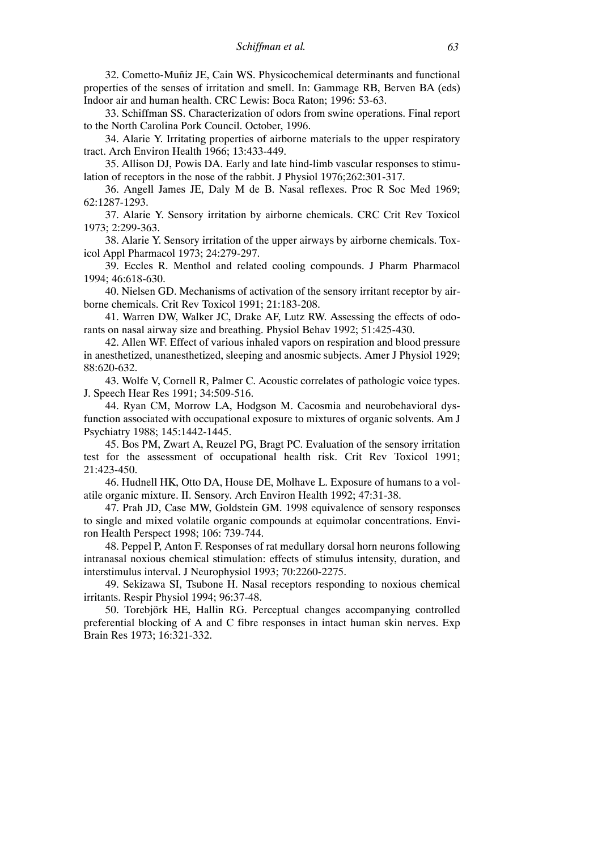32. Cometto-Muñiz JE, Cain WS. Physicochemical determinants and functional properties of the senses of irritation and smell. In: Gammage RB, Berven BA (eds) Indoor air and human health. CRC Lewis: Boca Raton; 1996: 53-63.

33. Schiffman SS. Characterization of odors from swine operations. Final report to the North Carolina Pork Council. October, 1996.

34. Alarie Y. Irritating properties of airborne materials to the upper respiratory tract. Arch Environ Health 1966; 13:433-449.

35. Allison DJ, Powis DA. Early and late hind-limb vascular responses to stimulation of receptors in the nose of the rabbit. J Physiol 1976;262:301-317.

36. Angell James JE, Daly M de B. Nasal reflexes. Proc R Soc Med 1969; 62:1287-1293.

37. Alarie Y. Sensory irritation by airborne chemicals. CRC Crit Rev Toxicol 1973; 2:299-363.

38. Alarie Y. Sensory irritation of the upper airways by airborne chemicals. Toxicol Appl Pharmacol 1973; 24:279-297.

39. Eccles R. Menthol and related cooling compounds. J Pharm Pharmacol 1994; 46:618-630.

40. Nielsen GD. Mechanisms of activation of the sensory irritant receptor by airborne chemicals. Crit Rev Toxicol 1991; 21:183-208.

41. Warren DW, Walker JC, Drake AF, Lutz RW. Assessing the effects of odorants on nasal airway size and breathing. Physiol Behav 1992; 51:425-430.

42. Allen WF. Effect of various inhaled vapors on respiration and blood pressure in anesthetized, unanesthetized, sleeping and anosmic subjects. Amer J Physiol 1929; 88:620-632.

43. Wolfe V, Cornell R, Palmer C. Acoustic correlates of pathologic voice types. J. Speech Hear Res 1991; 34:509-516.

44. Ryan CM, Morrow LA, Hodgson M. Cacosmia and neurobehavioral dysfunction associated with occupational exposure to mixtures of organic solvents. Am J Psychiatry 1988; 145:1442-1445.

45. Bos PM, Zwart A, Reuzel PG, Bragt PC. Evaluation of the sensory irritation test for the assessment of occupational health risk. Crit Rev Toxicol 1991; 21:423-450.

46. Hudnell HK, Otto DA, House DE, Molhave L. Exposure of humans to a volatile organic mixture. II. Sensory. Arch Environ Health 1992; 47:31-38.

47. Prah JD, Case MW, Goldstein GM. 1998 equivalence of sensory responses to single and mixed volatile organic compounds at equimolar concentrations. Environ Health Perspect 1998; 106: 739-744.

48. Peppel P, Anton F. Responses of rat medullary dorsal horn neurons following intranasal noxious chemical stimulation: effects of stimulus intensity, duration, and interstimulus interval. J Neurophysiol 1993; 70:2260-2275.

49. Sekizawa SI, Tsubone H. Nasal receptors responding to noxious chemical irritants. Respir Physiol 1994; 96:37-48.

50. Torebjörk HE, Hallin RG. Perceptual changes accompanying controlled preferential blocking of A and C fibre responses in intact human skin nerves. Exp Brain Res 1973; 16:321-332.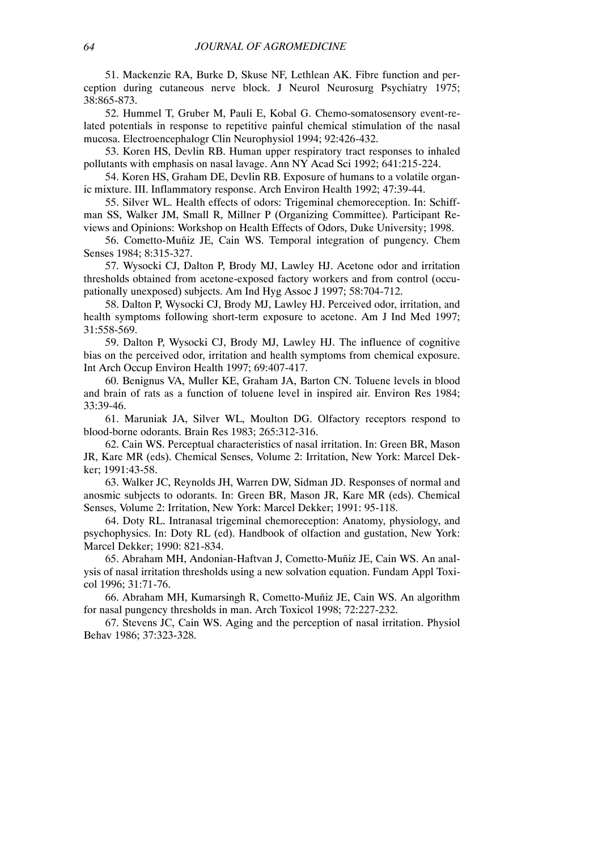51. Mackenzie RA, Burke D, Skuse NF, Lethlean AK. Fibre function and perception during cutaneous nerve block. J Neurol Neurosurg Psychiatry 1975; 38:865-873.

52. Hummel T, Gruber M, Pauli E, Kobal G. Chemo-somatosensory event-related potentials in response to repetitive painful chemical stimulation of the nasal mucosa. Electroencephalogr Clin Neurophysiol 1994; 92:426-432.

53. Koren HS, Devlin RB. Human upper respiratory tract responses to inhaled pollutants with emphasis on nasal lavage. Ann NY Acad Sci 1992; 641:215-224.

54. Koren HS, Graham DE, Devlin RB. Exposure of humans to a volatile organic mixture. III. Inflammatory response. Arch Environ Health 1992; 47:39-44.

55. Silver WL. Health effects of odors: Trigeminal chemoreception. In: Schiffman SS, Walker JM, Small R, Millner P (Organizing Committee). Participant Reviews and Opinions: Workshop on Health Effects of Odors, Duke University; 1998.

56. Cometto-Muñiz JE, Cain WS. Temporal integration of pungency. Chem Senses 1984; 8:315-327.

57. Wysocki CJ, Dalton P, Brody MJ, Lawley HJ. Acetone odor and irritation thresholds obtained from acetone-exposed factory workers and from control (occupationally unexposed) subjects. Am Ind Hyg Assoc J 1997; 58:704-712.

58. Dalton P, Wysocki CJ, Brody MJ, Lawley HJ. Perceived odor, irritation, and health symptoms following short-term exposure to acetone. Am J Ind Med 1997; 31:558-569.

59. Dalton P, Wysocki CJ, Brody MJ, Lawley HJ. The influence of cognitive bias on the perceived odor, irritation and health symptoms from chemical exposure. Int Arch Occup Environ Health 1997; 69:407-417.

60. Benignus VA, Muller KE, Graham JA, Barton CN. Toluene levels in blood and brain of rats as a function of toluene level in inspired air. Environ Res 1984; 33:39-46.

61. Maruniak JA, Silver WL, Moulton DG. Olfactory receptors respond to blood-borne odorants. Brain Res 1983; 265:312-316.

62. Cain WS. Perceptual characteristics of nasal irritation. In: Green BR, Mason JR, Kare MR (eds). Chemical Senses, Volume 2: Irritation, New York: Marcel Dekker; 1991:43-58.

63. Walker JC, Reynolds JH, Warren DW, Sidman JD. Responses of normal and anosmic subjects to odorants. In: Green BR, Mason JR, Kare MR (eds). Chemical Senses, Volume 2: Irritation, New York: Marcel Dekker; 1991: 95-118.

64. Doty RL. Intranasal trigeminal chemoreception: Anatomy, physiology, and psychophysics. In: Doty RL (ed). Handbook of olfaction and gustation, New York: Marcel Dekker; 1990: 821-834.

65. Abraham MH, Andonian-Haftvan J, Cometto-Muñiz JE, Cain WS. An analysis of nasal irritation thresholds using a new solvation equation. Fundam Appl Toxicol 1996; 31:71-76.

66. Abraham MH, Kumarsingh R, Cometto-Muñiz JE, Cain WS. An algorithm for nasal pungency thresholds in man. Arch Toxicol 1998; 72:227-232.

67. Stevens JC, Cain WS. Aging and the perception of nasal irritation. Physiol Behav 1986; 37:323-328.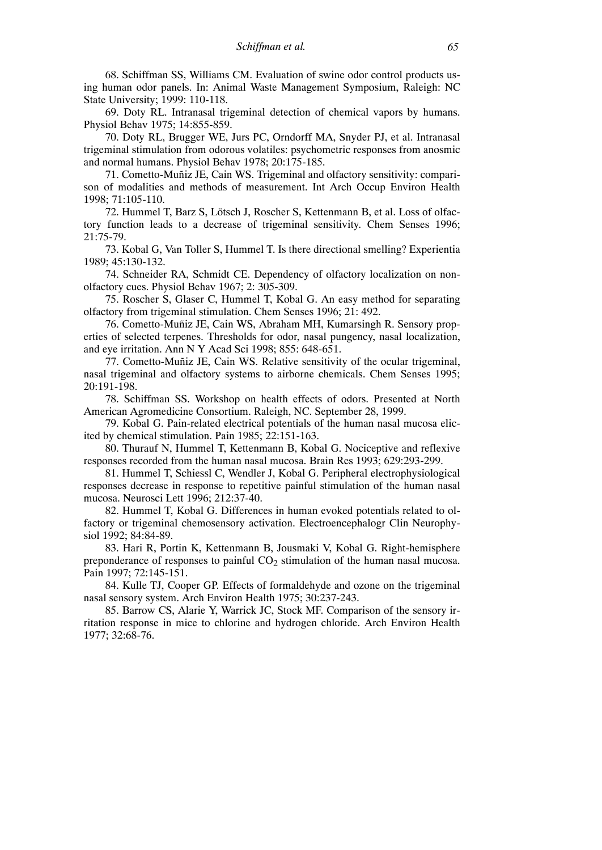68. Schiffman SS, Williams CM. Evaluation of swine odor control products using human odor panels. In: Animal Waste Management Symposium, Raleigh: NC State University; 1999: 110-118.

69. Doty RL. Intranasal trigeminal detection of chemical vapors by humans. Physiol Behav 1975; 14:855-859.

70. Doty RL, Brugger WE, Jurs PC, Orndorff MA, Snyder PJ, et al. Intranasal trigeminal stimulation from odorous volatiles: psychometric responses from anosmic and normal humans. Physiol Behav 1978; 20:175-185.

71. Cometto-Muñiz JE, Cain WS. Trigeminal and olfactory sensitivity: comparison of modalities and methods of measurement. Int Arch Occup Environ Health 1998; 71:105-110.

72. Hummel T, Barz S, Lötsch J, Roscher S, Kettenmann B, et al. Loss of olfactory function leads to a decrease of trigeminal sensitivity. Chem Senses 1996; 21:75-79.

73. Kobal G, Van Toller S, Hummel T. Is there directional smelling? Experientia 1989; 45:130-132.

74. Schneider RA, Schmidt CE. Dependency of olfactory localization on nonolfactory cues. Physiol Behav 1967; 2: 305-309.

75. Roscher S, Glaser C, Hummel T, Kobal G. An easy method for separating olfactory from trigeminal stimulation. Chem Senses 1996; 21: 492.

76. Cometto-Muñiz JE, Cain WS, Abraham MH, Kumarsingh R. Sensory properties of selected terpenes. Thresholds for odor, nasal pungency, nasal localization, and eye irritation. Ann N Y Acad Sci 1998; 855: 648-651.

77. Cometto-Muñiz JE, Cain WS. Relative sensitivity of the ocular trigeminal, nasal trigeminal and olfactory systems to airborne chemicals. Chem Senses 1995; 20:191-198.

78. Schiffman SS. Workshop on health effects of odors. Presented at North American Agromedicine Consortium. Raleigh, NC. September 28, 1999.

79. Kobal G. Pain-related electrical potentials of the human nasal mucosa elicited by chemical stimulation. Pain 1985; 22:151-163.

80. Thurauf N, Hummel T, Kettenmann B, Kobal G. Nociceptive and reflexive responses recorded from the human nasal mucosa. Brain Res 1993; 629:293-299.

81. Hummel T, Schiessl C, Wendler J, Kobal G. Peripheral electrophysiological responses decrease in response to repetitive painful stimulation of the human nasal mucosa. Neurosci Lett 1996; 212:37-40.

82. Hummel T, Kobal G. Differences in human evoked potentials related to olfactory or trigeminal chemosensory activation. Electroencephalogr Clin Neurophysiol 1992; 84:84-89.

83. Hari R, Portin K, Kettenmann B, Jousmaki V, Kobal G. Right-hemisphere preponderance of responses to painful CO2 stimulation of the human nasal mucosa. Pain 1997; 72:145-151.

84. Kulle TJ, Cooper GP. Effects of formaldehyde and ozone on the trigeminal nasal sensory system. Arch Environ Health 1975; 30:237-243.

85. Barrow CS, Alarie Y, Warrick JC, Stock MF. Comparison of the sensory irritation response in mice to chlorine and hydrogen chloride. Arch Environ Health 1977; 32:68-76.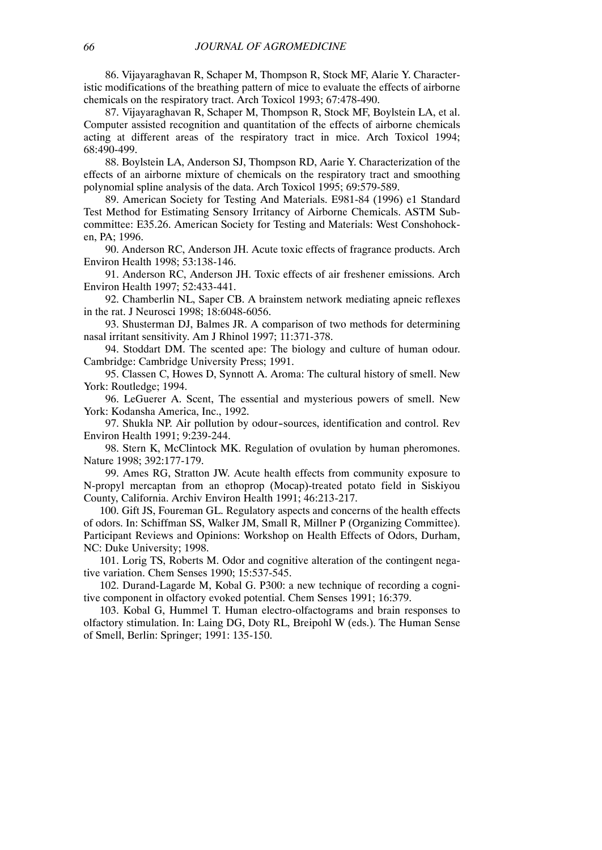86. Vijayaraghavan R, Schaper M, Thompson R, Stock MF, Alarie Y. Characteristic modifications of the breathing pattern of mice to evaluate the effects of airborne chemicals on the respiratory tract. Arch Toxicol 1993; 67:478-490.

87. Vijayaraghavan R, Schaper M, Thompson R, Stock MF, Boylstein LA, et al. Computer assisted recognition and quantitation of the effects of airborne chemicals acting at different areas of the respiratory tract in mice. Arch Toxicol 1994; 68:490-499.

88. Boylstein LA, Anderson SJ, Thompson RD, Aarie Y. Characterization of the effects of an airborne mixture of chemicals on the respiratory tract and smoothing polynomial spline analysis of the data. Arch Toxicol 1995; 69:579-589.

89. American Society for Testing And Materials. E981-84 (1996) e1 Standard Test Method for Estimating Sensory Irritancy of Airborne Chemicals. ASTM Subcommittee: E35.26. American Society for Testing and Materials: West Conshohocken, PA; 1996.

90. Anderson RC, Anderson JH. Acute toxic effects of fragrance products. Arch Environ Health 1998; 53:138-146.

91. Anderson RC, Anderson JH. Toxic effects of air freshener emissions. Arch Environ Health 1997; 52:433-441.

92. Chamberlin NL, Saper CB. A brainstem network mediating apneic reflexes in the rat. J Neurosci 1998; 18:6048-6056.

93. Shusterman DJ, Balmes JR. A comparison of two methods for determining nasal irritant sensitivity. Am J Rhinol 1997; 11:371-378.

94. Stoddart DM. The scented ape: The biology and culture of human odour. Cambridge: Cambridge University Press; 1991.

95. Classen C, Howes D, Synnott A. Aroma: The cultural history of smell. New York: Routledge; 1994.

96. LeGuerer A. Scent, The essential and mysterious powers of smell. New York: Kodansha America, Inc., 1992.

97. Shukla NP. Air pollution by odour--sources, identification and control. Rev Environ Health 1991; 9:239-244.

98. Stern K, McClintock MK. Regulation of ovulation by human pheromones. Nature 1998; 392:177-179.

99. Ames RG, Stratton JW. Acute health effects from community exposure to N-propyl mercaptan from an ethoprop (Mocap)-treated potato field in Siskiyou County, California. Archiv Environ Health 1991; 46:213-217.

100. Gift JS, Foureman GL. Regulatory aspects and concerns of the health effects of odors. In: Schiffman SS, Walker JM, Small R, Millner P (Organizing Committee). Participant Reviews and Opinions: Workshop on Health Effects of Odors, Durham, NC: Duke University; 1998.

101. Lorig TS, Roberts M. Odor and cognitive alteration of the contingent negative variation. Chem Senses 1990; 15:537-545.

102. Durand-Lagarde M, Kobal G. P300: a new technique of recording a cognitive component in olfactory evoked potential. Chem Senses 1991; 16:379.

103. Kobal G, Hummel T. Human electro-olfactograms and brain responses to olfactory stimulation. In: Laing DG, Doty RL, Breipohl W (eds.). The Human Sense of Smell, Berlin: Springer; 1991: 135-150.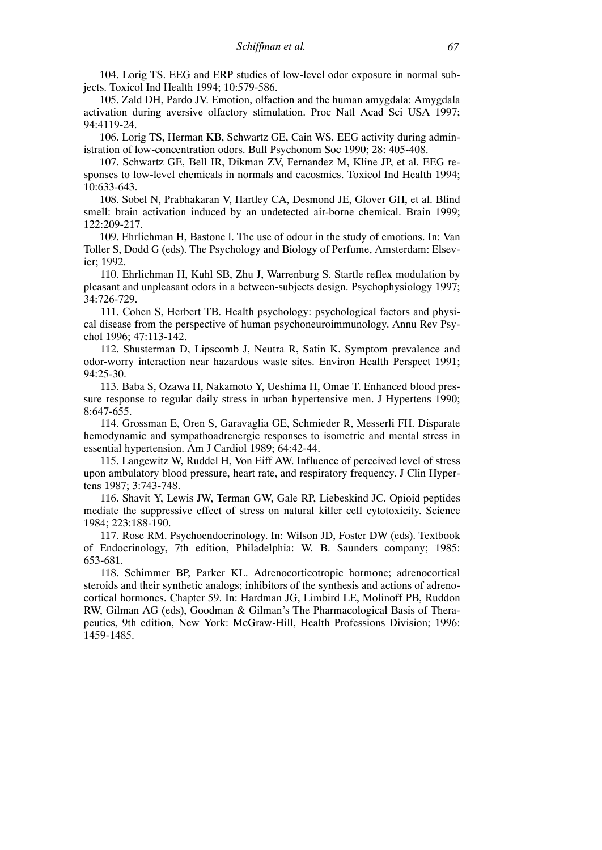104. Lorig TS. EEG and ERP studies of low-level odor exposure in normal subjects. Toxicol Ind Health 1994; 10:579-586.

105. Zald DH, Pardo JV. Emotion, olfaction and the human amygdala: Amygdala activation during aversive olfactory stimulation. Proc Natl Acad Sci USA 1997; 94:4119-24.

106. Lorig TS, Herman KB, Schwartz GE, Cain WS. EEG activity during administration of low-concentration odors. Bull Psychonom Soc 1990; 28: 405-408.

107. Schwartz GE, Bell IR, Dikman ZV, Fernandez M, Kline JP, et al. EEG responses to low-level chemicals in normals and cacosmics. Toxicol Ind Health 1994; 10:633-643.

108. Sobel N, Prabhakaran V, Hartley CA, Desmond JE, Glover GH, et al. Blind smell: brain activation induced by an undetected air-borne chemical. Brain 1999; 122:209-217.

109. Ehrlichman H, Bastone l. The use of odour in the study of emotions. In: Van Toller S, Dodd G (eds). The Psychology and Biology of Perfume, Amsterdam: Elsevier; 1992.

110. Ehrlichman H, Kuhl SB, Zhu J, Warrenburg S. Startle reflex modulation by pleasant and unpleasant odors in a between-subjects design. Psychophysiology 1997; 34:726-729.

111. Cohen S, Herbert TB. Health psychology: psychological factors and physical disease from the perspective of human psychoneuroimmunology. Annu Rev Psychol 1996; 47:113-142.

112. Shusterman D, Lipscomb J, Neutra R, Satin K. Symptom prevalence and odor-worry interaction near hazardous waste sites. Environ Health Perspect 1991; 94:25-30.

113. Baba S, Ozawa H, Nakamoto Y, Ueshima H, Omae T. Enhanced blood pressure response to regular daily stress in urban hypertensive men. J Hypertens 1990; 8:647-655.

114. Grossman E, Oren S, Garavaglia GE, Schmieder R, Messerli FH. Disparate hemodynamic and sympathoadrenergic responses to isometric and mental stress in essential hypertension. Am J Cardiol 1989; 64:42-44.

115. Langewitz W, Ruddel H, Von Eiff AW. Influence of perceived level of stress upon ambulatory blood pressure, heart rate, and respiratory frequency. J Clin Hypertens 1987; 3:743-748.

116. Shavit Y, Lewis JW, Terman GW, Gale RP, Liebeskind JC. Opioid peptides mediate the suppressive effect of stress on natural killer cell cytotoxicity. Science 1984; 223:188-190.

117. Rose RM. Psychoendocrinology. In: Wilson JD, Foster DW (eds). Textbook of Endocrinology, 7th edition, Philadelphia: W. B. Saunders company; 1985: 653-681.

118. Schimmer BP, Parker KL. Adrenocorticotropic hormone; adrenocortical steroids and their synthetic analogs; inhibitors of the synthesis and actions of adrenocortical hormones. Chapter 59. In: Hardman JG, Limbird LE, Molinoff PB, Ruddon RW, Gilman AG (eds), Goodman & Gilman's The Pharmacological Basis of Therapeutics, 9th edition, New York: McGraw-Hill, Health Professions Division; 1996: 1459-1485.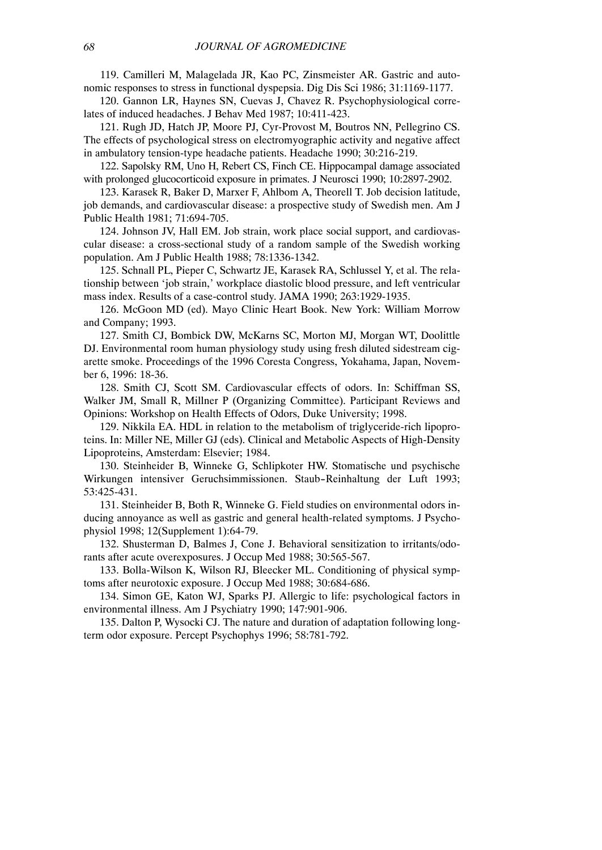119. Camilleri M, Malagelada JR, Kao PC, Zinsmeister AR. Gastric and autonomic responses to stress in functional dyspepsia. Dig Dis Sci 1986; 31:1169-1177.

120. Gannon LR, Haynes SN, Cuevas J, Chavez R. Psychophysiological correlates of induced headaches. J Behav Med 1987; 10:411-423.

121. Rugh JD, Hatch JP, Moore PJ, Cyr-Provost M, Boutros NN, Pellegrino CS. The effects of psychological stress on electromyographic activity and negative affect in ambulatory tension-type headache patients. Headache 1990; 30:216-219.

122. Sapolsky RM, Uno H, Rebert CS, Finch CE. Hippocampal damage associated with prolonged glucocorticoid exposure in primates. J Neurosci 1990; 10:2897-2902.

123. Karasek R, Baker D, Marxer F, Ahlbom A, Theorell T. Job decision latitude, job demands, and cardiovascular disease: a prospective study of Swedish men. Am J Public Health 1981; 71:694-705.

124. Johnson JV, Hall EM. Job strain, work place social support, and cardiovascular disease: a cross-sectional study of a random sample of the Swedish working population. Am J Public Health 1988; 78:1336-1342.

125. Schnall PL, Pieper C, Schwartz JE, Karasek RA, Schlussel Y, et al. The relationship between 'job strain,' workplace diastolic blood pressure, and left ventricular mass index. Results of a case-control study. JAMA 1990; 263:1929-1935.

126. McGoon MD (ed). Mayo Clinic Heart Book. New York: William Morrow and Company; 1993.

127. Smith CJ, Bombick DW, McKarns SC, Morton MJ, Morgan WT, Doolittle DJ. Environmental room human physiology study using fresh diluted sidestream cigarette smoke. Proceedings of the 1996 Coresta Congress, Yokahama, Japan, November 6, 1996: 18-36.

128. Smith CJ, Scott SM. Cardiovascular effects of odors. In: Schiffman SS, Walker JM, Small R, Millner P (Organizing Committee). Participant Reviews and Opinions: Workshop on Health Effects of Odors, Duke University; 1998.

129. Nikkila EA. HDL in relation to the metabolism of triglyceride-rich lipoproteins. In: Miller NE, Miller GJ (eds). Clinical and Metabolic Aspects of High-Density Lipoproteins, Amsterdam: Elsevier; 1984.

130. Steinheider B, Winneke G, Schlipkoter HW. Stomatische und psychische Wirkungen intensiver Geruchsimmissionen. Staub-Reinhaltung der Luft 1993; 53:425-431.

131. Steinheider B, Both R, Winneke G. Field studies on environmental odors inducing annoyance as well as gastric and general health-related symptoms. J Psychophysiol 1998; 12(Supplement 1):64-79.

132. Shusterman D, Balmes J, Cone J. Behavioral sensitization to irritants/odorants after acute overexposures. J Occup Med 1988; 30:565-567.

133. Bolla-Wilson K, Wilson RJ, Bleecker ML. Conditioning of physical symptoms after neurotoxic exposure. J Occup Med 1988; 30:684-686.

134. Simon GE, Katon WJ, Sparks PJ. Allergic to life: psychological factors in environmental illness. Am J Psychiatry 1990; 147:901-906.

135. Dalton P, Wysocki CJ. The nature and duration of adaptation following longterm odor exposure. Percept Psychophys 1996; 58:781-792.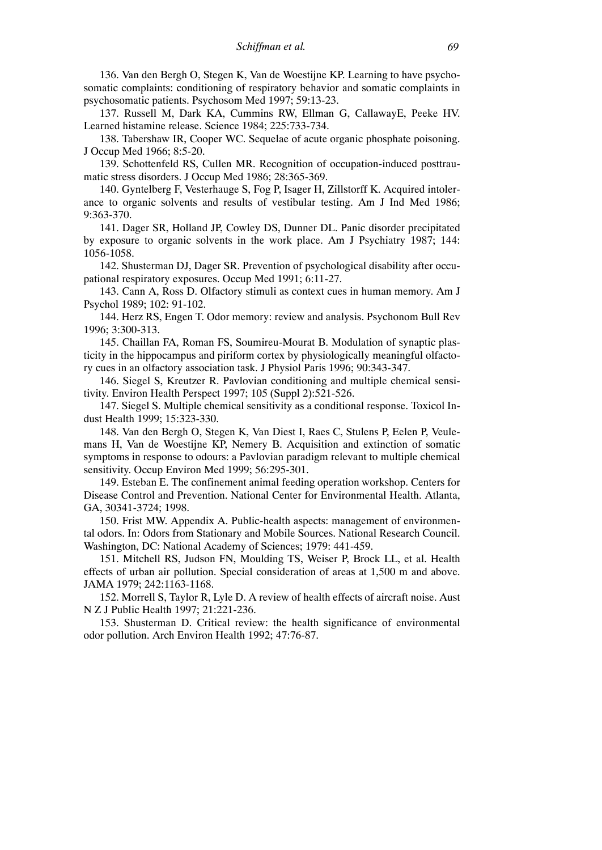136. Van den Bergh O, Stegen K, Van de Woestijne KP. Learning to have psychosomatic complaints: conditioning of respiratory behavior and somatic complaints in psychosomatic patients. Psychosom Med 1997; 59:13-23.

137. Russell M, Dark KA, Cummins RW, Ellman G, CallawayE, Peeke HV. Learned histamine release. Science 1984; 225:733-734.

138. Tabershaw IR, Cooper WC. Sequelae of acute organic phosphate poisoning. J Occup Med 1966; 8:5-20.

139. Schottenfeld RS, Cullen MR. Recognition of occupation-induced posttraumatic stress disorders. J Occup Med 1986; 28:365-369.

140. Gyntelberg F, Vesterhauge S, Fog P, Isager H, Zillstorff K. Acquired intolerance to organic solvents and results of vestibular testing. Am J Ind Med 1986; 9:363-370.

141. Dager SR, Holland JP, Cowley DS, Dunner DL. Panic disorder precipitated by exposure to organic solvents in the work place. Am J Psychiatry 1987; 144: 1056-1058.

142. Shusterman DJ, Dager SR. Prevention of psychological disability after occupational respiratory exposures. Occup Med 1991; 6:11-27.

143. Cann A, Ross D. Olfactory stimuli as context cues in human memory. Am J Psychol 1989; 102: 91-102.

144. Herz RS, Engen T. Odor memory: review and analysis. Psychonom Bull Rev 1996; 3:300-313.

145. Chaillan FA, Roman FS, Soumireu-Mourat B. Modulation of synaptic plasticity in the hippocampus and piriform cortex by physiologically meaningful olfactory cues in an olfactory association task. J Physiol Paris 1996; 90:343-347.

146. Siegel S, Kreutzer R. Pavlovian conditioning and multiple chemical sensitivity. Environ Health Perspect 1997; 105 (Suppl 2):521-526.

147. Siegel S. Multiple chemical sensitivity as a conditional response. Toxicol Indust Health 1999; 15:323-330.

148. Van den Bergh O, Stegen K, Van Diest I, Raes C, Stulens P, Eelen P, Veulemans H, Van de Woestijne KP, Nemery B. Acquisition and extinction of somatic symptoms in response to odours: a Pavlovian paradigm relevant to multiple chemical sensitivity. Occup Environ Med 1999; 56:295-301.

149. Esteban E. The confinement animal feeding operation workshop. Centers for Disease Control and Prevention. National Center for Environmental Health. Atlanta, GA, 30341-3724; 1998.

150. Frist MW. Appendix A. Public-health aspects: management of environmental odors. In: Odors from Stationary and Mobile Sources. National Research Council. Washington, DC: National Academy of Sciences; 1979: 441-459.

151. Mitchell RS, Judson FN, Moulding TS, Weiser P, Brock LL, et al. Health effects of urban air pollution. Special consideration of areas at 1,500 m and above. JAMA 1979; 242:1163-1168.

152. Morrell S, Taylor R, Lyle D. A review of health effects of aircraft noise. Aust N Z J Public Health 1997; 21:221-236.

153. Shusterman D. Critical review: the health significance of environmental odor pollution. Arch Environ Health 1992; 47:76-87.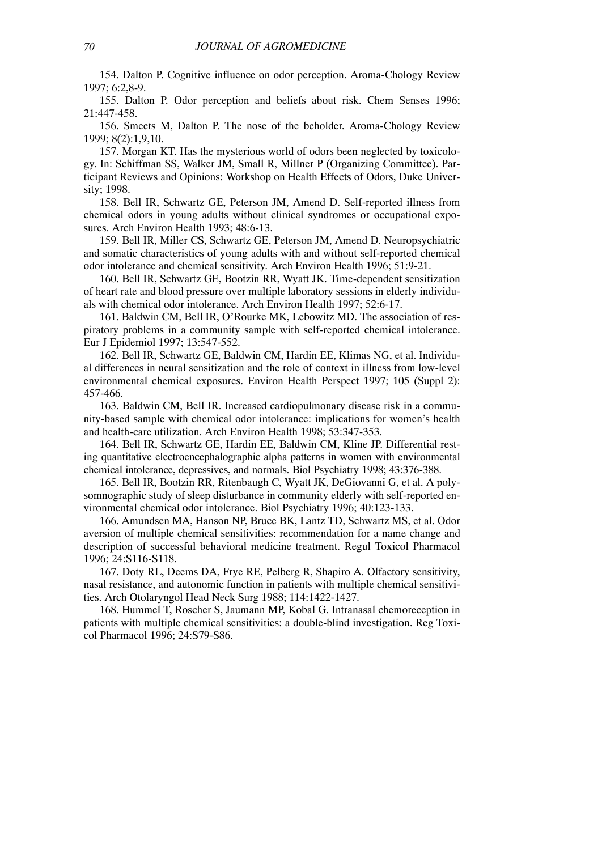154. Dalton P. Cognitive influence on odor perception. Aroma-Chology Review 1997; 6:2,8-9.

155. Dalton P. Odor perception and beliefs about risk. Chem Senses 1996; 21:447-458.

156. Smeets M, Dalton P. The nose of the beholder. Aroma-Chology Review 1999; 8(2):1,9,10.

157. Morgan KT. Has the mysterious world of odors been neglected by toxicology. In: Schiffman SS, Walker JM, Small R, Millner P (Organizing Committee). Participant Reviews and Opinions: Workshop on Health Effects of Odors, Duke University; 1998.

158. Bell IR, Schwartz GE, Peterson JM, Amend D. Self-reported illness from chemical odors in young adults without clinical syndromes or occupational exposures. Arch Environ Health 1993; 48:6-13.

159. Bell IR, Miller CS, Schwartz GE, Peterson JM, Amend D. Neuropsychiatric and somatic characteristics of young adults with and without self-reported chemical odor intolerance and chemical sensitivity. Arch Environ Health 1996; 51:9-21.

160. Bell IR, Schwartz GE, Bootzin RR, Wyatt JK. Time-dependent sensitization of heart rate and blood pressure over multiple laboratory sessions in elderly individuals with chemical odor intolerance. Arch Environ Health 1997; 52:6-17.

161. Baldwin CM, Bell IR, O'Rourke MK, Lebowitz MD. The association of respiratory problems in a community sample with self-reported chemical intolerance. Eur J Epidemiol 1997; 13:547-552.

162. Bell IR, Schwartz GE, Baldwin CM, Hardin EE, Klimas NG, et al. Individual differences in neural sensitization and the role of context in illness from low-level environmental chemical exposures. Environ Health Perspect 1997; 105 (Suppl 2): 457-466.

163. Baldwin CM, Bell IR. Increased cardiopulmonary disease risk in a community-based sample with chemical odor intolerance: implications for women's health and health-care utilization. Arch Environ Health 1998; 53:347-353.

164. Bell IR, Schwartz GE, Hardin EE, Baldwin CM, Kline JP. Differential resting quantitative electroencephalographic alpha patterns in women with environmental chemical intolerance, depressives, and normals. Biol Psychiatry 1998; 43:376-388.

165. Bell IR, Bootzin RR, Ritenbaugh C, Wyatt JK, DeGiovanni G, et al. A polysomnographic study of sleep disturbance in community elderly with self-reported environmental chemical odor intolerance. Biol Psychiatry 1996; 40:123-133.

166. Amundsen MA, Hanson NP, Bruce BK, Lantz TD, Schwartz MS, et al. Odor aversion of multiple chemical sensitivities: recommendation for a name change and description of successful behavioral medicine treatment. Regul Toxicol Pharmacol 1996; 24:S116-S118.

167. Doty RL, Deems DA, Frye RE, Pelberg R, Shapiro A. Olfactory sensitivity, nasal resistance, and autonomic function in patients with multiple chemical sensitivities. Arch Otolaryngol Head Neck Surg 1988; 114:1422-1427.

168. Hummel T, Roscher S, Jaumann MP, Kobal G. Intranasal chemoreception in patients with multiple chemical sensitivities: a double-blind investigation. Reg Toxicol Pharmacol 1996; 24:S79-S86.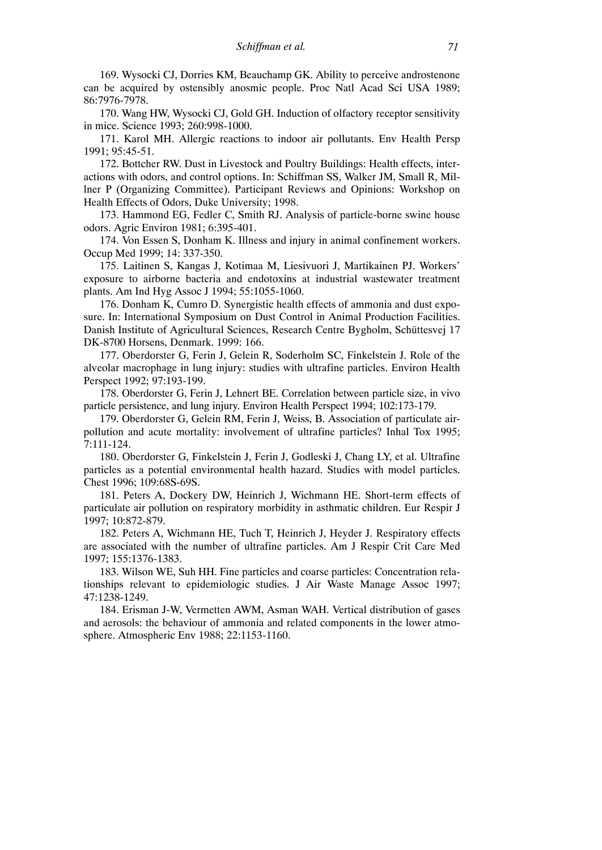169. Wysocki CJ, Dorries KM, Beauchamp GK. Ability to perceive androstenone can be acquired by ostensibly anosmic people. Proc Natl Acad Sci USA 1989; 86:7976-7978.

170. Wang HW, Wysocki CJ, Gold GH. Induction of olfactory receptor sensitivity in mice. Science 1993; 260:998-1000.

171. Karol MH. Allergic reactions to indoor air pollutants. Env Health Persp 1991; 95:45-51.

172. Bottcher RW. Dust in Livestock and Poultry Buildings: Health effects, interactions with odors, and control options. In: Schiffman SS, Walker JM, Small R, Millner P (Organizing Committee). Participant Reviews and Opinions: Workshop on Health Effects of Odors, Duke University; 1998.

173. Hammond EG, Fedler C, Smith RJ. Analysis of particle-borne swine house odors. Agric Environ 1981; 6:395-401.

174. Von Essen S, Donham K. Illness and injury in animal confinement workers. Occup Med 1999; 14: 337-350.

175. Laitinen S, Kangas J, Kotimaa M, Liesivuori J, Martikainen PJ. Workers' exposure to airborne bacteria and endotoxins at industrial wastewater treatment plants. Am Ind Hyg Assoc J 1994; 55:1055-1060.

176. Donham K, Cumro D. Synergistic health effects of ammonia and dust exposure. In: International Symposium on Dust Control in Animal Production Facilities. Danish Institute of Agricultural Sciences, Research Centre Bygholm, Schüttesvej 17 DK-8700 Horsens, Denmark. 1999: 166.

177. Oberdorster G, Ferin J, Gelein R, Soderholm SC, Finkelstein J. Role of the alveolar macrophage in lung injury: studies with ultrafine particles. Environ Health Perspect 1992; 97:193-199.

178. Oberdorster G, Ferin J, Lehnert BE. Correlation between particle size, in vivo particle persistence, and lung injury. Environ Health Perspect 1994; 102:173-179.

179. Oberdorster G, Gelein RM, Ferin J, Weiss, B. Association of particulate airpollution and acute mortality: involvement of ultrafine particles? Inhal Tox 1995; 7:111-124.

180. Oberdorster G, Finkelstein J, Ferin J, Godleski J, Chang LY, et al. Ultrafine particles as a potential environmental health hazard. Studies with model particles. Chest 1996; 109:68S-69S.

181. Peters A, Dockery DW, Heinrich J, Wichmann HE. Short-term effects of particulate air pollution on respiratory morbidity in asthmatic children. Eur Respir J 1997; 10:872-879.

182. Peters A, Wichmann HE, Tuch T, Heinrich J, Heyder J. Respiratory effects are associated with the number of ultrafine particles. Am J Respir Crit Care Med 1997; 155:1376-1383.

183. Wilson WE, Suh HH. Fine particles and coarse particles: Concentration relationships relevant to epidemiologic studies. J Air Waste Manage Assoc 1997; 47:1238-1249.

184. Erisman J-W, Vermetten AWM, Asman WAH. Vertical distribution of gases and aerosols: the behaviour of ammonia and related components in the lower atmosphere. Atmospheric Env 1988; 22:1153-1160.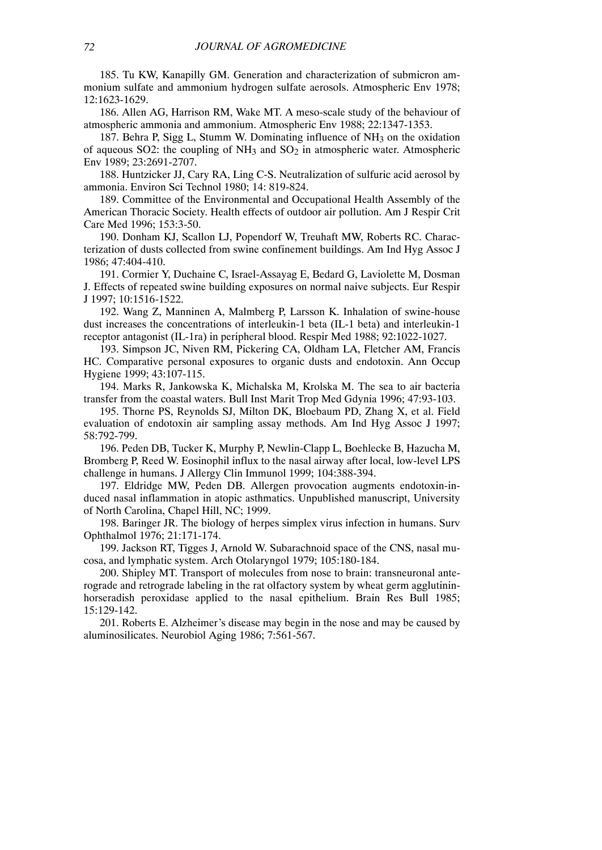185. Tu KW, Kanapilly GM. Generation and characterization of submicron ammonium sulfate and ammonium hydrogen sulfate aerosols. Atmospheric Env 1978; 12:1623-1629.

186. Allen AG, Harrison RM, Wake MT. A meso-scale study of the behaviour of atmospheric ammonia and ammonium. Atmospheric Env 1988; 22:1347-1353.

187. Behra P, Sigg L, Stumm W. Dominating influence of  $NH_3$  on the oxidation of aqueous SO2: the coupling of NH<sub>3</sub> and  $SO_2$  in atmospheric water. Atmospheric Env 1989; 23:2691-2707.

188. Huntzicker JJ, Cary RA, Ling C-S. Neutralization of sulfuric acid aerosol by ammonia. Environ Sci Technol 1980; 14: 819-824.

189. Committee of the Environmental and Occupational Health Assembly of the American Thoracic Society. Health effects of outdoor air pollution. Am J Respir Crit Care Med 1996; 153:3-50.

190. Donham KJ, Scallon LJ, Popendorf W, Treuhaft MW, Roberts RC. Characterization of dusts collected from swine confinement buildings. Am Ind Hyg Assoc J 1986; 47:404-410.

191. Cormier Y, Duchaine C, Israel-Assayag E, Bedard G, Laviolette M, Dosman J. Effects of repeated swine building exposures on normal naive subjects. Eur Respir J 1997; 10:1516-1522.

192. Wang Z, Manninen A, Malmberg P, Larsson K. Inhalation of swine-house dust increases the concentrations of interleukin-1 beta (IL-1 beta) and interleukin-1 receptor antagonist (IL-1ra) in peripheral blood. Respir Med 1988; 92:1022-1027.

193. Simpson JC, Niven RM, Pickering CA, Oldham LA, Fletcher AM, Francis HC. Comparative personal exposures to organic dusts and endotoxin. Ann Occup Hygiene 1999; 43:107-115.

194. Marks R, Jankowska K, Michalska M, Krolska M. The sea to air bacteria transfer from the coastal waters. Bull Inst Marit Trop Med Gdynia 1996; 47:93-103.

195. Thorne PS, Reynolds SJ, Milton DK, Bloebaum PD, Zhang X, et al. Field evaluation of endotoxin air sampling assay methods. Am Ind Hyg Assoc J 1997; 58:792-799.

196. Peden DB, Tucker K, Murphy P, Newlin-Clapp L, Boehlecke B, Hazucha M, Bromberg P, Reed W. Eosinophil influx to the nasal airway after local, low-level LPS challenge in humans. J Allergy Clin Immunol 1999; 104:388-394.

197. Eldridge MW, Peden DB. Allergen provocation augments endotoxin-induced nasal inflammation in atopic asthmatics. Unpublished manuscript, University of North Carolina, Chapel Hill, NC; 1999.

198. Baringer JR. The biology of herpes simplex virus infection in humans. Surv Ophthalmol 1976; 21:171-174.

199. Jackson RT, Tigges J, Arnold W. Subarachnoid space of the CNS, nasal mucosa, and lymphatic system. Arch Otolaryngol 1979; 105:180-184.

200. Shipley MT. Transport of molecules from nose to brain: transneuronal anterograde and retrograde labeling in the rat olfactory system by wheat germ agglutininhorseradish peroxidase applied to the nasal epithelium. Brain Res Bull 1985; 15:129-142.

201. Roberts E. Alzheimer's disease may begin in the nose and may be caused by aluminosilicates. Neurobiol Aging 1986; 7:561-567.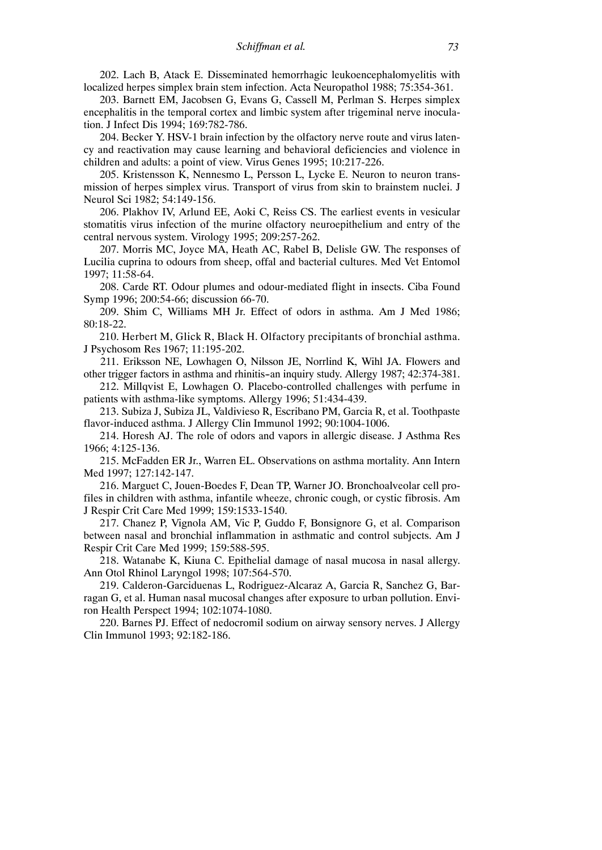202. Lach B, Atack E. Disseminated hemorrhagic leukoencephalomyelitis with localized herpes simplex brain stem infection. Acta Neuropathol 1988; 75:354-361.

203. Barnett EM, Jacobsen G, Evans G, Cassell M, Perlman S. Herpes simplex encephalitis in the temporal cortex and limbic system after trigeminal nerve inoculation. J Infect Dis 1994; 169:782-786.

204. Becker Y. HSV-1 brain infection by the olfactory nerve route and virus latency and reactivation may cause learning and behavioral deficiencies and violence in children and adults: a point of view. Virus Genes 1995; 10:217-226.

205. Kristensson K, Nennesmo L, Persson L, Lycke E. Neuron to neuron transmission of herpes simplex virus. Transport of virus from skin to brainstem nuclei. J Neurol Sci 1982; 54:149-156.

206. Plakhov IV, Arlund EE, Aoki C, Reiss CS. The earliest events in vesicular stomatitis virus infection of the murine olfactory neuroepithelium and entry of the central nervous system. Virology 1995; 209:257-262.

207. Morris MC, Joyce MA, Heath AC, Rabel B, Delisle GW. The responses of Lucilia cuprina to odours from sheep, offal and bacterial cultures. Med Vet Entomol 1997; 11:58-64.

208. Carde RT. Odour plumes and odour-mediated flight in insects. Ciba Found Symp 1996; 200:54-66; discussion 66-70.

209. Shim C, Williams MH Jr. Effect of odors in asthma. Am J Med 1986; 80:18-22.

210. Herbert M, Glick R, Black H. Olfactory precipitants of bronchial asthma. J Psychosom Res 1967; 11:195-202.

211. Eriksson NE, Lowhagen O, Nilsson JE, Norrlind K, Wihl JA. Flowers and other trigger factors in asthma and rhinitis--an inquiry study. Allergy 1987; 42:374-381.

212. Millqvist E, Lowhagen O. Placebo-controlled challenges with perfume in patients with asthma-like symptoms. Allergy 1996; 51:434-439.

213. Subiza J, Subiza JL, Valdivieso R, Escribano PM, Garcia R, et al. Toothpaste flavor-induced asthma. J Allergy Clin Immunol 1992; 90:1004-1006.

214. Horesh AJ. The role of odors and vapors in allergic disease. J Asthma Res 1966; 4:125-136.

215. McFadden ER Jr., Warren EL. Observations on asthma mortality. Ann Intern Med 1997; 127:142-147.

216. Marguet C, Jouen-Boedes F, Dean TP, Warner JO. Bronchoalveolar cell profiles in children with asthma, infantile wheeze, chronic cough, or cystic fibrosis. Am J Respir Crit Care Med 1999; 159:1533-1540.

217. Chanez P, Vignola AM, Vic P, Guddo F, Bonsignore G, et al. Comparison between nasal and bronchial inflammation in asthmatic and control subjects. Am J Respir Crit Care Med 1999; 159:588-595.

218. Watanabe K, Kiuna C. Epithelial damage of nasal mucosa in nasal allergy. Ann Otol Rhinol Laryngol 1998; 107:564-570.

219. Calderon-Garciduenas L, Rodriguez-Alcaraz A, Garcia R, Sanchez G, Barragan G, et al. Human nasal mucosal changes after exposure to urban pollution. Environ Health Perspect 1994; 102:1074-1080.

220. Barnes PJ. Effect of nedocromil sodium on airway sensory nerves. J Allergy Clin Immunol 1993; 92:182-186.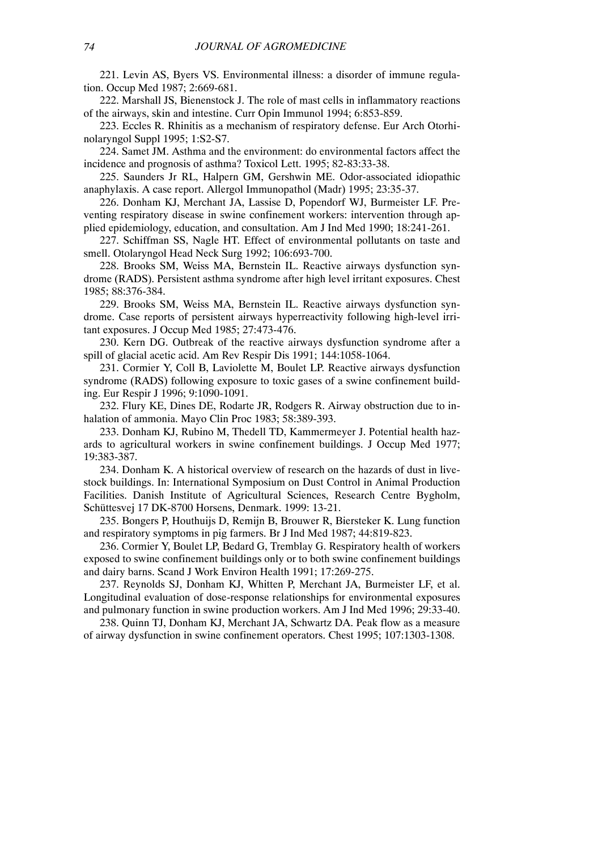221. Levin AS, Byers VS. Environmental illness: a disorder of immune regulation. Occup Med 1987; 2:669-681.

222. Marshall JS, Bienenstock J. The role of mast cells in inflammatory reactions of the airways, skin and intestine. Curr Opin Immunol 1994; 6:853-859.

223. Eccles R. Rhinitis as a mechanism of respiratory defense. Eur Arch Otorhinolaryngol Suppl 1995; 1:S2-S7.

224. Samet JM. Asthma and the environment: do environmental factors affect the incidence and prognosis of asthma? Toxicol Lett. 1995; 82-83:33-38.

225. Saunders Jr RL, Halpern GM, Gershwin ME. Odor-associated idiopathic anaphylaxis. A case report. Allergol Immunopathol (Madr) 1995; 23:35-37.

226. Donham KJ, Merchant JA, Lassise D, Popendorf WJ, Burmeister LF. Preventing respiratory disease in swine confinement workers: intervention through applied epidemiology, education, and consultation. Am J Ind Med 1990; 18:241-261.

227. Schiffman SS, Nagle HT. Effect of environmental pollutants on taste and smell. Otolaryngol Head Neck Surg 1992; 106:693-700.

228. Brooks SM, Weiss MA, Bernstein IL. Reactive airways dysfunction syndrome (RADS). Persistent asthma syndrome after high level irritant exposures. Chest 1985; 88:376-384.

229. Brooks SM, Weiss MA, Bernstein IL. Reactive airways dysfunction syndrome. Case reports of persistent airways hyperreactivity following high-level irritant exposures. J Occup Med 1985; 27:473-476.

230. Kern DG. Outbreak of the reactive airways dysfunction syndrome after a spill of glacial acetic acid. Am Rev Respir Dis 1991; 144:1058-1064.

231. Cormier Y, Coll B, Laviolette M, Boulet LP. Reactive airways dysfunction syndrome (RADS) following exposure to toxic gases of a swine confinement building. Eur Respir J 1996; 9:1090-1091.

232. Flury KE, Dines DE, Rodarte JR, Rodgers R. Airway obstruction due to inhalation of ammonia. Mayo Clin Proc 1983; 58:389-393.

233. Donham KJ, Rubino M, Thedell TD, Kammermeyer J. Potential health hazards to agricultural workers in swine confinement buildings. J Occup Med 1977; 19:383-387.

234. Donham K. A historical overview of research on the hazards of dust in livestock buildings. In: International Symposium on Dust Control in Animal Production Facilities. Danish Institute of Agricultural Sciences, Research Centre Bygholm, Schüttesvej 17 DK-8700 Horsens, Denmark. 1999: 13-21.

235. Bongers P, Houthuijs D, Remijn B, Brouwer R, Biersteker K. Lung function and respiratory symptoms in pig farmers. Br J Ind Med 1987; 44:819-823.

236. Cormier Y, Boulet LP, Bedard G, Tremblay G. Respiratory health of workers exposed to swine confinement buildings only or to both swine confinement buildings and dairy barns. Scand J Work Environ Health 1991; 17:269-275.

237. Reynolds SJ, Donham KJ, Whitten P, Merchant JA, Burmeister LF, et al. Longitudinal evaluation of dose-response relationships for environmental exposures and pulmonary function in swine production workers. Am J Ind Med 1996; 29:33-40.

238. Quinn TJ, Donham KJ, Merchant JA, Schwartz DA. Peak flow as a measure of airway dysfunction in swine confinement operators. Chest 1995; 107:1303-1308.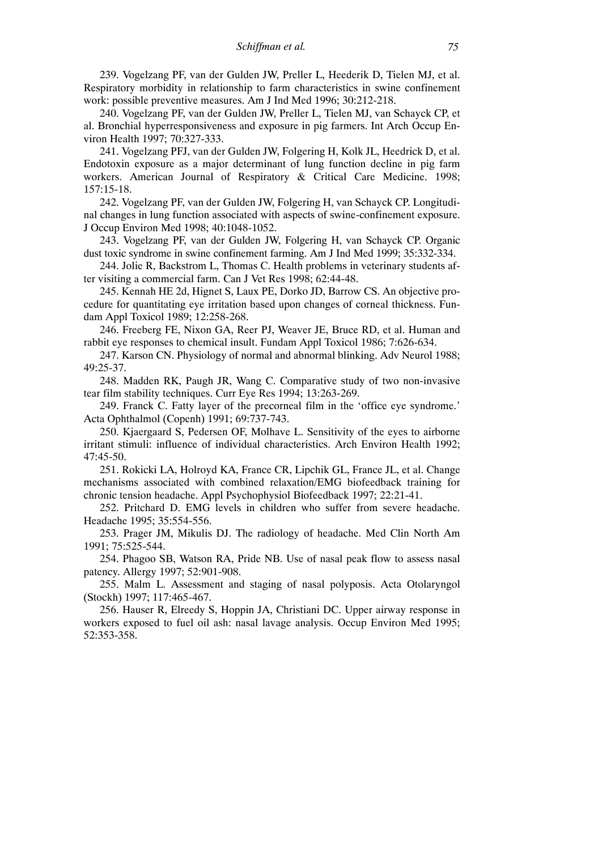239. Vogelzang PF, van der Gulden JW, Preller L, Heederik D, Tielen MJ, et al. Respiratory morbidity in relationship to farm characteristics in swine confinement work: possible preventive measures. Am J Ind Med 1996; 30:212-218.

240. Vogelzang PF, van der Gulden JW, Preller L, Tielen MJ, van Schayck CP, et al. Bronchial hyperresponsiveness and exposure in pig farmers. Int Arch Occup Environ Health 1997; 70:327-333.

241. Vogelzang PFJ, van der Gulden JW, Folgering H, Kolk JL, Heedrick D, et al. Endotoxin exposure as a major determinant of lung function decline in pig farm workers. American Journal of Respiratory & Critical Care Medicine. 1998; 157:15-18.

242. Vogelzang PF, van der Gulden JW, Folgering H, van Schayck CP. Longitudinal changes in lung function associated with aspects of swine-confinement exposure. J Occup Environ Med 1998; 40:1048-1052.

243. Vogelzang PF, van der Gulden JW, Folgering H, van Schayck CP. Organic dust toxic syndrome in swine confinement farming. Am J Ind Med 1999; 35:332-334.

244. Jolie R, Backstrom L, Thomas C. Health problems in veterinary students after visiting a commercial farm. Can J Vet Res 1998; 62:44-48.

245. Kennah HE 2d, Hignet S, Laux PE, Dorko JD, Barrow CS. An objective procedure for quantitating eye irritation based upon changes of corneal thickness. Fundam Appl Toxicol 1989; 12:258-268.

246. Freeberg FE, Nixon GA, Reer PJ, Weaver JE, Bruce RD, et al. Human and rabbit eye responses to chemical insult. Fundam Appl Toxicol 1986; 7:626-634.

247. Karson CN. Physiology of normal and abnormal blinking. Adv Neurol 1988; 49:25-37.

248. Madden RK, Paugh JR, Wang C. Comparative study of two non-invasive tear film stability techniques. Curr Eye Res 1994; 13:263-269.

249. Franck C. Fatty layer of the precorneal film in the 'office eye syndrome.' Acta Ophthalmol (Copenh) 1991; 69:737-743.

250. Kjaergaard S, Pedersen OF, Molhave L. Sensitivity of the eyes to airborne irritant stimuli: influence of individual characteristics. Arch Environ Health 1992; 47:45-50.

251. Rokicki LA, Holroyd KA, France CR, Lipchik GL, France JL, et al. Change mechanisms associated with combined relaxation/EMG biofeedback training for chronic tension headache. Appl Psychophysiol Biofeedback 1997; 22:21-41.

252. Pritchard D. EMG levels in children who suffer from severe headache. Headache 1995; 35:554-556.

253. Prager JM, Mikulis DJ. The radiology of headache. Med Clin North Am 1991; 75:525-544.

254. Phagoo SB, Watson RA, Pride NB. Use of nasal peak flow to assess nasal patency. Allergy 1997; 52:901-908.

255. Malm L. Assessment and staging of nasal polyposis. Acta Otolaryngol (Stockh) 1997; 117:465-467.

256. Hauser R, Elreedy S, Hoppin JA, Christiani DC. Upper airway response in workers exposed to fuel oil ash: nasal lavage analysis. Occup Environ Med 1995; 52:353-358.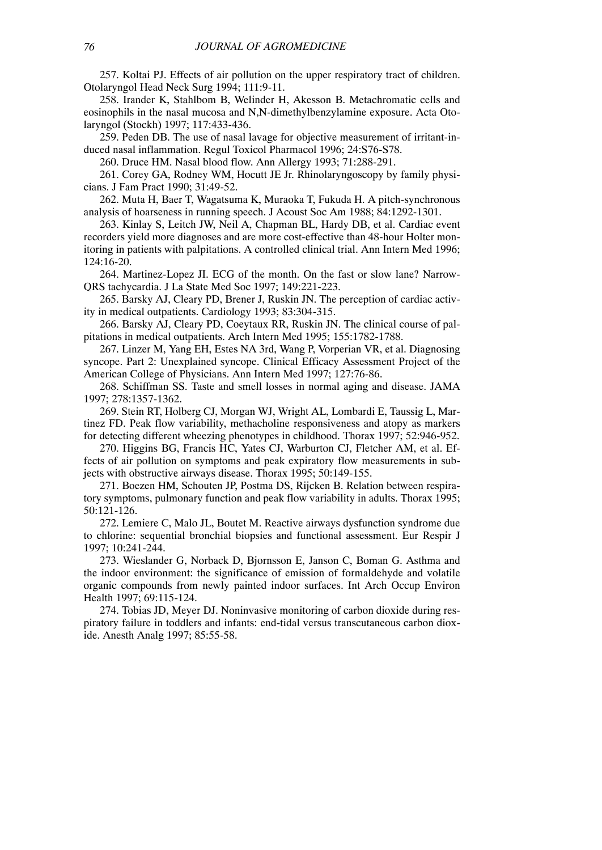257. Koltai PJ. Effects of air pollution on the upper respiratory tract of children. Otolaryngol Head Neck Surg 1994; 111:9-11.

258. Irander K, Stahlbom B, Welinder H, Akesson B. Metachromatic cells and eosinophils in the nasal mucosa and N,N-dimethylbenzylamine exposure. Acta Otolaryngol (Stockh) 1997; 117:433-436.

259. Peden DB. The use of nasal lavage for objective measurement of irritant-induced nasal inflammation. Regul Toxicol Pharmacol 1996; 24:S76-S78.

260. Druce HM. Nasal blood flow. Ann Allergy 1993; 71:288-291.

261. Corey GA, Rodney WM, Hocutt JE Jr. Rhinolaryngoscopy by family physicians. J Fam Pract 1990; 31:49-52.

262. Muta H, Baer T, Wagatsuma K, Muraoka T, Fukuda H. A pitch-synchronous analysis of hoarseness in running speech. J Acoust Soc Am 1988; 84:1292-1301.

263. Kinlay S, Leitch JW, Neil A, Chapman BL, Hardy DB, et al. Cardiac event recorders yield more diagnoses and are more cost-effective than 48-hour Holter monitoring in patients with palpitations. A controlled clinical trial. Ann Intern Med 1996; 124:16-20.

264. Martinez-Lopez JI. ECG of the month. On the fast or slow lane? Narrow-QRS tachycardia. J La State Med Soc 1997; 149:221-223.

265. Barsky AJ, Cleary PD, Brener J, Ruskin JN. The perception of cardiac activity in medical outpatients. Cardiology 1993; 83:304-315.

266. Barsky AJ, Cleary PD, Coeytaux RR, Ruskin JN. The clinical course of palpitations in medical outpatients. Arch Intern Med 1995; 155:1782-1788.

267. Linzer M, Yang EH, Estes NA 3rd, Wang P, Vorperian VR, et al. Diagnosing syncope. Part 2: Unexplained syncope. Clinical Efficacy Assessment Project of the American College of Physicians. Ann Intern Med 1997; 127:76-86.

268. Schiffman SS. Taste and smell losses in normal aging and disease. JAMA 1997; 278:1357-1362.

269. Stein RT, Holberg CJ, Morgan WJ, Wright AL, Lombardi E, Taussig L, Martinez FD. Peak flow variability, methacholine responsiveness and atopy as markers for detecting different wheezing phenotypes in childhood. Thorax 1997; 52:946-952.

270. Higgins BG, Francis HC, Yates CJ, Warburton CJ, Fletcher AM, et al. Effects of air pollution on symptoms and peak expiratory flow measurements in subjects with obstructive airways disease. Thorax 1995; 50:149-155.

271. Boezen HM, Schouten JP, Postma DS, Rijcken B. Relation between respiratory symptoms, pulmonary function and peak flow variability in adults. Thorax 1995; 50:121-126.

272. Lemiere C, Malo JL, Boutet M. Reactive airways dysfunction syndrome due to chlorine: sequential bronchial biopsies and functional assessment. Eur Respir J 1997; 10:241-244.

273. Wieslander G, Norback D, Bjornsson E, Janson C, Boman G. Asthma and the indoor environment: the significance of emission of formaldehyde and volatile organic compounds from newly painted indoor surfaces. Int Arch Occup Environ Health 1997; 69:115-124.

274. Tobias JD, Meyer DJ. Noninvasive monitoring of carbon dioxide during respiratory failure in toddlers and infants: end-tidal versus transcutaneous carbon dioxide. Anesth Analg 1997; 85:55-58.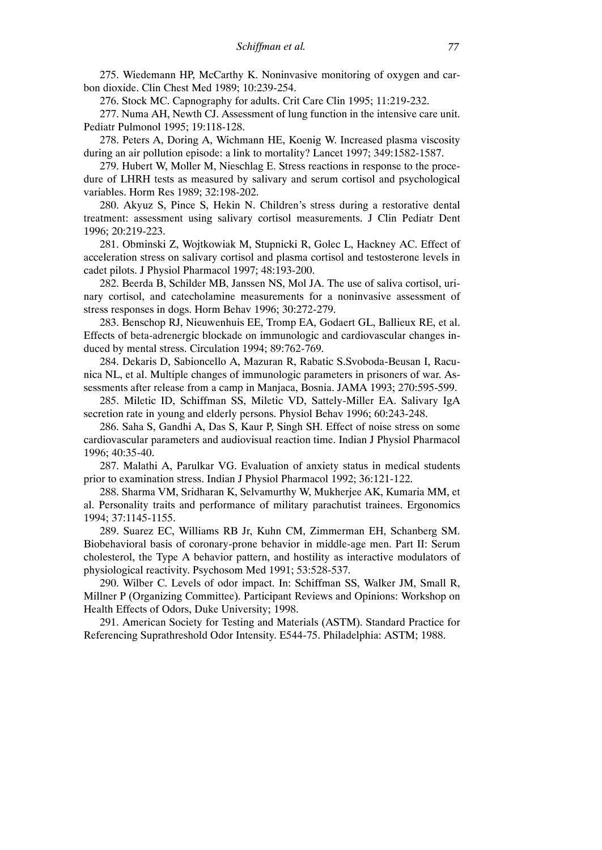275. Wiedemann HP, McCarthy K. Noninvasive monitoring of oxygen and carbon dioxide. Clin Chest Med 1989; 10:239-254.

276. Stock MC. Capnography for adults. Crit Care Clin 1995; 11:219-232.

277. Numa AH, Newth CJ. Assessment of lung function in the intensive care unit. Pediatr Pulmonol 1995; 19:118-128.

278. Peters A, Doring A, Wichmann HE, Koenig W. Increased plasma viscosity during an air pollution episode: a link to mortality? Lancet 1997; 349:1582-1587.

279. Hubert W, Moller M, Nieschlag E. Stress reactions in response to the procedure of LHRH tests as measured by salivary and serum cortisol and psychological variables. Horm Res 1989; 32:198-202.

280. Akyuz S, Pince S, Hekin N. Children's stress during a restorative dental treatment: assessment using salivary cortisol measurements. J Clin Pediatr Dent 1996; 20:219-223.

281. Obminski Z, Wojtkowiak M, Stupnicki R, Golec L, Hackney AC. Effect of acceleration stress on salivary cortisol and plasma cortisol and testosterone levels in cadet pilots. J Physiol Pharmacol 1997; 48:193-200.

282. Beerda B, Schilder MB, Janssen NS, Mol JA. The use of saliva cortisol, urinary cortisol, and catecholamine measurements for a noninvasive assessment of stress responses in dogs. Horm Behav 1996; 30:272-279.

283. Benschop RJ, Nieuwenhuis EE, Tromp EA, Godaert GL, Ballieux RE, et al. Effects of beta-adrenergic blockade on immunologic and cardiovascular changes induced by mental stress. Circulation 1994; 89:762-769.

284. Dekaris D, Sabioncello A, Mazuran R, Rabatic S.Svoboda-Beusan I, Racunica NL, et al. Multiple changes of immunologic parameters in prisoners of war. Assessments after release from a camp in Manjaca, Bosnia. JAMA 1993; 270:595-599.

285. Miletic ID, Schiffman SS, Miletic VD, Sattely-Miller EA. Salivary IgA secretion rate in young and elderly persons. Physiol Behav 1996; 60:243-248.

286. Saha S, Gandhi A, Das S, Kaur P, Singh SH. Effect of noise stress on some cardiovascular parameters and audiovisual reaction time. Indian J Physiol Pharmacol 1996; 40:35-40.

287. Malathi A, Parulkar VG. Evaluation of anxiety status in medical students prior to examination stress. Indian J Physiol Pharmacol 1992; 36:121-122.

288. Sharma VM, Sridharan K, Selvamurthy W, Mukherjee AK, Kumaria MM, et al. Personality traits and performance of military parachutist trainees. Ergonomics 1994; 37:1145-1155.

289. Suarez EC, Williams RB Jr, Kuhn CM, Zimmerman EH, Schanberg SM. Biobehavioral basis of coronary-prone behavior in middle-age men. Part II: Serum cholesterol, the Type A behavior pattern, and hostility as interactive modulators of physiological reactivity. Psychosom Med 1991; 53:528-537.

290. Wilber C. Levels of odor impact. In: Schiffman SS, Walker JM, Small R, Millner P (Organizing Committee). Participant Reviews and Opinions: Workshop on Health Effects of Odors, Duke University; 1998.

291. American Society for Testing and Materials (ASTM). Standard Practice for Referencing Suprathreshold Odor Intensity. E544-75. Philadelphia: ASTM; 1988.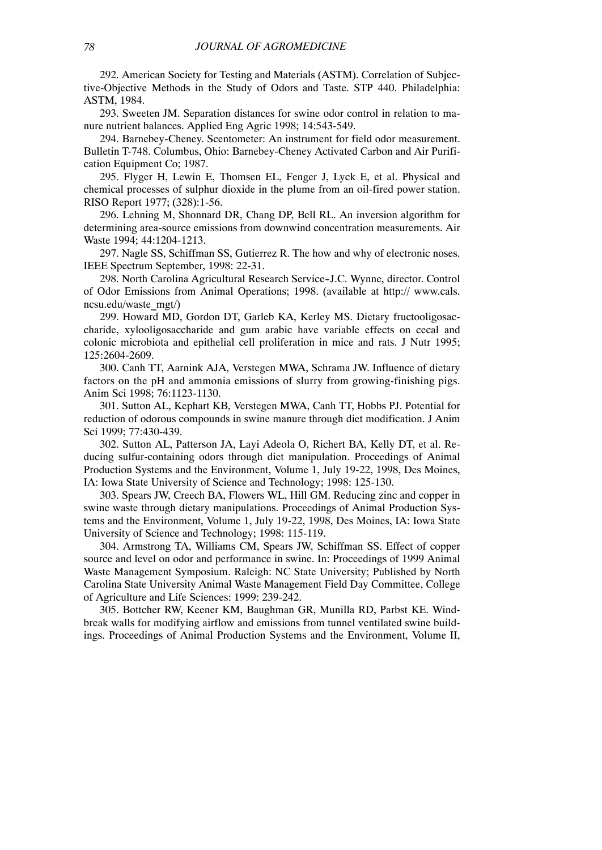292. American Society for Testing and Materials (ASTM). Correlation of Subjective-Objective Methods in the Study of Odors and Taste. STP 440. Philadelphia: ASTM, 1984.

293. Sweeten JM. Separation distances for swine odor control in relation to manure nutrient balances. Applied Eng Agric 1998; 14:543-549.

294. Barnebey-Cheney. Scentometer: An instrument for field odor measurement. Bulletin T-748. Columbus, Ohio: Barnebey-Cheney Activated Carbon and Air Purification Equipment Co; 1987.

295. Flyger H, Lewin E, Thomsen EL, Fenger J, Lyck E, et al. Physical and chemical processes of sulphur dioxide in the plume from an oil-fired power station. RISO Report 1977; (328):1-56.

296. Lehning M, Shonnard DR, Chang DP, Bell RL. An inversion algorithm for determining area-source emissions from downwind concentration measurements. Air Waste 1994; 44:1204-1213.

297. Nagle SS, Schiffman SS, Gutierrez R. The how and why of electronic noses. IEEE Spectrum September, 1998: 22-31.

298. North Carolina Agricultural Research Service-J.C. Wynne, director. Control of Odor Emissions from Animal Operations; 1998. (available at http:// www.cals. ncsu.edu/waste\_mgt/)

299. Howard MD, Gordon DT, Garleb KA, Kerley MS. Dietary fructooligosaccharide, xylooligosaccharide and gum arabic have variable effects on cecal and colonic microbiota and epithelial cell proliferation in mice and rats. J Nutr 1995; 125:2604-2609.

300. Canh TT, Aarnink AJA, Verstegen MWA, Schrama JW. Influence of dietary factors on the pH and ammonia emissions of slurry from growing-finishing pigs. Anim Sci 1998; 76:1123-1130.

301. Sutton AL, Kephart KB, Verstegen MWA, Canh TT, Hobbs PJ. Potential for reduction of odorous compounds in swine manure through diet modification. J Anim Sci 1999; 77:430-439.

302. Sutton AL, Patterson JA, Layi Adeola O, Richert BA, Kelly DT, et al. Reducing sulfur-containing odors through diet manipulation. Proceedings of Animal Production Systems and the Environment, Volume 1, July 19-22, 1998, Des Moines, IA: Iowa State University of Science and Technology; 1998: 125-130.

303. Spears JW, Creech BA, Flowers WL, Hill GM. Reducing zinc and copper in swine waste through dietary manipulations. Proceedings of Animal Production Systems and the Environment, Volume 1, July 19-22, 1998, Des Moines, IA: Iowa State University of Science and Technology; 1998: 115-119.

304. Armstrong TA, Williams CM, Spears JW, Schiffman SS. Effect of copper source and level on odor and performance in swine. In: Proceedings of 1999 Animal Waste Management Symposium. Raleigh: NC State University; Published by North Carolina State University Animal Waste Management Field Day Committee, College of Agriculture and Life Sciences: 1999: 239-242.

305. Bottcher RW, Keener KM, Baughman GR, Munilla RD, Parbst KE. Windbreak walls for modifying airflow and emissions from tunnel ventilated swine buildings. Proceedings of Animal Production Systems and the Environment, Volume II,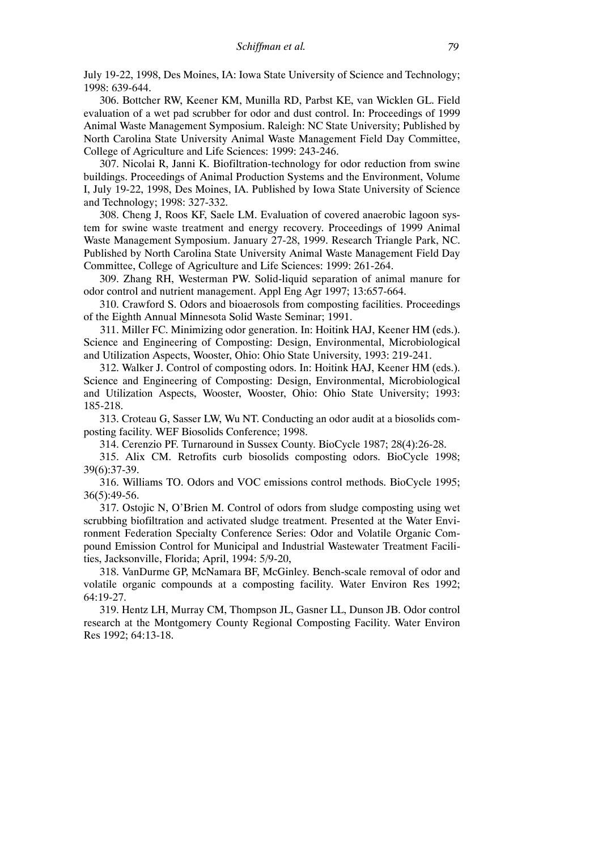July 19-22, 1998, Des Moines, IA: Iowa State University of Science and Technology; 1998: 639-644.

306. Bottcher RW, Keener KM, Munilla RD, Parbst KE, van Wicklen GL. Field evaluation of a wet pad scrubber for odor and dust control. In: Proceedings of 1999 Animal Waste Management Symposium. Raleigh: NC State University; Published by North Carolina State University Animal Waste Management Field Day Committee, College of Agriculture and Life Sciences: 1999: 243-246.

307. Nicolai R, Janni K. Biofiltration-technology for odor reduction from swine buildings. Proceedings of Animal Production Systems and the Environment, Volume I, July 19-22, 1998, Des Moines, IA. Published by Iowa State University of Science and Technology; 1998: 327-332.

308. Cheng J, Roos KF, Saele LM. Evaluation of covered anaerobic lagoon system for swine waste treatment and energy recovery. Proceedings of 1999 Animal Waste Management Symposium. January 27-28, 1999. Research Triangle Park, NC. Published by North Carolina State University Animal Waste Management Field Day Committee, College of Agriculture and Life Sciences: 1999: 261-264.

309. Zhang RH, Westerman PW. Solid-liquid separation of animal manure for odor control and nutrient management. Appl Eng Agr 1997; 13:657-664.

310. Crawford S. Odors and bioaerosols from composting facilities. Proceedings of the Eighth Annual Minnesota Solid Waste Seminar; 1991.

311. Miller FC. Minimizing odor generation. In: Hoitink HAJ, Keener HM (eds.). Science and Engineering of Composting: Design, Environmental, Microbiological and Utilization Aspects, Wooster, Ohio: Ohio State University, 1993: 219-241.

312. Walker J. Control of composting odors. In: Hoitink HAJ, Keener HM (eds.). Science and Engineering of Composting: Design, Environmental, Microbiological and Utilization Aspects, Wooster, Wooster, Ohio: Ohio State University; 1993: 185-218.

313. Croteau G, Sasser LW, Wu NT. Conducting an odor audit at a biosolids composting facility. WEF Biosolids Conference; 1998.

314. Cerenzio PF. Turnaround in Sussex County. BioCycle 1987; 28(4):26-28.

315. Alix CM. Retrofits curb biosolids composting odors. BioCycle 1998; 39(6):37-39.

316. Williams TO. Odors and VOC emissions control methods. BioCycle 1995; 36(5):49-56.

317. Ostojic N, O'Brien M. Control of odors from sludge composting using wet scrubbing biofiltration and activated sludge treatment. Presented at the Water Environment Federation Specialty Conference Series: Odor and Volatile Organic Compound Emission Control for Municipal and Industrial Wastewater Treatment Facilities, Jacksonville, Florida; April, 1994: 5/9-20,

318. VanDurme GP, McNamara BF, McGinley. Bench-scale removal of odor and volatile organic compounds at a composting facility. Water Environ Res 1992; 64:19-27.

319. Hentz LH, Murray CM, Thompson JL, Gasner LL, Dunson JB. Odor control research at the Montgomery County Regional Composting Facility. Water Environ Res 1992; 64:13-18.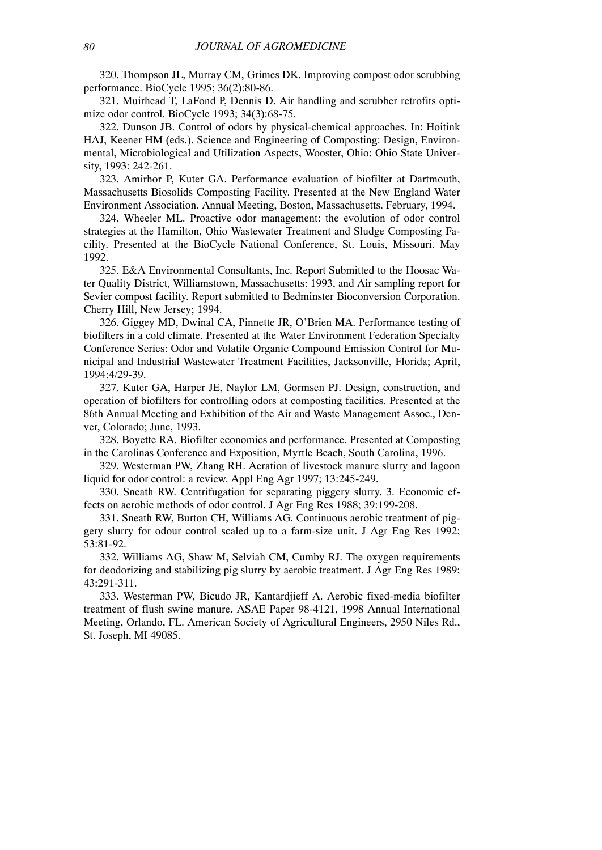320. Thompson JL, Murray CM, Grimes DK. Improving compost odor scrubbing performance. BioCycle 1995; 36(2):80-86.

321. Muirhead T, LaFond P, Dennis D. Air handling and scrubber retrofits optimize odor control. BioCycle 1993; 34(3):68-75.

322. Dunson JB. Control of odors by physical-chemical approaches. In: Hoitink HAJ, Keener HM (eds.). Science and Engineering of Composting: Design, Environmental, Microbiological and Utilization Aspects, Wooster, Ohio: Ohio State University, 1993: 242-261.

323. Amirhor P, Kuter GA. Performance evaluation of biofilter at Dartmouth, Massachusetts Biosolids Composting Facility. Presented at the New England Water Environment Association. Annual Meeting, Boston, Massachusetts. February, 1994.

324. Wheeler ML. Proactive odor management: the evolution of odor control strategies at the Hamilton, Ohio Wastewater Treatment and Sludge Composting Facility. Presented at the BioCycle National Conference, St. Louis, Missouri. May 1992.

325. E&A Environmental Consultants, Inc. Report Submitted to the Hoosac Water Quality District, Williamstown, Massachusetts: 1993, and Air sampling report for Sevier compost facility. Report submitted to Bedminster Bioconversion Corporation. Cherry Hill, New Jersey; 1994.

326. Giggey MD, Dwinal CA, Pinnette JR, O'Brien MA. Performance testing of biofilters in a cold climate. Presented at the Water Environment Federation Specialty Conference Series: Odor and Volatile Organic Compound Emission Control for Municipal and Industrial Wastewater Treatment Facilities, Jacksonville, Florida; April, 1994:4/29-39.

327. Kuter GA, Harper JE, Naylor LM, Gormsen PJ. Design, construction, and operation of biofilters for controlling odors at composting facilities. Presented at the 86th Annual Meeting and Exhibition of the Air and Waste Management Assoc., Denver, Colorado; June, 1993.

328. Boyette RA. Biofilter economics and performance. Presented at Composting in the Carolinas Conference and Exposition, Myrtle Beach, South Carolina, 1996.

329. Westerman PW, Zhang RH. Aeration of livestock manure slurry and lagoon liquid for odor control: a review. Appl Eng Agr 1997; 13:245-249.

330. Sneath RW. Centrifugation for separating piggery slurry. 3. Economic effects on aerobic methods of odor control. J Agr Eng Res 1988; 39:199-208.

331. Sneath RW, Burton CH, Williams AG. Continuous aerobic treatment of piggery slurry for odour control scaled up to a farm-size unit. J Agr Eng Res 1992; 53:81-92.

332. Williams AG, Shaw M, Selviah CM, Cumby RJ. The oxygen requirements for deodorizing and stabilizing pig slurry by aerobic treatment. J Agr Eng Res 1989; 43:291-311.

333. Westerman PW, Bicudo JR, Kantardjieff A. Aerobic fixed-media biofilter treatment of flush swine manure. ASAE Paper 98-4121, 1998 Annual International Meeting, Orlando, FL. American Society of Agricultural Engineers, 2950 Niles Rd., St. Joseph, MI 49085.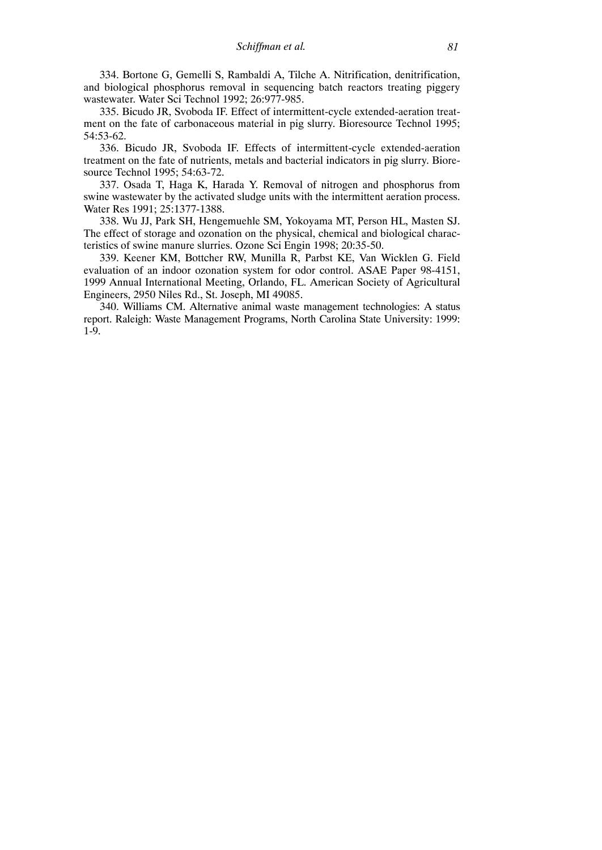334. Bortone G, Gemelli S, Rambaldi A, Tilche A. Nitrification, denitrification, and biological phosphorus removal in sequencing batch reactors treating piggery wastewater. Water Sci Technol 1992; 26:977-985.

335. Bicudo JR, Svoboda IF. Effect of intermittent-cycle extended-aeration treatment on the fate of carbonaceous material in pig slurry. Bioresource Technol 1995; 54:53-62.

336. Bicudo JR, Svoboda IF. Effects of intermittent-cycle extended-aeration treatment on the fate of nutrients, metals and bacterial indicators in pig slurry. Bioresource Technol 1995; 54:63-72.

337. Osada T, Haga K, Harada Y. Removal of nitrogen and phosphorus from swine wastewater by the activated sludge units with the intermittent aeration process. Water Res 1991; 25:1377-1388.

338. Wu JJ, Park SH, Hengemuehle SM, Yokoyama MT, Person HL, Masten SJ. The effect of storage and ozonation on the physical, chemical and biological characteristics of swine manure slurries. Ozone Sci Engin 1998; 20:35-50.

339. Keener KM, Bottcher RW, Munilla R, Parbst KE, Van Wicklen G. Field evaluation of an indoor ozonation system for odor control. ASAE Paper 98-4151, 1999 Annual International Meeting, Orlando, FL. American Society of Agricultural Engineers, 2950 Niles Rd., St. Joseph, MI 49085.

340. Williams CM. Alternative animal waste management technologies: A status report. Raleigh: Waste Management Programs, North Carolina State University: 1999: 1-9.